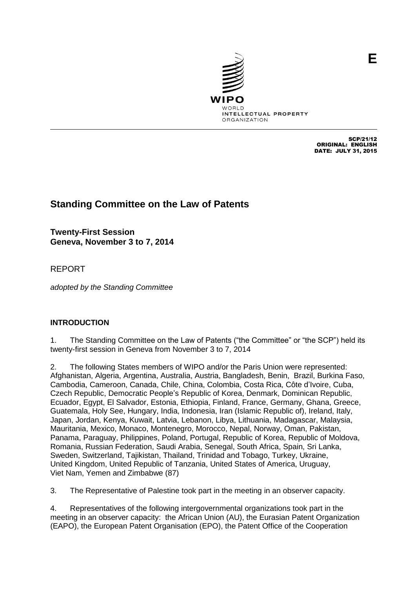

SCP/21/12 ORIGINAL: ENGLISH DATE: JULY 31, 2015

# **Standing Committee on the Law of Patents**

**Twenty-First Session Geneva, November 3 to 7, 2014**

REPORT

*adopted by the Standing Committee*

# **INTRODUCTION**

1. The Standing Committee on the Law of Patents ("the Committee" or "the SCP") held its twenty-first session in Geneva from November 3 to 7, 2014

2. The following States members of WIPO and/or the Paris Union were represented: Afghanistan, Algeria, Argentina, Australia, Austria, Bangladesh, Benin, Brazil, Burkina Faso, Cambodia, Cameroon, Canada, Chile, China, Colombia, Costa Rica, Côte d'Ivoire, Cuba, Czech Republic, Democratic People's Republic of Korea, Denmark, Dominican Republic, Ecuador, Egypt, El Salvador, Estonia, Ethiopia, Finland, France, Germany, Ghana, Greece, Guatemala, Holy See, Hungary, India, Indonesia, Iran (Islamic Republic of), Ireland, Italy, Japan, Jordan, Kenya, Kuwait, Latvia, Lebanon, Libya, Lithuania, Madagascar, Malaysia, Mauritania, Mexico, Monaco, Montenegro, Morocco, Nepal, Norway, Oman, Pakistan, Panama, Paraguay, Philippines, Poland, Portugal, Republic of Korea, Republic of Moldova, Romania, Russian Federation, Saudi Arabia, Senegal, South Africa, Spain, Sri Lanka, Sweden, Switzerland, Tajikistan, Thailand, Trinidad and Tobago, Turkey, Ukraine, United Kingdom, United Republic of Tanzania, United States of America, Uruguay, Viet Nam, Yemen and Zimbabwe (87)

3. The Representative of Palestine took part in the meeting in an observer capacity.

4. Representatives of the following intergovernmental organizations took part in the meeting in an observer capacity: the African Union (AU), the Eurasian Patent Organization (EAPO), the European Patent Organisation (EPO), the Patent Office of the Cooperation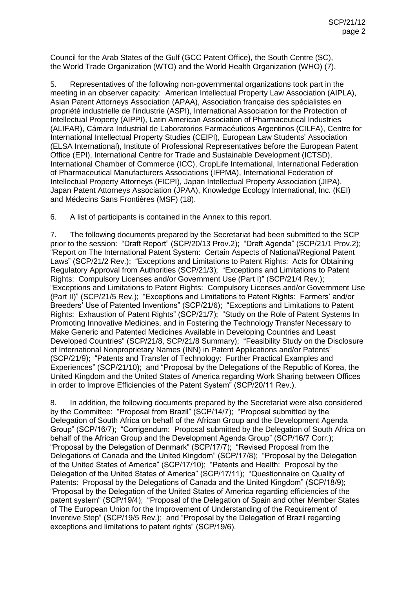Council for the Arab States of the Gulf (GCC Patent Office), the South Centre (SC), the World Trade Organization (WTO) and the World Health Organization (WHO) (7).

5. Representatives of the following non-governmental organizations took part in the meeting in an observer capacity: American Intellectual Property Law Association (AIPLA), Asian Patent Attorneys Association (APAA), Association française des spécialistes en propriété industrielle de l'industrie (ASPI), International Association for the Protection of Intellectual Property (AIPPI), Latin American Association of Pharmaceutical Industries (ALIFAR), Cámara Industrial de Laboratorios Farmacéuticos Argentinos (CILFA), Centre for International Intellectual Property Studies (CEIPI), European Law Students' Association (ELSA International), Institute of Professional Representatives before the European Patent Office (EPI), International Centre for Trade and Sustainable Development (ICTSD), International Chamber of Commerce (ICC), CropLife International, International Federation of Pharmaceutical Manufacturers Associations (IFPMA), International Federation of Intellectual Property Attorneys (FICPI), Japan Intellectual Property Association (JIPA), Japan Patent Attorneys Association (JPAA), Knowledge Ecology International, Inc. (KEI) and Médecins Sans Frontières (MSF) (18).

6. A list of participants is contained in the Annex to this report.

7. The following documents prepared by the Secretariat had been submitted to the SCP prior to the session: "Draft Report" (SCP/20/13 Prov.2); "Draft Agenda" (SCP/21/1 Prov.2); "Report on The International Patent System: Certain Aspects of National/Regional Patent Laws" (SCP/21/2 Rev.); "Exceptions and Limitations to Patent Rights: Acts for Obtaining Regulatory Approval from Authorities (SCP/21/3); "Exceptions and Limitations to Patent Rights: Compulsory Licenses and/or Government Use (Part I)" (SCP/21/4 Rev.); "Exceptions and Limitations to Patent Rights: Compulsory Licenses and/or Government Use (Part II)" (SCP/21/5 Rev.); "Exceptions and Limitations to Patent Rights: Farmers' and/or Breeders' Use of Patented Inventions" (SCP/21/6); "Exceptions and Limitations to Patent Rights: Exhaustion of Patent Rights" (SCP/21/7); "Study on the Role of Patent Systems In Promoting Innovative Medicines, and in Fostering the Technology Transfer Necessary to Make Generic and Patented Medicines Available in Developing Countries and Least Developed Countries" (SCP/21/8, SCP/21/8 Summary); "Feasibility Study on the Disclosure of International Nonproprietary Names (INN) in Patent Applications and/or Patents" (SCP/21/9); "Patents and Transfer of Technology: Further Practical Examples and Experiences" (SCP/21/10); and "Proposal by the Delegations of the Republic of Korea, the United Kingdom and the United States of America regarding Work Sharing between Offices in order to Improve Efficiencies of the Patent System" (SCP/20/11 Rev.).

8. In addition, the following documents prepared by the Secretariat were also considered by the Committee: "Proposal from Brazil" (SCP/14/7); "Proposal submitted by the Delegation of South Africa on behalf of the African Group and the Development Agenda Group" (SCP/16/7); "Corrigendum: Proposal submitted by the Delegation of South Africa on behalf of the African Group and the Development Agenda Group" (SCP/16/7 Corr.); "Proposal by the Delegation of Denmark" (SCP/17/7); "Revised Proposal from the Delegations of Canada and the United Kingdom" (SCP/17/8); "Proposal by the Delegation of the United States of America" (SCP/17/10); "Patents and Health: Proposal by the Delegation of the United States of America" (SCP/17/11); "Questionnaire on Quality of Patents: Proposal by the Delegations of Canada and the United Kingdom" (SCP/18/9); "Proposal by the Delegation of the United States of America regarding efficiencies of the patent system" (SCP/19/4); "Proposal of the Delegation of Spain and other Member States of The European Union for the Improvement of Understanding of the Requirement of Inventive Step" (SCP/19/5 Rev.); and "Proposal by the Delegation of Brazil regarding exceptions and limitations to patent rights" (SCP/19/6).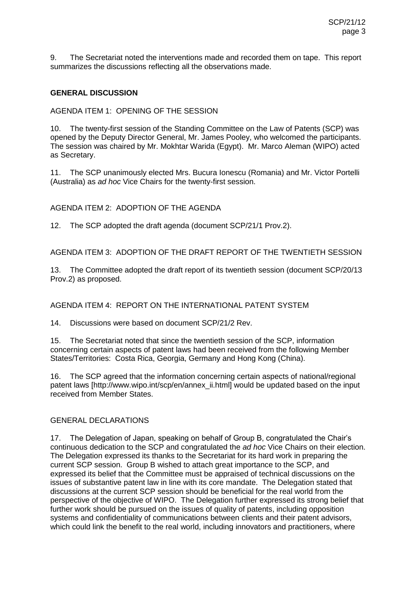9. The Secretariat noted the interventions made and recorded them on tape. This report summarizes the discussions reflecting all the observations made.

## **GENERAL DISCUSSION**

AGENDA ITEM 1: OPENING OF THE SESSION

10. The twenty-first session of the Standing Committee on the Law of Patents (SCP) was opened by the Deputy Director General, Mr. James Pooley, who welcomed the participants. The session was chaired by Mr. Mokhtar Warida (Egypt). Mr. Marco Aleman (WIPO) acted as Secretary.

11. The SCP unanimously elected Mrs. Bucura Ionescu (Romania) and Mr. Victor Portelli (Australia) as *ad hoc* Vice Chairs for the twenty-first session.

AGENDA ITEM 2: ADOPTION OF THE AGENDA

12. The SCP adopted the draft agenda (document SCP/21/1 Prov.2).

AGENDA ITEM 3: ADOPTION OF THE DRAFT REPORT OF THE TWENTIETH SESSION

13. The Committee adopted the draft report of its twentieth session (document SCP/20/13 Prov.2) as proposed.

#### AGENDA ITEM 4: REPORT ON THE INTERNATIONAL PATENT SYSTEM

14. Discussions were based on document SCP/21/2 Rev.

15. The Secretariat noted that since the twentieth session of the SCP, information concerning certain aspects of patent laws had been received from the following Member States/Territories: Costa Rica, Georgia, Germany and Hong Kong (China).

16. The SCP agreed that the information concerning certain aspects of national/regional patent laws [http://www.wipo.int/scp/en/annex\_ii.html] would be updated based on the input received from Member States.

#### GENERAL DECLARATIONS

17. The Delegation of Japan, speaking on behalf of Group B, congratulated the Chair's continuous dedication to the SCP and congratulated the *ad hoc* Vice Chairs on their election. The Delegation expressed its thanks to the Secretariat for its hard work in preparing the current SCP session. Group B wished to attach great importance to the SCP, and expressed its belief that the Committee must be appraised of technical discussions on the issues of substantive patent law in line with its core mandate. The Delegation stated that discussions at the current SCP session should be beneficial for the real world from the perspective of the objective of WIPO. The Delegation further expressed its strong belief that further work should be pursued on the issues of quality of patents, including opposition systems and confidentiality of communications between clients and their patent advisors, which could link the benefit to the real world, including innovators and practitioners, where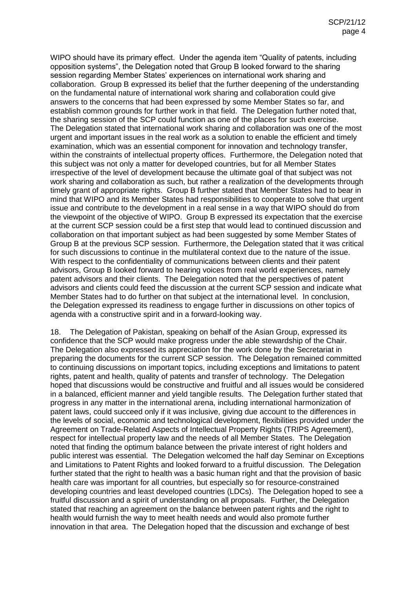WIPO should have its primary effect. Under the agenda item "Quality of patents, including opposition systems", the Delegation noted that Group B looked forward to the sharing session regarding Member States' experiences on international work sharing and collaboration. Group B expressed its belief that the further deepening of the understanding on the fundamental nature of international work sharing and collaboration could give answers to the concerns that had been expressed by some Member States so far, and establish common grounds for further work in that field. The Delegation further noted that, the sharing session of the SCP could function as one of the places for such exercise. The Delegation stated that international work sharing and collaboration was one of the most urgent and important issues in the real work as a solution to enable the efficient and timely examination, which was an essential component for innovation and technology transfer, within the constraints of intellectual property offices. Furthermore, the Delegation noted that this subject was not only a matter for developed countries, but for all Member States irrespective of the level of development because the ultimate goal of that subject was not work sharing and collaboration as such, but rather a realization of the developments through timely grant of appropriate rights. Group B further stated that Member States had to bear in mind that WIPO and its Member States had responsibilities to cooperate to solve that urgent issue and contribute to the development in a real sense in a way that WIPO should do from the viewpoint of the objective of WIPO. Group B expressed its expectation that the exercise at the current SCP session could be a first step that would lead to continued discussion and collaboration on that important subject as had been suggested by some Member States of Group B at the previous SCP session. Furthermore, the Delegation stated that it was critical for such discussions to continue in the multilateral context due to the nature of the issue. With respect to the confidentiality of communications between clients and their patent advisors, Group B looked forward to hearing voices from real world experiences, namely patent advisors and their clients. The Delegation noted that the perspectives of patent advisors and clients could feed the discussion at the current SCP session and indicate what Member States had to do further on that subject at the international level. In conclusion, the Delegation expressed its readiness to engage further in discussions on other topics of agenda with a constructive spirit and in a forward-looking way.

18. The Delegation of Pakistan, speaking on behalf of the Asian Group, expressed its confidence that the SCP would make progress under the able stewardship of the Chair. The Delegation also expressed its appreciation for the work done by the Secretariat in preparing the documents for the current SCP session. The Delegation remained committed to continuing discussions on important topics, including exceptions and limitations to patent rights, patent and health, quality of patents and transfer of technology. The Delegation hoped that discussions would be constructive and fruitful and all issues would be considered in a balanced, efficient manner and yield tangible results. The Delegation further stated that progress in any matter in the international arena, including international harmonization of patent laws, could succeed only if it was inclusive, giving due account to the differences in the levels of social, economic and technological development, flexibilities provided under the Agreement on Trade-Related Aspects of Intellectual Property Rights (TRIPS Agreement), respect for intellectual property law and the needs of all Member States. The Delegation noted that finding the optimum balance between the private interest of right holders and public interest was essential. The Delegation welcomed the half day Seminar on Exceptions and Limitations to Patent Rights and looked forward to a fruitful discussion. The Delegation further stated that the right to health was a basic human right and that the provision of basic health care was important for all countries, but especially so for resource-constrained developing countries and least developed countries (LDCs). The Delegation hoped to see a fruitful discussion and a spirit of understanding on all proposals. Further, the Delegation stated that reaching an agreement on the balance between patent rights and the right to health would furnish the way to meet health needs and would also promote further innovation in that area. The Delegation hoped that the discussion and exchange of best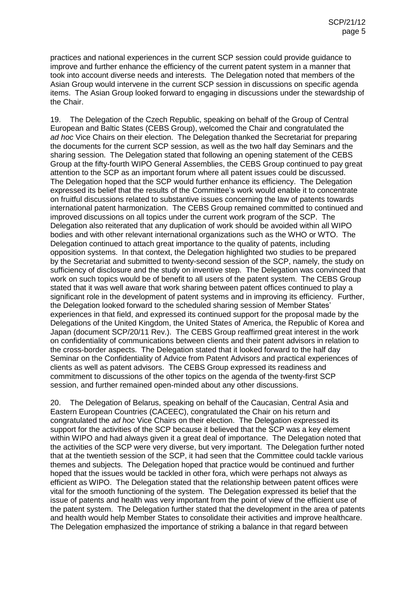practices and national experiences in the current SCP session could provide guidance to improve and further enhance the efficiency of the current patent system in a manner that took into account diverse needs and interests. The Delegation noted that members of the Asian Group would intervene in the current SCP session in discussions on specific agenda items. The Asian Group looked forward to engaging in discussions under the stewardship of the Chair.

19. The Delegation of the Czech Republic, speaking on behalf of the Group of Central European and Baltic States (CEBS Group), welcomed the Chair and congratulated the *ad hoc* Vice Chairs on their election. The Delegation thanked the Secretariat for preparing the documents for the current SCP session, as well as the two half day Seminars and the sharing session. The Delegation stated that following an opening statement of the CEBS Group at the fifty-fourth WIPO General Assemblies, the CEBS Group continued to pay great attention to the SCP as an important forum where all patent issues could be discussed. The Delegation hoped that the SCP would further enhance its efficiency. The Delegation expressed its belief that the results of the Committee's work would enable it to concentrate on fruitful discussions related to substantive issues concerning the law of patents towards international patent harmonization. The CEBS Group remained committed to continued and improved discussions on all topics under the current work program of the SCP. The Delegation also reiterated that any duplication of work should be avoided within all WIPO bodies and with other relevant international organizations such as the WHO or WTO. The Delegation continued to attach great importance to the quality of patents, including opposition systems. In that context, the Delegation highlighted two studies to be prepared by the Secretariat and submitted to twenty-second session of the SCP, namely, the study on sufficiency of disclosure and the study on inventive step. The Delegation was convinced that work on such topics would be of benefit to all users of the patent system. The CEBS Group stated that it was well aware that work sharing between patent offices continued to play a significant role in the development of patent systems and in improving its efficiency. Further, the Delegation looked forward to the scheduled sharing session of Member States' experiences in that field, and expressed its continued support for the proposal made by the Delegations of the United Kingdom, the United States of America, the Republic of Korea and Japan (document SCP/20/11 Rev.). The CEBS Group reaffirmed great interest in the work on confidentiality of communications between clients and their patent advisors in relation to the cross-border aspects. The Delegation stated that it looked forward to the half day Seminar on the Confidentiality of Advice from Patent Advisors and practical experiences of clients as well as patent advisors. The CEBS Group expressed its readiness and commitment to discussions of the other topics on the agenda of the twenty-first SCP session, and further remained open-minded about any other discussions.

20. The Delegation of Belarus, speaking on behalf of the Caucasian, Central Asia and Eastern European Countries (CACEEC), congratulated the Chair on his return and congratulated the *ad hoc* Vice Chairs on their election. The Delegation expressed its support for the activities of the SCP because it believed that the SCP was a key element within WIPO and had always given it a great deal of importance. The Delegation noted that the activities of the SCP were very diverse, but very important. The Delegation further noted that at the twentieth session of the SCP, it had seen that the Committee could tackle various themes and subjects. The Delegation hoped that practice would be continued and further hoped that the issues would be tackled in other fora, which were perhaps not always as efficient as WIPO. The Delegation stated that the relationship between patent offices were vital for the smooth functioning of the system. The Delegation expressed its belief that the issue of patents and health was very important from the point of view of the efficient use of the patent system. The Delegation further stated that the development in the area of patents and health would help Member States to consolidate their activities and improve healthcare. The Delegation emphasized the importance of striking a balance in that regard between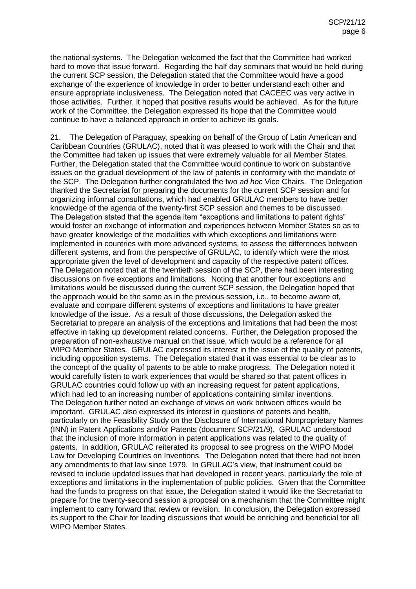the national systems. The Delegation welcomed the fact that the Committee had worked hard to move that issue forward. Regarding the half day seminars that would be held during the current SCP session, the Delegation stated that the Committee would have a good exchange of the experience of knowledge in order to better understand each other and ensure appropriate inclusiveness. The Delegation noted that CACEEC was very active in those activities. Further, it hoped that positive results would be achieved. As for the future work of the Committee, the Delegation expressed its hope that the Committee would continue to have a balanced approach in order to achieve its goals.

21. The Delegation of Paraguay, speaking on behalf of the Group of Latin American and Caribbean Countries (GRULAC), noted that it was pleased to work with the Chair and that the Committee had taken up issues that were extremely valuable for all Member States. Further, the Delegation stated that the Committee would continue to work on substantive issues on the gradual development of the law of patents in conformity with the mandate of the SCP. The Delegation further congratulated the two *ad hoc* Vice Chairs. The Delegation thanked the Secretariat for preparing the documents for the current SCP session and for organizing informal consultations, which had enabled GRULAC members to have better knowledge of the agenda of the twenty-first SCP session and themes to be discussed. The Delegation stated that the agenda item "exceptions and limitations to patent rights" would foster an exchange of information and experiences between Member States so as to have greater knowledge of the modalities with which exceptions and limitations were implemented in countries with more advanced systems, to assess the differences between different systems, and from the perspective of GRULAC, to identify which were the most appropriate given the level of development and capacity of the respective patent offices. The Delegation noted that at the twentieth session of the SCP, there had been interesting discussions on five exceptions and limitations. Noting that another four exceptions and limitations would be discussed during the current SCP session, the Delegation hoped that the approach would be the same as in the previous session, i.e., to become aware of, evaluate and compare different systems of exceptions and limitations to have greater knowledge of the issue. As a result of those discussions, the Delegation asked the Secretariat to prepare an analysis of the exceptions and limitations that had been the most effective in taking up development related concerns. Further, the Delegation proposed the preparation of non-exhaustive manual on that issue, which would be a reference for all WIPO Member States. GRULAC expressed its interest in the issue of the quality of patents, including opposition systems. The Delegation stated that it was essential to be clear as to the concept of the quality of patents to be able to make progress. The Delegation noted it would carefully listen to work experiences that would be shared so that patent offices in GRULAC countries could follow up with an increasing request for patent applications, which had led to an increasing number of applications containing similar inventions. The Delegation further noted an exchange of views on work between offices would be important. GRULAC also expressed its interest in questions of patents and health, particularly on the Feasibility Study on the Disclosure of International Nonproprietary Names (INN) in Patent Applications and/or Patents (document SCP/21/9). GRULAC understood that the inclusion of more information in patent applications was related to the quality of patents. In addition, GRULAC reiterated its proposal to see progress on the WIPO Model Law for Developing Countries on Inventions. The Delegation noted that there had not been any amendments to that law since 1979. In GRULAC's view, that instrument could be revised to include updated issues that had developed in recent years, particularly the role of exceptions and limitations in the implementation of public policies. Given that the Committee had the funds to progress on that issue, the Delegation stated it would like the Secretariat to prepare for the twenty-second session a proposal on a mechanism that the Committee might implement to carry forward that review or revision. In conclusion, the Delegation expressed its support to the Chair for leading discussions that would be enriching and beneficial for all WIPO Member States.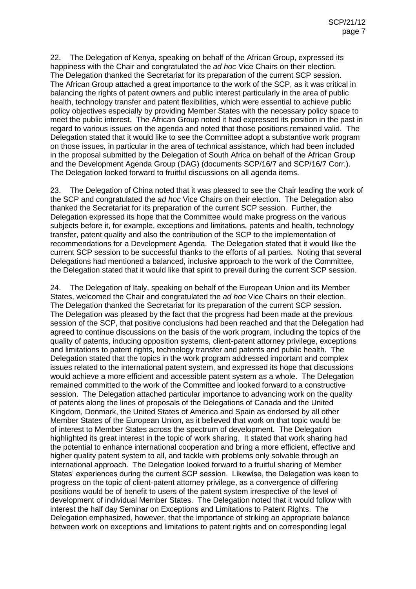22. The Delegation of Kenya, speaking on behalf of the African Group, expressed its happiness with the Chair and congratulated the *ad hoc* Vice Chairs on their election. The Delegation thanked the Secretariat for its preparation of the current SCP session. The African Group attached a great importance to the work of the SCP, as it was critical in balancing the rights of patent owners and public interest particularly in the area of public health, technology transfer and patent flexibilities, which were essential to achieve public policy objectives especially by providing Member States with the necessary policy space to meet the public interest. The African Group noted it had expressed its position in the past in regard to various issues on the agenda and noted that those positions remained valid. The Delegation stated that it would like to see the Committee adopt a substantive work program on those issues, in particular in the area of technical assistance, which had been included in the proposal submitted by the Delegation of South Africa on behalf of the African Group and the Development Agenda Group (DAG) (documents SCP/16/7 and SCP/16/7 Corr.). The Delegation looked forward to fruitful discussions on all agenda items.

23. The Delegation of China noted that it was pleased to see the Chair leading the work of the SCP and congratulated the *ad hoc* Vice Chairs on their election. The Delegation also thanked the Secretariat for its preparation of the current SCP session. Further, the Delegation expressed its hope that the Committee would make progress on the various subjects before it, for example, exceptions and limitations, patents and health, technology transfer, patent quality and also the contribution of the SCP to the implementation of recommendations for a Development Agenda. The Delegation stated that it would like the current SCP session to be successful thanks to the efforts of all parties. Noting that several Delegations had mentioned a balanced, inclusive approach to the work of the Committee, the Delegation stated that it would like that spirit to prevail during the current SCP session.

24. The Delegation of Italy, speaking on behalf of the European Union and its Member States, welcomed the Chair and congratulated the *ad hoc* Vice Chairs on their election. The Delegation thanked the Secretariat for its preparation of the current SCP session. The Delegation was pleased by the fact that the progress had been made at the previous session of the SCP, that positive conclusions had been reached and that the Delegation had agreed to continue discussions on the basis of the work program, including the topics of the quality of patents, inducing opposition systems, client-patent attorney privilege, exceptions and limitations to patent rights, technology transfer and patents and public health. The Delegation stated that the topics in the work program addressed important and complex issues related to the international patent system, and expressed its hope that discussions would achieve a more efficient and accessible patent system as a whole. The Delegation remained committed to the work of the Committee and looked forward to a constructive session. The Delegation attached particular importance to advancing work on the quality of patents along the lines of proposals of the Delegations of Canada and the United Kingdom, Denmark, the United States of America and Spain as endorsed by all other Member States of the European Union, as it believed that work on that topic would be of interest to Member States across the spectrum of development. The Delegation highlighted its great interest in the topic of work sharing. It stated that work sharing had the potential to enhance international cooperation and bring a more efficient, effective and higher quality patent system to all, and tackle with problems only solvable through an international approach. The Delegation looked forward to a fruitful sharing of Member States' experiences during the current SCP session. Likewise, the Delegation was keen to progress on the topic of client-patent attorney privilege, as a convergence of differing positions would be of benefit to users of the patent system irrespective of the level of development of individual Member States. The Delegation noted that it would follow with interest the half day Seminar on Exceptions and Limitations to Patent Rights. The Delegation emphasized, however, that the importance of striking an appropriate balance between work on exceptions and limitations to patent rights and on corresponding legal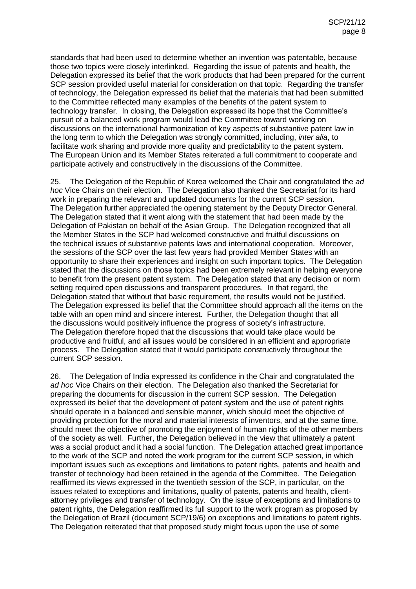standards that had been used to determine whether an invention was patentable, because those two topics were closely interlinked. Regarding the issue of patents and health, the Delegation expressed its belief that the work products that had been prepared for the current SCP session provided useful material for consideration on that topic. Regarding the transfer of technology, the Delegation expressed its belief that the materials that had been submitted to the Committee reflected many examples of the benefits of the patent system to technology transfer. In closing, the Delegation expressed its hope that the Committee's pursuit of a balanced work program would lead the Committee toward working on discussions on the international harmonization of key aspects of substantive patent law in the long term to which the Delegation was strongly committed, including, *inter alia*, to facilitate work sharing and provide more quality and predictability to the patent system. The European Union and its Member States reiterated a full commitment to cooperate and participate actively and constructively in the discussions of the Committee.

25. The Delegation of the Republic of Korea welcomed the Chair and congratulated the *ad hoc* Vice Chairs on their election. The Delegation also thanked the Secretariat for its hard work in preparing the relevant and updated documents for the current SCP session. The Delegation further appreciated the opening statement by the Deputy Director General. The Delegation stated that it went along with the statement that had been made by the Delegation of Pakistan on behalf of the Asian Group. The Delegation recognized that all the Member States in the SCP had welcomed constructive and fruitful discussions on the technical issues of substantive patents laws and international cooperation. Moreover, the sessions of the SCP over the last few years had provided Member States with an opportunity to share their experiences and insight on such important topics. The Delegation stated that the discussions on those topics had been extremely relevant in helping everyone to benefit from the present patent system. The Delegation stated that any decision or norm setting required open discussions and transparent procedures. In that regard, the Delegation stated that without that basic requirement, the results would not be justified. The Delegation expressed its belief that the Committee should approach all the items on the table with an open mind and sincere interest. Further, the Delegation thought that all the discussions would positively influence the progress of society's infrastructure. The Delegation therefore hoped that the discussions that would take place would be productive and fruitful, and all issues would be considered in an efficient and appropriate process. The Delegation stated that it would participate constructively throughout the current SCP session.

26. The Delegation of India expressed its confidence in the Chair and congratulated the *ad hoc* Vice Chairs on their election. The Delegation also thanked the Secretariat for preparing the documents for discussion in the current SCP session. The Delegation expressed its belief that the development of patent system and the use of patent rights should operate in a balanced and sensible manner, which should meet the objective of providing protection for the moral and material interests of inventors, and at the same time, should meet the objective of promoting the enjoyment of human rights of the other members of the society as well. Further, the Delegation believed in the view that ultimately a patent was a social product and it had a social function. The Delegation attached great importance to the work of the SCP and noted the work program for the current SCP session, in which important issues such as exceptions and limitations to patent rights, patents and health and transfer of technology had been retained in the agenda of the Committee. The Delegation reaffirmed its views expressed in the twentieth session of the SCP, in particular, on the issues related to exceptions and limitations, quality of patents, patents and health, clientattorney privileges and transfer of technology. On the issue of exceptions and limitations to patent rights, the Delegation reaffirmed its full support to the work program as proposed by the Delegation of Brazil (document SCP/19/6) on exceptions and limitations to patent rights. The Delegation reiterated that that proposed study might focus upon the use of some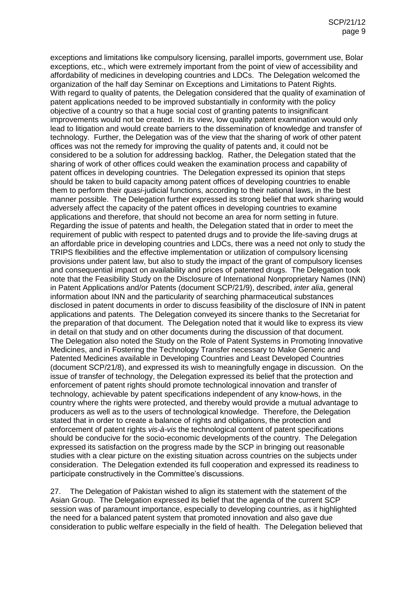exceptions and limitations like compulsory licensing, parallel imports, government use, Bolar exceptions, etc., which were extremely important from the point of view of accessibility and affordability of medicines in developing countries and LDCs. The Delegation welcomed the organization of the half day Seminar on Exceptions and Limitations to Patent Rights. With regard to quality of patents, the Delegation considered that the quality of examination of patent applications needed to be improved substantially in conformity with the policy objective of a country so that a huge social cost of granting patents to insignificant improvements would not be created. In its view, low quality patent examination would only lead to litigation and would create barriers to the dissemination of knowledge and transfer of technology. Further, the Delegation was of the view that the sharing of work of other patent offices was not the remedy for improving the quality of patents and, it could not be considered to be a solution for addressing backlog. Rather, the Delegation stated that the sharing of work of other offices could weaken the examination process and capability of patent offices in developing countries. The Delegation expressed its opinion that steps should be taken to build capacity among patent offices of developing countries to enable them to perform their *quasi*-judicial functions, according to their national laws, in the best manner possible. The Delegation further expressed its strong belief that work sharing would adversely affect the capacity of the patent offices in developing countries to examine applications and therefore, that should not become an area for norm setting in future. Regarding the issue of patents and health, the Delegation stated that in order to meet the requirement of public with respect to patented drugs and to provide the life-saving drugs at an affordable price in developing countries and LDCs, there was a need not only to study the TRIPS flexibilities and the effective implementation or utilization of compulsory licensing provisions under patent law, but also to study the impact of the grant of compulsory licenses and consequential impact on availability and prices of patented drugs. The Delegation took note that the Feasibility Study on the Disclosure of International Nonproprietary Names (INN) in Patent Applications and/or Patents (document SCP/21/9), described, *inter alia*, general information about INN and the particularity of searching pharmaceutical substances disclosed in patent documents in order to discuss feasibility of the disclosure of INN in patent applications and patents. The Delegation conveyed its sincere thanks to the Secretariat for the preparation of that document. The Delegation noted that it would like to express its view in detail on that study and on other documents during the discussion of that document. The Delegation also noted the Study on the Role of Patent Systems in Promoting Innovative Medicines, and in Fostering the Technology Transfer necessary to Make Generic and Patented Medicines available in Developing Countries and Least Developed Countries (document SCP/21/8), and expressed its wish to meaningfully engage in discussion. On the issue of transfer of technology, the Delegation expressed its belief that the protection and enforcement of patent rights should promote technological innovation and transfer of technology, achievable by patent specifications independent of any know-hows, in the country where the rights were protected, and thereby would provide a mutual advantage to producers as well as to the users of technological knowledge. Therefore, the Delegation stated that in order to create a balance of rights and obligations, the protection and enforcement of patent rights *vis-à-vis* the technological content of patent specifications should be conducive for the socio-economic developments of the country. The Delegation expressed its satisfaction on the progress made by the SCP in bringing out reasonable studies with a clear picture on the existing situation across countries on the subjects under consideration. The Delegation extended its full cooperation and expressed its readiness to participate constructively in the Committee's discussions.

27. The Delegation of Pakistan wished to align its statement with the statement of the Asian Group. The Delegation expressed its belief that the agenda of the current SCP session was of paramount importance, especially to developing countries, as it highlighted the need for a balanced patent system that promoted innovation and also gave due consideration to public welfare especially in the field of health. The Delegation believed that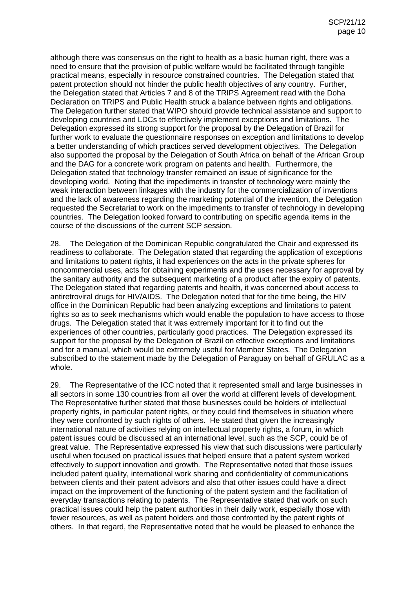although there was consensus on the right to health as a basic human right, there was a need to ensure that the provision of public welfare would be facilitated through tangible practical means, especially in resource constrained countries. The Delegation stated that patent protection should not hinder the public health objectives of any country. Further, the Delegation stated that Articles 7 and 8 of the TRIPS Agreement read with the Doha Declaration on TRIPS and Public Health struck a balance between rights and obligations. The Delegation further stated that WIPO should provide technical assistance and support to developing countries and LDCs to effectively implement exceptions and limitations. The Delegation expressed its strong support for the proposal by the Delegation of Brazil for further work to evaluate the questionnaire responses on exception and limitations to develop a better understanding of which practices served development objectives. The Delegation also supported the proposal by the Delegation of South Africa on behalf of the African Group and the DAG for a concrete work program on patents and health. Furthermore, the Delegation stated that technology transfer remained an issue of significance for the developing world. Noting that the impediments in transfer of technology were mainly the weak interaction between linkages with the industry for the commercialization of inventions and the lack of awareness regarding the marketing potential of the invention, the Delegation requested the Secretariat to work on the impediments to transfer of technology in developing countries. The Delegation looked forward to contributing on specific agenda items in the course of the discussions of the current SCP session.

28. The Delegation of the Dominican Republic congratulated the Chair and expressed its readiness to collaborate. The Delegation stated that regarding the application of exceptions and limitations to patent rights, it had experiences on the acts in the private spheres for noncommercial uses, acts for obtaining experiments and the uses necessary for approval by the sanitary authority and the subsequent marketing of a product after the expiry of patents. The Delegation stated that regarding patents and health, it was concerned about access to antiretroviral drugs for HIV/AIDS. The Delegation noted that for the time being, the HIV office in the Dominican Republic had been analyzing exceptions and limitations to patent rights so as to seek mechanisms which would enable the population to have access to those drugs. The Delegation stated that it was extremely important for it to find out the experiences of other countries, particularly good practices. The Delegation expressed its support for the proposal by the Delegation of Brazil on effective exceptions and limitations and for a manual, which would be extremely useful for Member States. The Delegation subscribed to the statement made by the Delegation of Paraguay on behalf of GRULAC as a whole.

29. The Representative of the ICC noted that it represented small and large businesses in all sectors in some 130 countries from all over the world at different levels of development. The Representative further stated that those businesses could be holders of intellectual property rights, in particular patent rights, or they could find themselves in situation where they were confronted by such rights of others. He stated that given the increasingly international nature of activities relying on intellectual property rights, a forum, in which patent issues could be discussed at an international level, such as the SCP, could be of great value. The Representative expressed his view that such discussions were particularly useful when focused on practical issues that helped ensure that a patent system worked effectively to support innovation and growth. The Representative noted that those issues included patent quality, international work sharing and confidentiality of communications between clients and their patent advisors and also that other issues could have a direct impact on the improvement of the functioning of the patent system and the facilitation of everyday transactions relating to patents. The Representative stated that work on such practical issues could help the patent authorities in their daily work, especially those with fewer resources, as well as patent holders and those confronted by the patent rights of others. In that regard, the Representative noted that he would be pleased to enhance the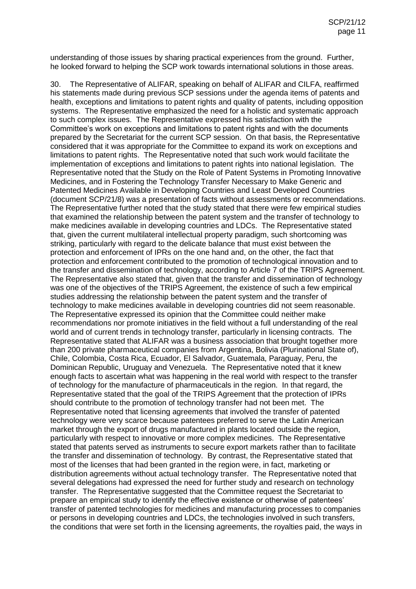understanding of those issues by sharing practical experiences from the ground. Further, he looked forward to helping the SCP work towards international solutions in those areas.

30. The Representative of ALIFAR, speaking on behalf of ALIFAR and CILFA, reaffirmed his statements made during previous SCP sessions under the agenda items of patents and health, exceptions and limitations to patent rights and quality of patents, including opposition systems. The Representative emphasized the need for a holistic and systematic approach to such complex issues. The Representative expressed his satisfaction with the Committee's work on exceptions and limitations to patent rights and with the documents prepared by the Secretariat for the current SCP session. On that basis, the Representative considered that it was appropriate for the Committee to expand its work on exceptions and limitations to patent rights. The Representative noted that such work would facilitate the implementation of exceptions and limitations to patent rights into national legislation. The Representative noted that the Study on the Role of Patent Systems in Promoting Innovative Medicines, and in Fostering the Technology Transfer Necessary to Make Generic and Patented Medicines Available in Developing Countries and Least Developed Countries (document SCP/21/8) was a presentation of facts without assessments or recommendations. The Representative further noted that the study stated that there were few empirical studies that examined the relationship between the patent system and the transfer of technology to make medicines available in developing countries and LDCs. The Representative stated that, given the current multilateral intellectual property paradigm, such shortcoming was striking, particularly with regard to the delicate balance that must exist between the protection and enforcement of IPRs on the one hand and, on the other, the fact that protection and enforcement contributed to the promotion of technological innovation and to the transfer and dissemination of technology, according to Article 7 of the TRIPS Agreement. The Representative also stated that, given that the transfer and dissemination of technology was one of the objectives of the TRIPS Agreement, the existence of such a few empirical studies addressing the relationship between the patent system and the transfer of technology to make medicines available in developing countries did not seem reasonable. The Representative expressed its opinion that the Committee could neither make recommendations nor promote initiatives in the field without a full understanding of the real world and of current trends in technology transfer, particularly in licensing contracts. The Representative stated that ALIFAR was a business association that brought together more than 200 private pharmaceutical companies from Argentina, Bolivia (Plurinational State of), Chile, Colombia, Costa Rica, Ecuador, El Salvador, Guatemala, Paraguay, Peru, the Dominican Republic, Uruguay and Venezuela. The Representative noted that it knew enough facts to ascertain what was happening in the real world with respect to the transfer of technology for the manufacture of pharmaceuticals in the region. In that regard, the Representative stated that the goal of the TRIPS Agreement that the protection of IPRs should contribute to the promotion of technology transfer had not been met. The Representative noted that licensing agreements that involved the transfer of patented technology were very scarce because patentees preferred to serve the Latin American market through the export of drugs manufactured in plants located outside the region, particularly with respect to innovative or more complex medicines. The Representative stated that patents served as instruments to secure export markets rather than to facilitate the transfer and dissemination of technology. By contrast, the Representative stated that most of the licenses that had been granted in the region were, in fact, marketing or distribution agreements without actual technology transfer. The Representative noted that several delegations had expressed the need for further study and research on technology transfer. The Representative suggested that the Committee request the Secretariat to prepare an empirical study to identify the effective existence or otherwise of patentees' transfer of patented technologies for medicines and manufacturing processes to companies or persons in developing countries and LDCs, the technologies involved in such transfers, the conditions that were set forth in the licensing agreements, the royalties paid, the ways in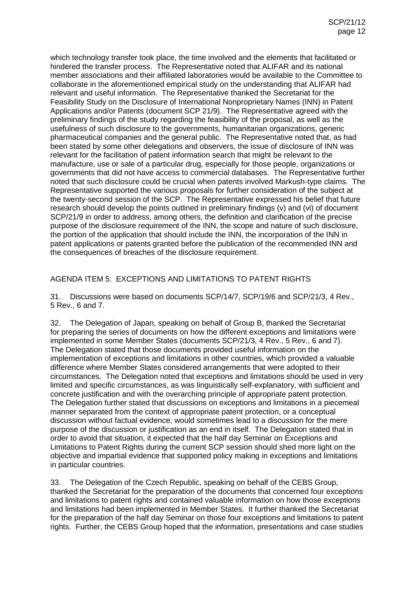which technology transfer took place, the time involved and the elements that facilitated or hindered the transfer process. The Representative noted that ALIFAR and its national member associations and their affiliated laboratories would be available to the Committee to collaborate in the aforementioned empirical study on the understanding that ALIFAR had relevant and useful information. The Representative thanked the Secretariat for the Feasibility Study on the Disclosure of International Nonproprietary Names (INN) in Patent Applications and/or Patents (document SCP 21/9). The Representative agreed with the preliminary findings of the study regarding the feasibility of the proposal, as well as the usefulness of such disclosure to the governments, humanitarian organizations, generic pharmaceutical companies and the general public. The Representative noted that, as had been stated by some other delegations and observers, the issue of disclosure of INN was relevant for the facilitation of patent information search that might be relevant to the manufacture, use or sale of a particular drug, especially for those people, organizations or governments that did not have access to commercial databases. The Representative further noted that such disclosure could be crucial when patents involved Markush-type claims. The Representative supported the various proposals for further consideration of the subject at the twenty-second session of the SCP. The Representative expressed his belief that future research should develop the points outlined in preliminary findings (v) and (vi) of document SCP/21/9 in order to address, among others, the definition and clarification of the precise purpose of the disclosure requirement of the INN, the scope and nature of such disclosure, the portion of the application that should include the INN, the incorporation of the INN in patent applications or patents granted before the publication of the recommended INN and the consequences of breaches of the disclosure requirement.

## AGENDA ITEM 5: EXCEPTIONS AND LIMITATIONS TO PATENT RIGHTS

31. Discussions were based on documents SCP/14/7, SCP/19/6 and SCP/21/3, 4 Rev., 5 Rev., 6 and 7.

32. The Delegation of Japan, speaking on behalf of Group B, thanked the Secretariat for preparing the series of documents on how the different exceptions and limitations were implemented in some Member States (documents SCP/21/3, 4 Rev., 5 Rev., 6 and 7). The Delegation stated that those documents provided useful information on the implementation of exceptions and limitations in other countries, which provided a valuable difference where Member States considered arrangements that were adopted to their circumstances. The Delegation noted that exceptions and limitations should be used in very limited and specific circumstances, as was linguistically self-explanatory, with sufficient and concrete justification and with the overarching principle of appropriate patent protection. The Delegation further stated that discussions on exceptions and limitations in a piecemeal manner separated from the context of appropriate patent protection, or a conceptual discussion without factual evidence, would sometimes lead to a discussion for the mere purpose of the discussion or justification as an end in itself. The Delegation stated that in order to avoid that situation, it expected that the half day Seminar on Exceptions and Limitations to Patent Rights during the current SCP session should shed more light on the objective and impartial evidence that supported policy making in exceptions and limitations in particular countries.

33. The Delegation of the Czech Republic, speaking on behalf of the CEBS Group, thanked the Secretariat for the preparation of the documents that concerned four exceptions and limitations to patent rights and contained valuable information on how those exceptions and limitations had been implemented in Member States. It further thanked the Secretariat for the preparation of the half day Seminar on those four exceptions and limitations to patent rights. Further, the CEBS Group hoped that the information, presentations and case studies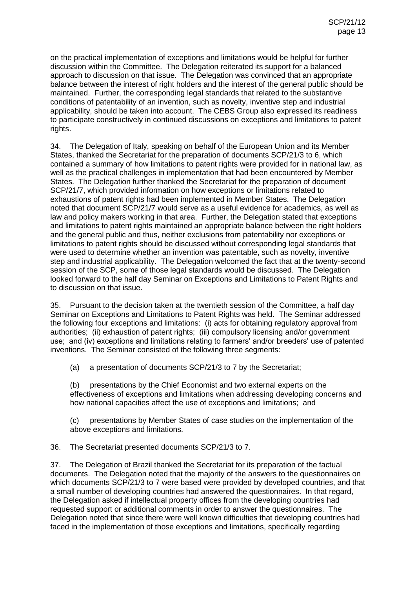on the practical implementation of exceptions and limitations would be helpful for further discussion within the Committee. The Delegation reiterated its support for a balanced approach to discussion on that issue. The Delegation was convinced that an appropriate balance between the interest of right holders and the interest of the general public should be maintained. Further, the corresponding legal standards that related to the substantive conditions of patentability of an invention, such as novelty, inventive step and industrial applicability, should be taken into account. The CEBS Group also expressed its readiness to participate constructively in continued discussions on exceptions and limitations to patent rights.

34. The Delegation of Italy, speaking on behalf of the European Union and its Member States, thanked the Secretariat for the preparation of documents SCP/21/3 to 6, which contained a summary of how limitations to patent rights were provided for in national law, as well as the practical challenges in implementation that had been encountered by Member States. The Delegation further thanked the Secretariat for the preparation of document SCP/21/7, which provided information on how exceptions or limitations related to exhaustions of patent rights had been implemented in Member States. The Delegation noted that document SCP/21/7 would serve as a useful evidence for academics, as well as law and policy makers working in that area. Further, the Delegation stated that exceptions and limitations to patent rights maintained an appropriate balance between the right holders and the general public and thus, neither exclusions from patentability nor exceptions or limitations to patent rights should be discussed without corresponding legal standards that were used to determine whether an invention was patentable, such as novelty, inventive step and industrial applicability. The Delegation welcomed the fact that at the twenty-second session of the SCP, some of those legal standards would be discussed. The Delegation looked forward to the half day Seminar on Exceptions and Limitations to Patent Rights and to discussion on that issue.

35. Pursuant to the decision taken at the twentieth session of the Committee, a half day Seminar on Exceptions and Limitations to Patent Rights was held. The Seminar addressed the following four exceptions and limitations: (i) acts for obtaining regulatory approval from authorities; (ii) exhaustion of patent rights; (iii) compulsory licensing and/or government use; and (iv) exceptions and limitations relating to farmers' and/or breeders' use of patented inventions. The Seminar consisted of the following three segments:

(a) a presentation of documents SCP/21/3 to 7 by the Secretariat;

(b) presentations by the Chief Economist and two external experts on the effectiveness of exceptions and limitations when addressing developing concerns and how national capacities affect the use of exceptions and limitations; and

(c) presentations by Member States of case studies on the implementation of the above exceptions and limitations.

36. The Secretariat presented documents SCP/21/3 to 7.

37. The Delegation of Brazil thanked the Secretariat for its preparation of the factual documents. The Delegation noted that the majority of the answers to the questionnaires on which documents SCP/21/3 to 7 were based were provided by developed countries, and that a small number of developing countries had answered the questionnaires. In that regard, the Delegation asked if intellectual property offices from the developing countries had requested support or additional comments in order to answer the questionnaires. The Delegation noted that since there were well known difficulties that developing countries had faced in the implementation of those exceptions and limitations, specifically regarding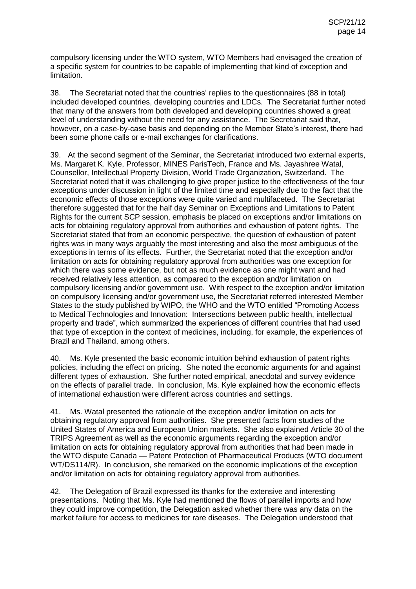compulsory licensing under the WTO system, WTO Members had envisaged the creation of a specific system for countries to be capable of implementing that kind of exception and limitation.

38. The Secretariat noted that the countries' replies to the questionnaires (88 in total) included developed countries, developing countries and LDCs. The Secretariat further noted that many of the answers from both developed and developing countries showed a great level of understanding without the need for any assistance. The Secretariat said that, however, on a case-by-case basis and depending on the Member State's interest, there had been some phone calls or e-mail exchanges for clarifications.

39. At the second segment of the Seminar, the Secretariat introduced two external experts, Ms. Margaret K. Kyle, Professor, MINES ParisTech, France and Ms. Jayashree Watal, Counsellor, Intellectual Property Division, World Trade Organization, Switzerland. The Secretariat noted that it was challenging to give proper justice to the effectiveness of the four exceptions under discussion in light of the limited time and especially due to the fact that the economic effects of those exceptions were quite varied and multifaceted. The Secretariat therefore suggested that for the half day Seminar on Exceptions and Limitations to Patent Rights for the current SCP session, emphasis be placed on exceptions and/or limitations on acts for obtaining regulatory approval from authorities and exhaustion of patent rights. The Secretariat stated that from an economic perspective, the question of exhaustion of patent rights was in many ways arguably the most interesting and also the most ambiguous of the exceptions in terms of its effects. Further, the Secretariat noted that the exception and/or limitation on acts for obtaining regulatory approval from authorities was one exception for which there was some evidence, but not as much evidence as one might want and had received relatively less attention, as compared to the exception and/or limitation on compulsory licensing and/or government use. With respect to the exception and/or limitation on compulsory licensing and/or government use, the Secretariat referred interested Member States to the study published by WIPO, the WHO and the WTO entitled "Promoting Access to Medical Technologies and Innovation: Intersections between public health, intellectual property and trade", which summarized the experiences of different countries that had used that type of exception in the context of medicines, including, for example, the experiences of Brazil and Thailand, among others.

40. Ms. Kyle presented the basic economic intuition behind exhaustion of patent rights policies, including the effect on pricing. She noted the economic arguments for and against different types of exhaustion. She further noted empirical, anecdotal and survey evidence on the effects of parallel trade. In conclusion, Ms. Kyle explained how the economic effects of international exhaustion were different across countries and settings.

41. Ms. Watal presented the rationale of the exception and/or limitation on acts for obtaining regulatory approval from authorities. She presented facts from studies of the United States of America and European Union markets. She also explained Article 30 of the TRIPS Agreement as well as the economic arguments regarding the exception and/or limitation on acts for obtaining regulatory approval from authorities that had been made in the WTO dispute Canada — Patent Protection of Pharmaceutical Products (WTO document WT/DS114/R). In conclusion, she remarked on the economic implications of the exception and/or limitation on acts for obtaining regulatory approval from authorities.

42. The Delegation of Brazil expressed its thanks for the extensive and interesting presentations. Noting that Ms. Kyle had mentioned the flows of parallel imports and how they could improve competition, the Delegation asked whether there was any data on the market failure for access to medicines for rare diseases. The Delegation understood that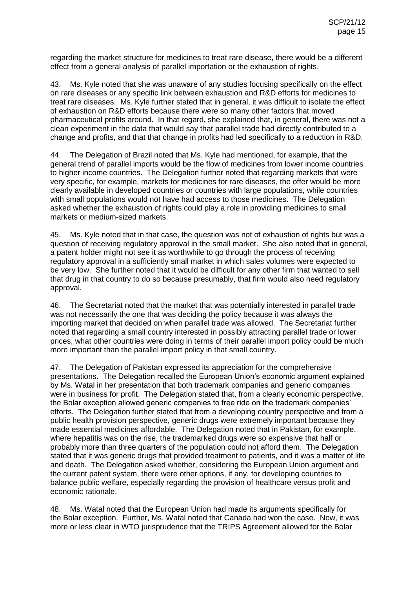regarding the market structure for medicines to treat rare disease, there would be a different effect from a general analysis of parallel importation or the exhaustion of rights.

43. Ms. Kyle noted that she was unaware of any studies focusing specifically on the effect on rare diseases or any specific link between exhaustion and R&D efforts for medicines to treat rare diseases. Ms. Kyle further stated that in general, it was difficult to isolate the effect of exhaustion on R&D efforts because there were so many other factors that moved pharmaceutical profits around. In that regard, she explained that, in general, there was not a clean experiment in the data that would say that parallel trade had directly contributed to a change and profits, and that that change in profits had led specifically to a reduction in R&D.

The Delegation of Brazil noted that Ms. Kyle had mentioned, for example, that the general trend of parallel imports would be the flow of medicines from lower income countries to higher income countries. The Delegation further noted that regarding markets that were very specific, for example, markets for medicines for rare diseases, the offer would be more clearly available in developed countries or countries with large populations, while countries with small populations would not have had access to those medicines. The Delegation asked whether the exhaustion of rights could play a role in providing medicines to small markets or medium-sized markets.

45. Ms. Kyle noted that in that case, the question was not of exhaustion of rights but was a question of receiving regulatory approval in the small market. She also noted that in general, a patent holder might not see it as worthwhile to go through the process of receiving regulatory approval in a sufficiently small market in which sales volumes were expected to be very low. She further noted that it would be difficult for any other firm that wanted to sell that drug in that country to do so because presumably, that firm would also need regulatory approval.

46. The Secretariat noted that the market that was potentially interested in parallel trade was not necessarily the one that was deciding the policy because it was always the importing market that decided on when parallel trade was allowed. The Secretariat further noted that regarding a small country interested in possibly attracting parallel trade or lower prices, what other countries were doing in terms of their parallel import policy could be much more important than the parallel import policy in that small country.

47. The Delegation of Pakistan expressed its appreciation for the comprehensive presentations. The Delegation recalled the European Union's economic argument explained by Ms. Watal in her presentation that both trademark companies and generic companies were in business for profit. The Delegation stated that, from a clearly economic perspective, the Bolar exception allowed generic companies to free ride on the trademark companies' efforts. The Delegation further stated that from a developing country perspective and from a public health provision perspective, generic drugs were extremely important because they made essential medicines affordable. The Delegation noted that in Pakistan, for example, where hepatitis was on the rise, the trademarked drugs were so expensive that half or probably more than three quarters of the population could not afford them. The Delegation stated that it was generic drugs that provided treatment to patients, and it was a matter of life and death. The Delegation asked whether, considering the European Union argument and the current patent system, there were other options, if any, for developing countries to balance public welfare, especially regarding the provision of healthcare versus profit and economic rationale.

48. Ms. Watal noted that the European Union had made its arguments specifically for the Bolar exception. Further, Ms. Watal noted that Canada had won the case. Now, it was more or less clear in WTO jurisprudence that the TRIPS Agreement allowed for the Bolar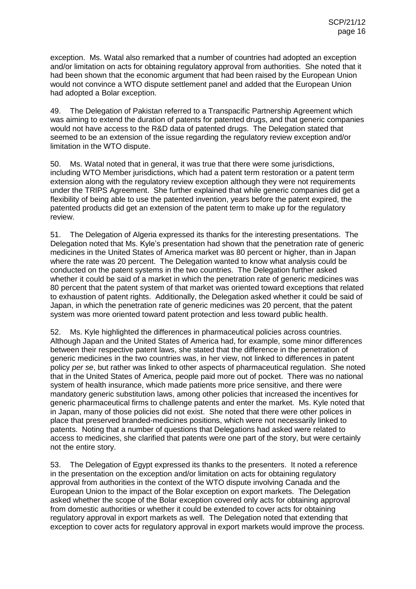exception. Ms. Watal also remarked that a number of countries had adopted an exception and/or limitation on acts for obtaining regulatory approval from authorities. She noted that it had been shown that the economic argument that had been raised by the European Union would not convince a WTO dispute settlement panel and added that the European Union had adopted a Bolar exception.

49. The Delegation of Pakistan referred to a Transpacific Partnership Agreement which was aiming to extend the duration of patents for patented drugs, and that generic companies would not have access to the R&D data of patented drugs. The Delegation stated that seemed to be an extension of the issue regarding the regulatory review exception and/or limitation in the WTO dispute.

50. Ms. Watal noted that in general, it was true that there were some jurisdictions, including WTO Member jurisdictions, which had a patent term restoration or a patent term extension along with the regulatory review exception although they were not requirements under the TRIPS Agreement. She further explained that while generic companies did get a flexibility of being able to use the patented invention, years before the patent expired, the patented products did get an extension of the patent term to make up for the regulatory review.

51. The Delegation of Algeria expressed its thanks for the interesting presentations. The Delegation noted that Ms. Kyle's presentation had shown that the penetration rate of generic medicines in the United States of America market was 80 percent or higher, than in Japan where the rate was 20 percent. The Delegation wanted to know what analysis could be conducted on the patent systems in the two countries. The Delegation further asked whether it could be said of a market in which the penetration rate of generic medicines was 80 percent that the patent system of that market was oriented toward exceptions that related to exhaustion of patent rights. Additionally, the Delegation asked whether it could be said of Japan, in which the penetration rate of generic medicines was 20 percent, that the patent system was more oriented toward patent protection and less toward public health.

52. Ms. Kyle highlighted the differences in pharmaceutical policies across countries. Although Japan and the United States of America had, for example, some minor differences between their respective patent laws, she stated that the difference in the penetration of generic medicines in the two countries was, in her view, not linked to differences in patent policy *per se*, but rather was linked to other aspects of pharmaceutical regulation. She noted that in the United States of America, people paid more out of pocket. There was no national system of health insurance, which made patients more price sensitive, and there were mandatory generic substitution laws, among other policies that increased the incentives for generic pharmaceutical firms to challenge patents and enter the market. Ms. Kyle noted that in Japan, many of those policies did not exist. She noted that there were other polices in place that preserved branded-medicines positions, which were not necessarily linked to patents. Noting that a number of questions that Delegations had asked were related to access to medicines, she clarified that patents were one part of the story, but were certainly not the entire story.

53. The Delegation of Egypt expressed its thanks to the presenters. It noted a reference in the presentation on the exception and/or limitation on acts for obtaining regulatory approval from authorities in the context of the WTO dispute involving Canada and the European Union to the impact of the Bolar exception on export markets. The Delegation asked whether the scope of the Bolar exception covered only acts for obtaining approval from domestic authorities or whether it could be extended to cover acts for obtaining regulatory approval in export markets as well. The Delegation noted that extending that exception to cover acts for regulatory approval in export markets would improve the process.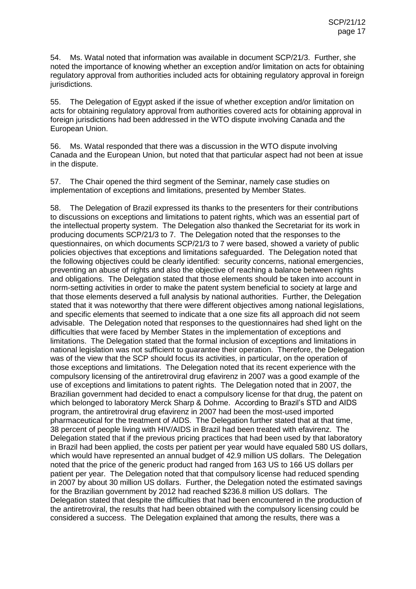54. Ms. Watal noted that information was available in document SCP/21/3. Further, she noted the importance of knowing whether an exception and/or limitation on acts for obtaining regulatory approval from authorities included acts for obtaining regulatory approval in foreign jurisdictions.

55. The Delegation of Egypt asked if the issue of whether exception and/or limitation on acts for obtaining regulatory approval from authorities covered acts for obtaining approval in foreign jurisdictions had been addressed in the WTO dispute involving Canada and the European Union.

56. Ms. Watal responded that there was a discussion in the WTO dispute involving Canada and the European Union, but noted that that particular aspect had not been at issue in the dispute.

57. The Chair opened the third segment of the Seminar, namely case studies on implementation of exceptions and limitations, presented by Member States.

58. The Delegation of Brazil expressed its thanks to the presenters for their contributions to discussions on exceptions and limitations to patent rights, which was an essential part of the intellectual property system. The Delegation also thanked the Secretariat for its work in producing documents SCP/21/3 to 7. The Delegation noted that the responses to the questionnaires, on which documents SCP/21/3 to 7 were based, showed a variety of public policies objectives that exceptions and limitations safeguarded. The Delegation noted that the following objectives could be clearly identified: security concerns, national emergencies, preventing an abuse of rights and also the objective of reaching a balance between rights and obligations. The Delegation stated that those elements should be taken into account in norm-setting activities in order to make the patent system beneficial to society at large and that those elements deserved a full analysis by national authorities. Further, the Delegation stated that it was noteworthy that there were different objectives among national legislations, and specific elements that seemed to indicate that a one size fits all approach did not seem advisable. The Delegation noted that responses to the questionnaires had shed light on the difficulties that were faced by Member States in the implementation of exceptions and limitations. The Delegation stated that the formal inclusion of exceptions and limitations in national legislation was not sufficient to guarantee their operation. Therefore, the Delegation was of the view that the SCP should focus its activities, in particular, on the operation of those exceptions and limitations. The Delegation noted that its recent experience with the compulsory licensing of the antiretroviral drug efavirenz in 2007 was a good example of the use of exceptions and limitations to patent rights. The Delegation noted that in 2007, the Brazilian government had decided to enact a compulsory license for that drug, the patent on which belonged to laboratory Merck Sharp & Dohme. According to Brazil's STD and AIDS program, the antiretroviral drug efavirenz in 2007 had been the most-used imported pharmaceutical for the treatment of AIDS. The Delegation further stated that at that time, 38 percent of people living with HIV/AIDS in Brazil had been treated with efavirenz. The Delegation stated that if the previous pricing practices that had been used by that laboratory in Brazil had been applied, the costs per patient per year would have equaled 580 US dollars, which would have represented an annual budget of 42.9 million US dollars. The Delegation noted that the price of the generic product had ranged from 163 US to 166 US dollars per patient per year. The Delegation noted that that compulsory license had reduced spending in 2007 by about 30 million US dollars. Further, the Delegation noted the estimated savings for the Brazilian government by 2012 had reached \$236.8 million US dollars. The Delegation stated that despite the difficulties that had been encountered in the production of the antiretroviral, the results that had been obtained with the compulsory licensing could be considered a success. The Delegation explained that among the results, there was a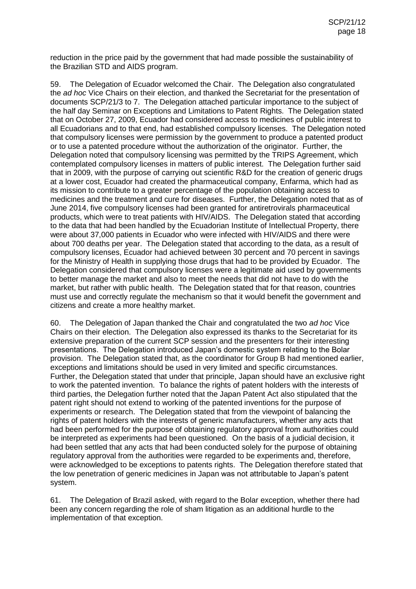reduction in the price paid by the government that had made possible the sustainability of the Brazilian STD and AIDS program.

59. The Delegation of Ecuador welcomed the Chair. The Delegation also congratulated the *ad hoc* Vice Chairs on their election, and thanked the Secretariat for the presentation of documents SCP/21/3 to 7. The Delegation attached particular importance to the subject of the half day Seminar on Exceptions and Limitations to Patent Rights. The Delegation stated that on October 27, 2009, Ecuador had considered access to medicines of public interest to all Ecuadorians and to that end, had established compulsory licenses. The Delegation noted that compulsory licenses were permission by the government to produce a patented product or to use a patented procedure without the authorization of the originator. Further, the Delegation noted that compulsory licensing was permitted by the TRIPS Agreement, which contemplated compulsory licenses in matters of public interest. The Delegation further said that in 2009, with the purpose of carrying out scientific R&D for the creation of generic drugs at a lower cost, Ecuador had created the pharmaceutical company, Enfarma, which had as its mission to contribute to a greater percentage of the population obtaining access to medicines and the treatment and cure for diseases. Further, the Delegation noted that as of June 2014, five compulsory licenses had been granted for antiretrovirals pharmaceutical products, which were to treat patients with HIV/AIDS. The Delegation stated that according to the data that had been handled by the Ecuadorian Institute of Intellectual Property, there were about 37,000 patients in Ecuador who were infected with HIV/AIDS and there were about 700 deaths per year. The Delegation stated that according to the data, as a result of compulsory licenses, Ecuador had achieved between 30 percent and 70 percent in savings for the Ministry of Health in supplying those drugs that had to be provided by Ecuador. The Delegation considered that compulsory licenses were a legitimate aid used by governments to better manage the market and also to meet the needs that did not have to do with the market, but rather with public health. The Delegation stated that for that reason, countries must use and correctly regulate the mechanism so that it would benefit the government and citizens and create a more healthy market.

60. The Delegation of Japan thanked the Chair and congratulated the two *ad hoc* Vice Chairs on their election. The Delegation also expressed its thanks to the Secretariat for its extensive preparation of the current SCP session and the presenters for their interesting presentations. The Delegation introduced Japan's domestic system relating to the Bolar provision. The Delegation stated that, as the coordinator for Group B had mentioned earlier, exceptions and limitations should be used in very limited and specific circumstances. Further, the Delegation stated that under that principle, Japan should have an exclusive right to work the patented invention. To balance the rights of patent holders with the interests of third parties, the Delegation further noted that the Japan Patent Act also stipulated that the patent right should not extend to working of the patented inventions for the purpose of experiments or research. The Delegation stated that from the viewpoint of balancing the rights of patent holders with the interests of generic manufacturers, whether any acts that had been performed for the purpose of obtaining regulatory approval from authorities could be interpreted as experiments had been questioned. On the basis of a judicial decision, it had been settled that any acts that had been conducted solely for the purpose of obtaining regulatory approval from the authorities were regarded to be experiments and, therefore, were acknowledged to be exceptions to patents rights. The Delegation therefore stated that the low penetration of generic medicines in Japan was not attributable to Japan's patent system.

61. The Delegation of Brazil asked, with regard to the Bolar exception, whether there had been any concern regarding the role of sham litigation as an additional hurdle to the implementation of that exception.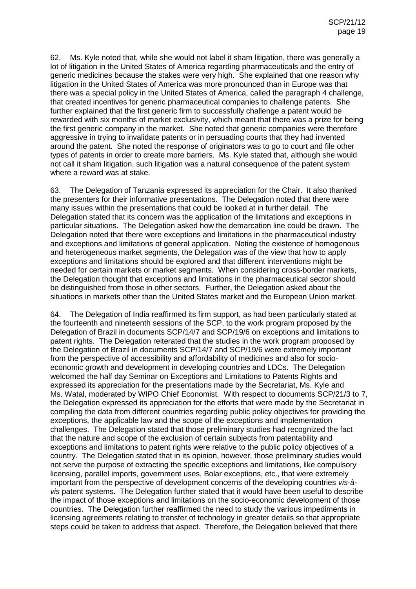62. Ms. Kyle noted that, while she would not label it sham litigation, there was generally a lot of litigation in the United States of America regarding pharmaceuticals and the entry of generic medicines because the stakes were very high. She explained that one reason why litigation in the United States of America was more pronounced than in Europe was that there was a special policy in the United States of America, called the paragraph 4 challenge, that created incentives for generic pharmaceutical companies to challenge patents. She further explained that the first generic firm to successfully challenge a patent would be rewarded with six months of market exclusivity, which meant that there was a prize for being the first generic company in the market. She noted that generic companies were therefore aggressive in trying to invalidate patents or in persuading courts that they had invented around the patent. She noted the response of originators was to go to court and file other types of patents in order to create more barriers. Ms. Kyle stated that, although she would not call it sham litigation, such litigation was a natural consequence of the patent system where a reward was at stake.

63. The Delegation of Tanzania expressed its appreciation for the Chair. It also thanked the presenters for their informative presentations. The Delegation noted that there were many issues within the presentations that could be looked at in further detail. The Delegation stated that its concern was the application of the limitations and exceptions in particular situations. The Delegation asked how the demarcation line could be drawn. The Delegation noted that there were exceptions and limitations in the pharmaceutical industry and exceptions and limitations of general application. Noting the existence of homogenous and heterogeneous market segments, the Delegation was of the view that how to apply exceptions and limitations should be explored and that different interventions might be needed for certain markets or market segments. When considering cross-border markets, the Delegation thought that exceptions and limitations in the pharmaceutical sector should be distinguished from those in other sectors. Further, the Delegation asked about the situations in markets other than the United States market and the European Union market.

64. The Delegation of India reaffirmed its firm support, as had been particularly stated at the fourteenth and nineteenth sessions of the SCP, to the work program proposed by the Delegation of Brazil in documents SCP/14/7 and SCP/19/6 on exceptions and limitations to patent rights. The Delegation reiterated that the studies in the work program proposed by the Delegation of Brazil in documents SCP/14/7 and SCP/19/6 were extremely important from the perspective of accessibility and affordability of medicines and also for socioeconomic growth and development in developing countries and LDCs. The Delegation welcomed the half day Seminar on Exceptions and Limitations to Patents Rights and expressed its appreciation for the presentations made by the Secretariat, Ms. Kyle and Ms. Watal, moderated by WIPO Chief Economist. With respect to documents SCP/21/3 to 7, the Delegation expressed its appreciation for the efforts that were made by the Secretariat in compiling the data from different countries regarding public policy objectives for providing the exceptions, the applicable law and the scope of the exceptions and implementation challenges. The Delegation stated that those preliminary studies had recognized the fact that the nature and scope of the exclusion of certain subjects from patentability and exceptions and limitations to patent rights were relative to the public policy objectives of a country. The Delegation stated that in its opinion, however, those preliminary studies would not serve the purpose of extracting the specific exceptions and limitations, like compulsory licensing, parallel imports, government uses, Bolar exceptions, etc., that were extremely important from the perspective of development concerns of the developing countries *vis-àvis* patent systems. The Delegation further stated that it would have been useful to describe the impact of those exceptions and limitations on the socio-economic development of those countries. The Delegation further reaffirmed the need to study the various impediments in licensing agreements relating to transfer of technology in greater details so that appropriate steps could be taken to address that aspect. Therefore, the Delegation believed that there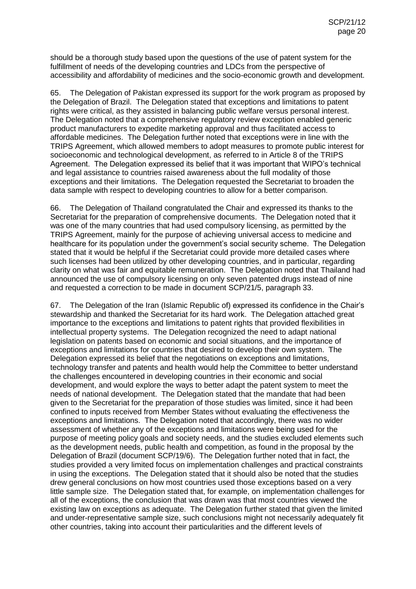should be a thorough study based upon the questions of the use of patent system for the fulfillment of needs of the developing countries and LDCs from the perspective of accessibility and affordability of medicines and the socio-economic growth and development.

65. The Delegation of Pakistan expressed its support for the work program as proposed by the Delegation of Brazil. The Delegation stated that exceptions and limitations to patent rights were critical, as they assisted in balancing public welfare versus personal interest. The Delegation noted that a comprehensive regulatory review exception enabled generic product manufacturers to expedite marketing approval and thus facilitated access to affordable medicines. The Delegation further noted that exceptions were in line with the TRIPS Agreement, which allowed members to adopt measures to promote public interest for socioeconomic and technological development, as referred to in Article 8 of the TRIPS Agreement. The Delegation expressed its belief that it was important that WIPO's technical and legal assistance to countries raised awareness about the full modality of those exceptions and their limitations. The Delegation requested the Secretariat to broaden the data sample with respect to developing countries to allow for a better comparison.

66. The Delegation of Thailand congratulated the Chair and expressed its thanks to the Secretariat for the preparation of comprehensive documents. The Delegation noted that it was one of the many countries that had used compulsory licensing, as permitted by the TRIPS Agreement, mainly for the purpose of achieving universal access to medicine and healthcare for its population under the government's social security scheme. The Delegation stated that it would be helpful if the Secretariat could provide more detailed cases where such licenses had been utilized by other developing countries, and in particular, regarding clarity on what was fair and equitable remuneration. The Delegation noted that Thailand had announced the use of compulsory licensing on only seven patented drugs instead of nine and requested a correction to be made in document SCP/21/5, paragraph 33.

67. The Delegation of the Iran (Islamic Republic of) expressed its confidence in the Chair's stewardship and thanked the Secretariat for its hard work. The Delegation attached great importance to the exceptions and limitations to patent rights that provided flexibilities in intellectual property systems. The Delegation recognized the need to adapt national legislation on patents based on economic and social situations, and the importance of exceptions and limitations for countries that desired to develop their own system. The Delegation expressed its belief that the negotiations on exceptions and limitations, technology transfer and patents and health would help the Committee to better understand the challenges encountered in developing countries in their economic and social development, and would explore the ways to better adapt the patent system to meet the needs of national development. The Delegation stated that the mandate that had been given to the Secretariat for the preparation of those studies was limited, since it had been confined to inputs received from Member States without evaluating the effectiveness the exceptions and limitations. The Delegation noted that accordingly, there was no wider assessment of whether any of the exceptions and limitations were being used for the purpose of meeting policy goals and society needs, and the studies excluded elements such as the development needs, public health and competition, as found in the proposal by the Delegation of Brazil (document SCP/19/6). The Delegation further noted that in fact, the studies provided a very limited focus on implementation challenges and practical constraints in using the exceptions. The Delegation stated that it should also be noted that the studies drew general conclusions on how most countries used those exceptions based on a very little sample size. The Delegation stated that, for example, on implementation challenges for all of the exceptions, the conclusion that was drawn was that most countries viewed the existing law on exceptions as adequate. The Delegation further stated that given the limited and under-representative sample size, such conclusions might not necessarily adequately fit other countries, taking into account their particularities and the different levels of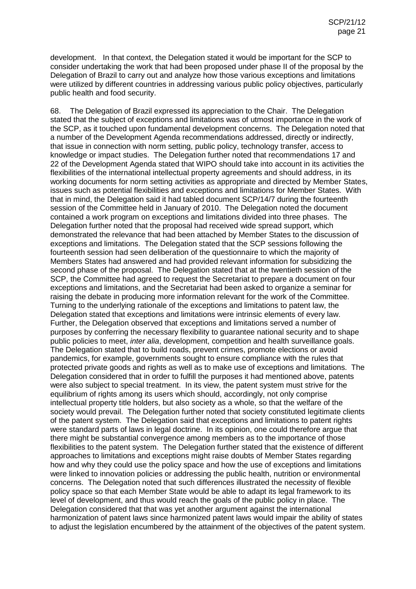development. In that context, the Delegation stated it would be important for the SCP to consider undertaking the work that had been proposed under phase II of the proposal by the Delegation of Brazil to carry out and analyze how those various exceptions and limitations were utilized by different countries in addressing various public policy objectives, particularly public health and food security.

68. The Delegation of Brazil expressed its appreciation to the Chair. The Delegation stated that the subject of exceptions and limitations was of utmost importance in the work of the SCP, as it touched upon fundamental development concerns. The Delegation noted that a number of the Development Agenda recommendations addressed, directly or indirectly, that issue in connection with norm setting, public policy, technology transfer, access to knowledge or impact studies. The Delegation further noted that recommendations 17 and 22 of the Development Agenda stated that WIPO should take into account in its activities the flexibilities of the international intellectual property agreements and should address, in its working documents for norm setting activities as appropriate and directed by Member States, issues such as potential flexibilities and exceptions and limitations for Member States. With that in mind, the Delegation said it had tabled document SCP/14/7 during the fourteenth session of the Committee held in January of 2010. The Delegation noted the document contained a work program on exceptions and limitations divided into three phases. The Delegation further noted that the proposal had received wide spread support, which demonstrated the relevance that had been attached by Member States to the discussion of exceptions and limitations. The Delegation stated that the SCP sessions following the fourteenth session had seen deliberation of the questionnaire to which the majority of Members States had answered and had provided relevant information for subsidizing the second phase of the proposal. The Delegation stated that at the twentieth session of the SCP, the Committee had agreed to request the Secretariat to prepare a document on four exceptions and limitations, and the Secretariat had been asked to organize a seminar for raising the debate in producing more information relevant for the work of the Committee. Turning to the underlying rationale of the exceptions and limitations to patent law, the Delegation stated that exceptions and limitations were intrinsic elements of every law. Further, the Delegation observed that exceptions and limitations served a number of purposes by conferring the necessary flexibility to guarantee national security and to shape public policies to meet, *inter alia*, development, competition and health surveillance goals. The Delegation stated that to build roads, prevent crimes, promote elections or avoid pandemics, for example, governments sought to ensure compliance with the rules that protected private goods and rights as well as to make use of exceptions and limitations. The Delegation considered that in order to fulfill the purposes it had mentioned above, patents were also subject to special treatment. In its view, the patent system must strive for the equilibrium of rights among its users which should, accordingly, not only comprise intellectual property title holders, but also society as a whole, so that the welfare of the society would prevail. The Delegation further noted that society constituted legitimate clients of the patent system. The Delegation said that exceptions and limitations to patent rights were standard parts of laws in legal doctrine. In its opinion, one could therefore argue that there might be substantial convergence among members as to the importance of those flexibilities to the patent system. The Delegation further stated that the existence of different approaches to limitations and exceptions might raise doubts of Member States regarding how and why they could use the policy space and how the use of exceptions and limitations were linked to innovation policies or addressing the public health, nutrition or environmental concerns. The Delegation noted that such differences illustrated the necessity of flexible policy space so that each Member State would be able to adapt its legal framework to its level of development, and thus would reach the goals of the public policy in place. The Delegation considered that that was yet another argument against the international harmonization of patent laws since harmonized patent laws would impair the ability of states to adjust the legislation encumbered by the attainment of the objectives of the patent system.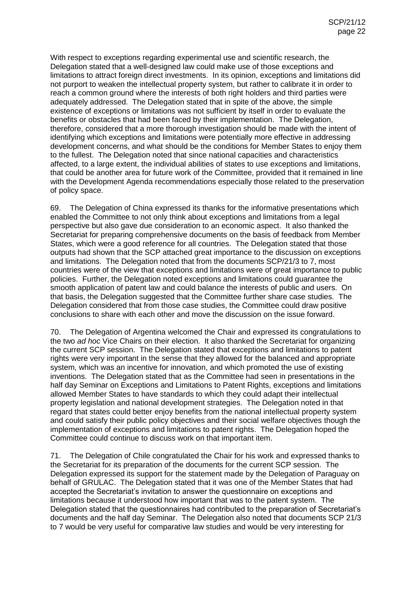With respect to exceptions regarding experimental use and scientific research, the Delegation stated that a well-designed law could make use of those exceptions and limitations to attract foreign direct investments. In its opinion, exceptions and limitations did not purport to weaken the intellectual property system, but rather to calibrate it in order to reach a common ground where the interests of both right holders and third parties were adequately addressed. The Delegation stated that in spite of the above, the simple existence of exceptions or limitations was not sufficient by itself in order to evaluate the benefits or obstacles that had been faced by their implementation. The Delegation, therefore, considered that a more thorough investigation should be made with the intent of identifying which exceptions and limitations were potentially more effective in addressing development concerns, and what should be the conditions for Member States to enjoy them to the fullest. The Delegation noted that since national capacities and characteristics affected, to a large extent, the individual abilities of states to use exceptions and limitations, that could be another area for future work of the Committee, provided that it remained in line with the Development Agenda recommendations especially those related to the preservation of policy space.

69. The Delegation of China expressed its thanks for the informative presentations which enabled the Committee to not only think about exceptions and limitations from a legal perspective but also gave due consideration to an economic aspect. It also thanked the Secretariat for preparing comprehensive documents on the basis of feedback from Member States, which were a good reference for all countries. The Delegation stated that those outputs had shown that the SCP attached great importance to the discussion on exceptions and limitations. The Delegation noted that from the documents SCP/21/3 to 7, most countries were of the view that exceptions and limitations were of great importance to public policies. Further, the Delegation noted exceptions and limitations could guarantee the smooth application of patent law and could balance the interests of public and users. On that basis, the Delegation suggested that the Committee further share case studies. The Delegation considered that from those case studies, the Committee could draw positive conclusions to share with each other and move the discussion on the issue forward.

70. The Delegation of Argentina welcomed the Chair and expressed its congratulations to the two *ad hoc* Vice Chairs on their election. It also thanked the Secretariat for organizing the current SCP session. The Delegation stated that exceptions and limitations to patent rights were very important in the sense that they allowed for the balanced and appropriate system, which was an incentive for innovation, and which promoted the use of existing inventions. The Delegation stated that as the Committee had seen in presentations in the half day Seminar on Exceptions and Limitations to Patent Rights, exceptions and limitations allowed Member States to have standards to which they could adapt their intellectual property legislation and national development strategies. The Delegation noted in that regard that states could better enjoy benefits from the national intellectual property system and could satisfy their public policy objectives and their social welfare objectives though the implementation of exceptions and limitations to patent rights. The Delegation hoped the Committee could continue to discuss work on that important item.

71. The Delegation of Chile congratulated the Chair for his work and expressed thanks to the Secretariat for its preparation of the documents for the current SCP session. The Delegation expressed its support for the statement made by the Delegation of Paraguay on behalf of GRULAC. The Delegation stated that it was one of the Member States that had accepted the Secretariat's invitation to answer the questionnaire on exceptions and limitations because it understood how important that was to the patent system. The Delegation stated that the questionnaires had contributed to the preparation of Secretariat's documents and the half day Seminar. The Delegation also noted that documents SCP 21/3 to 7 would be very useful for comparative law studies and would be very interesting for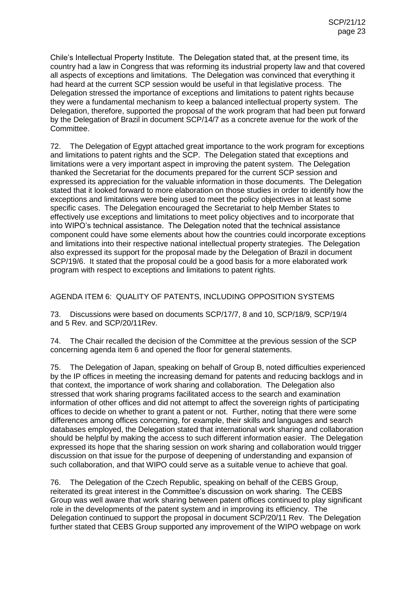Chile's Intellectual Property Institute. The Delegation stated that, at the present time, its country had a law in Congress that was reforming its industrial property law and that covered all aspects of exceptions and limitations. The Delegation was convinced that everything it had heard at the current SCP session would be useful in that legislative process. The Delegation stressed the importance of exceptions and limitations to patent rights because they were a fundamental mechanism to keep a balanced intellectual property system. The Delegation, therefore, supported the proposal of the work program that had been put forward by the Delegation of Brazil in document SCP/14/7 as a concrete avenue for the work of the Committee.

72. The Delegation of Egypt attached great importance to the work program for exceptions and limitations to patent rights and the SCP. The Delegation stated that exceptions and limitations were a very important aspect in improving the patent system. The Delegation thanked the Secretariat for the documents prepared for the current SCP session and expressed its appreciation for the valuable information in those documents. The Delegation stated that it looked forward to more elaboration on those studies in order to identify how the exceptions and limitations were being used to meet the policy objectives in at least some specific cases. The Delegation encouraged the Secretariat to help Member States to effectively use exceptions and limitations to meet policy objectives and to incorporate that into WIPO's technical assistance. The Delegation noted that the technical assistance component could have some elements about how the countries could incorporate exceptions and limitations into their respective national intellectual property strategies. The Delegation also expressed its support for the proposal made by the Delegation of Brazil in document SCP/19/6. It stated that the proposal could be a good basis for a more elaborated work program with respect to exceptions and limitations to patent rights.

AGENDA ITEM 6: QUALITY OF PATENTS, INCLUDING OPPOSITION SYSTEMS

73. Discussions were based on documents SCP/17/7, 8 and 10, SCP/18/9, SCP/19/4 and 5 Rev. and SCP/20/11Rev.

74. The Chair recalled the decision of the Committee at the previous session of the SCP concerning agenda item 6 and opened the floor for general statements.

75. The Delegation of Japan, speaking on behalf of Group B, noted difficulties experienced by the IP offices in meeting the increasing demand for patents and reducing backlogs and in that context, the importance of work sharing and collaboration. The Delegation also stressed that work sharing programs facilitated access to the search and examination information of other offices and did not attempt to affect the sovereign rights of participating offices to decide on whether to grant a patent or not. Further, noting that there were some differences among offices concerning, for example, their skills and languages and search databases employed, the Delegation stated that international work sharing and collaboration should be helpful by making the access to such different information easier. The Delegation expressed its hope that the sharing session on work sharing and collaboration would trigger discussion on that issue for the purpose of deepening of understanding and expansion of such collaboration, and that WIPO could serve as a suitable venue to achieve that goal.

76. The Delegation of the Czech Republic, speaking on behalf of the CEBS Group, reiterated its great interest in the Committee's discussion on work sharing. The CEBS Group was well aware that work sharing between patent offices continued to play significant role in the developments of the patent system and in improving its efficiency. The Delegation continued to support the proposal in document SCP/20/11 Rev. The Delegation further stated that CEBS Group supported any improvement of the WIPO webpage on work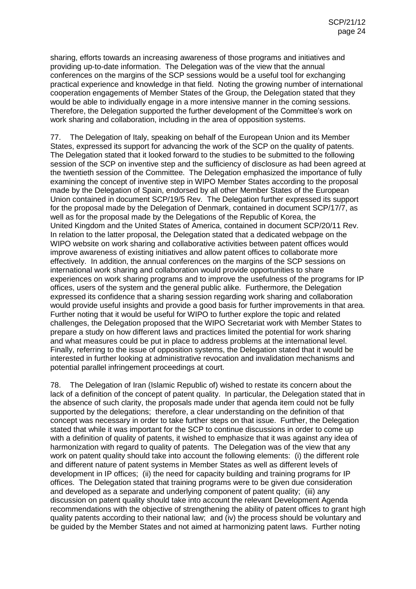sharing, efforts towards an increasing awareness of those programs and initiatives and providing up-to-date information. The Delegation was of the view that the annual conferences on the margins of the SCP sessions would be a useful tool for exchanging practical experience and knowledge in that field. Noting the growing number of international cooperation engagements of Member States of the Group, the Delegation stated that they would be able to individually engage in a more intensive manner in the coming sessions. Therefore, the Delegation supported the further development of the Committee's work on work sharing and collaboration, including in the area of opposition systems.

77. The Delegation of Italy, speaking on behalf of the European Union and its Member States, expressed its support for advancing the work of the SCP on the quality of patents. The Delegation stated that it looked forward to the studies to be submitted to the following session of the SCP on inventive step and the sufficiency of disclosure as had been agreed at the twentieth session of the Committee. The Delegation emphasized the importance of fully examining the concept of inventive step in WIPO Member States according to the proposal made by the Delegation of Spain, endorsed by all other Member States of the European Union contained in document SCP/19/5 Rev. The Delegation further expressed its support for the proposal made by the Delegation of Denmark, contained in document SCP/17/7, as well as for the proposal made by the Delegations of the Republic of Korea, the United Kingdom and the United States of America, contained in document SCP/20/11 Rev. In relation to the latter proposal, the Delegation stated that a dedicated webpage on the WIPO website on work sharing and collaborative activities between patent offices would improve awareness of existing initiatives and allow patent offices to collaborate more effectively. In addition, the annual conferences on the margins of the SCP sessions on international work sharing and collaboration would provide opportunities to share experiences on work sharing programs and to improve the usefulness of the programs for IP offices, users of the system and the general public alike. Furthermore, the Delegation expressed its confidence that a sharing session regarding work sharing and collaboration would provide useful insights and provide a good basis for further improvements in that area. Further noting that it would be useful for WIPO to further explore the topic and related challenges, the Delegation proposed that the WIPO Secretariat work with Member States to prepare a study on how different laws and practices limited the potential for work sharing and what measures could be put in place to address problems at the international level. Finally, referring to the issue of opposition systems, the Delegation stated that it would be interested in further looking at administrative revocation and invalidation mechanisms and potential parallel infringement proceedings at court.

78. The Delegation of Iran (Islamic Republic of) wished to restate its concern about the lack of a definition of the concept of patent quality. In particular, the Delegation stated that in the absence of such clarity, the proposals made under that agenda item could not be fully supported by the delegations; therefore, a clear understanding on the definition of that concept was necessary in order to take further steps on that issue. Further, the Delegation stated that while it was important for the SCP to continue discussions in order to come up with a definition of quality of patents, it wished to emphasize that it was against any idea of harmonization with regard to quality of patents. The Delegation was of the view that any work on patent quality should take into account the following elements: (i) the different role and different nature of patent systems in Member States as well as different levels of development in IP offices; (ii) the need for capacity building and training programs for IP offices. The Delegation stated that training programs were to be given due consideration and developed as a separate and underlying component of patent quality; (iii) any discussion on patent quality should take into account the relevant Development Agenda recommendations with the objective of strengthening the ability of patent offices to grant high quality patents according to their national law; and (iv) the process should be voluntary and be guided by the Member States and not aimed at harmonizing patent laws. Further noting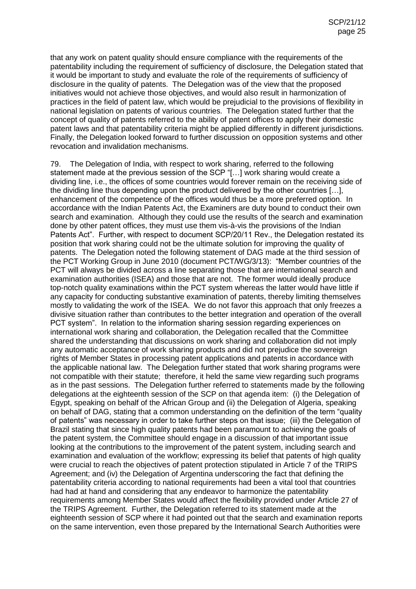that any work on patent quality should ensure compliance with the requirements of the patentability including the requirement of sufficiency of disclosure, the Delegation stated that it would be important to study and evaluate the role of the requirements of sufficiency of disclosure in the quality of patents. The Delegation was of the view that the proposed initiatives would not achieve those objectives, and would also result in harmonization of practices in the field of patent law, which would be prejudicial to the provisions of flexibility in national legislation on patents of various countries. The Delegation stated further that the concept of quality of patents referred to the ability of patent offices to apply their domestic patent laws and that patentability criteria might be applied differently in different jurisdictions. Finally, the Delegation looked forward to further discussion on opposition systems and other revocation and invalidation mechanisms.

79. The Delegation of India, with respect to work sharing, referred to the following statement made at the previous session of the SCP "[…] work sharing would create a dividing line, i.e., the offices of some countries would forever remain on the receiving side of the dividing line thus depending upon the product delivered by the other countries […], enhancement of the competence of the offices would thus be a more preferred option. In accordance with the Indian Patents Act, the Examiners are duty bound to conduct their own search and examination. Although they could use the results of the search and examination done by other patent offices, they must use them vis-à-vis the provisions of the Indian Patents Act". Further, with respect to document SCP/20/11 Rev., the Delegation restated its position that work sharing could not be the ultimate solution for improving the quality of patents. The Delegation noted the following statement of DAG made at the third session of the PCT Working Group in June 2010 (document PCT/WG/3/13): "Member countries of the PCT will always be divided across a line separating those that are international search and examination authorities (ISEA) and those that are not. The former would ideally produce top-notch quality examinations within the PCT system whereas the latter would have little if any capacity for conducting substantive examination of patents, thereby limiting themselves mostly to validating the work of the ISEA. We do not favor this approach that only freezes a divisive situation rather than contributes to the better integration and operation of the overall PCT system". In relation to the information sharing session regarding experiences on international work sharing and collaboration, the Delegation recalled that the Committee shared the understanding that discussions on work sharing and collaboration did not imply any automatic acceptance of work sharing products and did not prejudice the sovereign rights of Member States in processing patent applications and patents in accordance with the applicable national law. The Delegation further stated that work sharing programs were not compatible with their statute; therefore, it held the same view regarding such programs as in the past sessions. The Delegation further referred to statements made by the following delegations at the eighteenth session of the SCP on that agenda item: (i) the Delegation of Egypt, speaking on behalf of the African Group and (ii) the Delegation of Algeria, speaking on behalf of DAG, stating that a common understanding on the definition of the term "quality of patents" was necessary in order to take further steps on that issue; (iii) the Delegation of Brazil stating that since high quality patents had been paramount to achieving the goals of the patent system, the Committee should engage in a discussion of that important issue looking at the contributions to the improvement of the patent system, including search and examination and evaluation of the workflow; expressing its belief that patents of high quality were crucial to reach the objectives of patent protection stipulated in Article 7 of the TRIPS Agreement; and (iv) the Delegation of Argentina underscoring the fact that defining the patentability criteria according to national requirements had been a vital tool that countries had had at hand and considering that any endeavor to harmonize the patentability requirements among Member States would affect the flexibility provided under Article 27 of the TRIPS Agreement. Further, the Delegation referred to its statement made at the eighteenth session of SCP where it had pointed out that the search and examination reports on the same intervention, even those prepared by the International Search Authorities were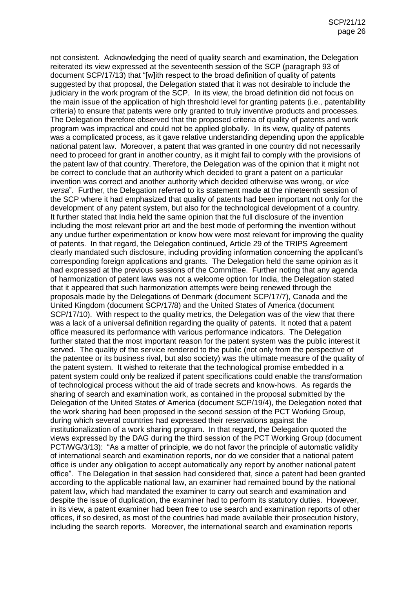not consistent. Acknowledging the need of quality search and examination, the Delegation reiterated its view expressed at the seventeenth session of the SCP (paragraph 93 of document SCP/17/13) that "[w]ith respect to the broad definition of quality of patents suggested by that proposal, the Delegation stated that it was not desirable to include the judiciary in the work program of the SCP. In its view, the broad definition did not focus on the main issue of the application of high threshold level for granting patents (i.e., patentability criteria) to ensure that patents were only granted to truly inventive products and processes. The Delegation therefore observed that the proposed criteria of quality of patents and work program was impractical and could not be applied globally. In its view, quality of patents was a complicated process, as it gave relative understanding depending upon the applicable national patent law. Moreover, a patent that was granted in one country did not necessarily need to proceed for grant in another country, as it might fail to comply with the provisions of the patent law of that country. Therefore, the Delegation was of the opinion that it might not be correct to conclude that an authority which decided to grant a patent on a particular invention was correct and another authority which decided otherwise was wrong, or *vice versa*". Further, the Delegation referred to its statement made at the nineteenth session of the SCP where it had emphasized that quality of patents had been important not only for the development of any patent system, but also for the technological development of a country. It further stated that India held the same opinion that the full disclosure of the invention including the most relevant prior art and the best mode of performing the invention without any undue further experimentation or know how were most relevant for improving the quality of patents. In that regard, the Delegation continued, Article 29 of the TRIPS Agreement clearly mandated such disclosure, including providing information concerning the applicant's corresponding foreign applications and grants. The Delegation held the same opinion as it had expressed at the previous sessions of the Committee. Further noting that any agenda of harmonization of patent laws was not a welcome option for India, the Delegation stated that it appeared that such harmonization attempts were being renewed through the proposals made by the Delegations of Denmark (document SCP/17/7), Canada and the United Kingdom (document SCP/17/8) and the United States of America (document SCP/17/10). With respect to the quality metrics, the Delegation was of the view that there was a lack of a universal definition regarding the quality of patents. It noted that a patent office measured its performance with various performance indicators. The Delegation further stated that the most important reason for the patent system was the public interest it served. The quality of the service rendered to the public (not only from the perspective of the patentee or its business rival, but also society) was the ultimate measure of the quality of the patent system. It wished to reiterate that the technological promise embedded in a patent system could only be realized if patent specifications could enable the transformation of technological process without the aid of trade secrets and know-hows. As regards the sharing of search and examination work, as contained in the proposal submitted by the Delegation of the United States of America (document SCP/19/4), the Delegation noted that the work sharing had been proposed in the second session of the PCT Working Group, during which several countries had expressed their reservations against the institutionalization of a work sharing program. In that regard, the Delegation quoted the views expressed by the DAG during the third session of the PCT Working Group (document PCT/WG/3/13): "As a matter of principle, we do not favor the principle of automatic validity of international search and examination reports, nor do we consider that a national patent office is under any obligation to accept automatically any report by another national patent office". The Delegation in that session had considered that, since a patent had been granted according to the applicable national law, an examiner had remained bound by the national patent law, which had mandated the examiner to carry out search and examination and despite the issue of duplication, the examiner had to perform its statutory duties. However, in its view, a patent examiner had been free to use search and examination reports of other offices, if so desired, as most of the countries had made available their prosecution history, including the search reports. Moreover, the international search and examination reports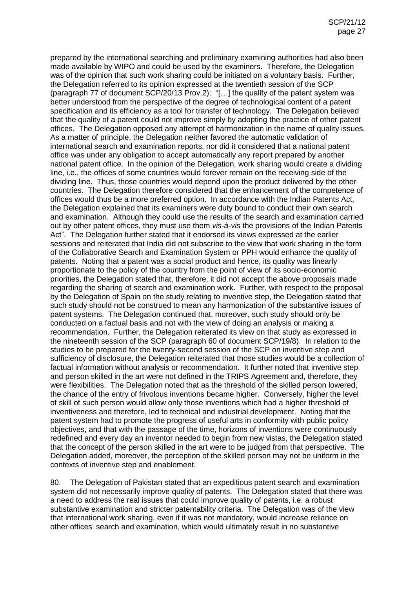prepared by the international searching and preliminary examining authorities had also been made available by WIPO and could be used by the examiners. Therefore, the Delegation was of the opinion that such work sharing could be initiated on a voluntary basis. Further, the Delegation referred to its opinion expressed at the twentieth session of the SCP (paragraph 77 of document SCP/20/13 Prov.2): "[…] the quality of the patent system was better understood from the perspective of the degree of technological content of a patent specification and its efficiency as a tool for transfer of technology. The Delegation believed that the quality of a patent could not improve simply by adopting the practice of other patent offices. The Delegation opposed any attempt of harmonization in the name of quality issues. As a matter of principle, the Delegation neither favored the automatic validation of international search and examination reports, nor did it considered that a national patent office was under any obligation to accept automatically any report prepared by another national patent office. In the opinion of the Delegation, work sharing would create a dividing line, i.e., the offices of some countries would forever remain on the receiving side of the dividing line. Thus, those countries would depend upon the product delivered by the other countries. The Delegation therefore considered that the enhancement of the competence of offices would thus be a more preferred option. In accordance with the Indian Patents Act, the Delegation explained that its examiners were duty bound to conduct their own search and examination. Although they could use the results of the search and examination carried out by other patent offices, they must use them *vis-à-vis* the provisions of the Indian Patents Act". The Delegation further stated that it endorsed its views expressed at the earlier sessions and reiterated that India did not subscribe to the view that work sharing in the form of the Collaborative Search and Examination System or PPH would enhance the quality of patents. Noting that a patent was a social product and hence, its quality was linearly proportionate to the policy of the country from the point of view of its socio-economic priorities, the Delegation stated that, therefore, it did not accept the above proposals made regarding the sharing of search and examination work. Further, with respect to the proposal by the Delegation of Spain on the study relating to inventive step, the Delegation stated that such study should not be construed to mean any harmonization of the substantive issues of patent systems. The Delegation continued that, moreover, such study should only be conducted on a factual basis and not with the view of doing an analysis or making a recommendation. Further, the Delegation reiterated its view on that study as expressed in the nineteenth session of the SCP (paragraph 60 of document SCP/19/8). In relation to the studies to be prepared for the twenty-second session of the SCP on inventive step and sufficiency of disclosure, the Delegation reiterated that those studies would be a collection of factual information without analysis or recommendation. It further noted that inventive step and person skilled in the art were not defined in the TRIPS Agreement and, therefore, they were flexibilities. The Delegation noted that as the threshold of the skilled person lowered, the chance of the entry of frivolous inventions became higher. Conversely, higher the level of skill of such person would allow only those inventions which had a higher threshold of inventiveness and therefore, led to technical and industrial development. Noting that the patent system had to promote the progress of useful arts in conformity with public policy objectives, and that with the passage of the time, horizons of inventions were continuously redefined and every day an inventor needed to begin from new vistas, the Delegation stated that the concept of the person skilled in the art were to be judged from that perspective. The Delegation added, moreover, the perception of the skilled person may not be uniform in the contexts of inventive step and enablement.

80. The Delegation of Pakistan stated that an expeditious patent search and examination system did not necessarily improve quality of patents. The Delegation stated that there was a need to address the real issues that could improve quality of patents, i.e. a robust substantive examination and stricter patentability criteria. The Delegation was of the view that international work sharing, even if it was not mandatory, would increase reliance on other offices' search and examination, which would ultimately result in no substantive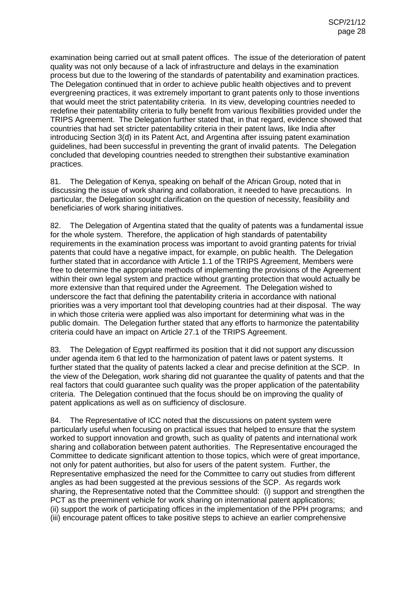examination being carried out at small patent offices. The issue of the deterioration of patent quality was not only because of a lack of infrastructure and delays in the examination process but due to the lowering of the standards of patentability and examination practices. The Delegation continued that in order to achieve public health objectives and to prevent evergreening practices, it was extremely important to grant patents only to those inventions that would meet the strict patentability criteria. In its view, developing countries needed to redefine their patentability criteria to fully benefit from various flexibilities provided under the TRIPS Agreement. The Delegation further stated that, in that regard, evidence showed that countries that had set stricter patentability criteria in their patent laws, like India after introducing Section 3(d) in its Patent Act, and Argentina after issuing patent examination guidelines, had been successful in preventing the grant of invalid patents. The Delegation concluded that developing countries needed to strengthen their substantive examination practices.

81. The Delegation of Kenya, speaking on behalf of the African Group, noted that in discussing the issue of work sharing and collaboration, it needed to have precautions. In particular, the Delegation sought clarification on the question of necessity, feasibility and beneficiaries of work sharing initiatives.

82. The Delegation of Argentina stated that the quality of patents was a fundamental issue for the whole system. Therefore, the application of high standards of patentability requirements in the examination process was important to avoid granting patents for trivial patents that could have a negative impact, for example, on public health. The Delegation further stated that in accordance with Article 1.1 of the TRIPS Agreement, Members were free to determine the appropriate methods of implementing the provisions of the Agreement within their own legal system and practice without granting protection that would actually be more extensive than that required under the Agreement. The Delegation wished to underscore the fact that defining the patentability criteria in accordance with national priorities was a very important tool that developing countries had at their disposal. The way in which those criteria were applied was also important for determining what was in the public domain. The Delegation further stated that any efforts to harmonize the patentability criteria could have an impact on Article 27.1 of the TRIPS Agreement.

83. The Delegation of Egypt reaffirmed its position that it did not support any discussion under agenda item 6 that led to the harmonization of patent laws or patent systems. It further stated that the quality of patents lacked a clear and precise definition at the SCP. In the view of the Delegation, work sharing did not guarantee the quality of patents and that the real factors that could guarantee such quality was the proper application of the patentability criteria. The Delegation continued that the focus should be on improving the quality of patent applications as well as on sufficiency of disclosure.

84. The Representative of ICC noted that the discussions on patent system were particularly useful when focusing on practical issues that helped to ensure that the system worked to support innovation and growth, such as quality of patents and international work sharing and collaboration between patent authorities. The Representative encouraged the Committee to dedicate significant attention to those topics, which were of great importance, not only for patent authorities, but also for users of the patent system. Further, the Representative emphasized the need for the Committee to carry out studies from different angles as had been suggested at the previous sessions of the SCP. As regards work sharing, the Representative noted that the Committee should: (i) support and strengthen the PCT as the preeminent vehicle for work sharing on international patent applications; (ii) support the work of participating offices in the implementation of the PPH programs; and (iii) encourage patent offices to take positive steps to achieve an earlier comprehensive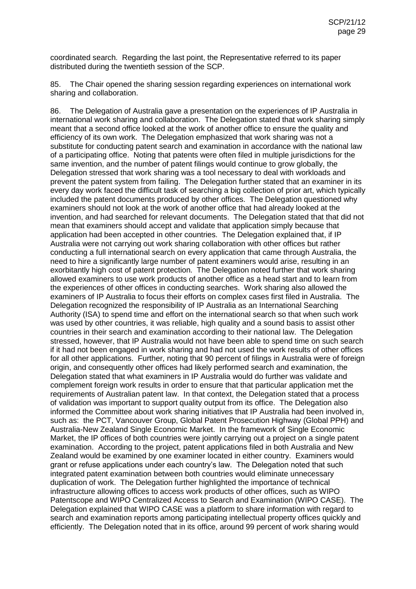coordinated search. Regarding the last point, the Representative referred to its paper distributed during the twentieth session of the SCP.

85. The Chair opened the sharing session regarding experiences on international work sharing and collaboration.

86. The Delegation of Australia gave a presentation on the experiences of IP Australia in international work sharing and collaboration. The Delegation stated that work sharing simply meant that a second office looked at the work of another office to ensure the quality and efficiency of its own work. The Delegation emphasized that work sharing was not a substitute for conducting patent search and examination in accordance with the national law of a participating office. Noting that patents were often filed in multiple jurisdictions for the same invention, and the number of patent filings would continue to grow globally, the Delegation stressed that work sharing was a tool necessary to deal with workloads and prevent the patent system from failing. The Delegation further stated that an examiner in its every day work faced the difficult task of searching a big collection of prior art, which typically included the patent documents produced by other offices. The Delegation questioned why examiners should not look at the work of another office that had already looked at the invention, and had searched for relevant documents. The Delegation stated that that did not mean that examiners should accept and validate that application simply because that application had been accepted in other countries. The Delegation explained that, if IP Australia were not carrying out work sharing collaboration with other offices but rather conducting a full international search on every application that came through Australia, the need to hire a significantly large number of patent examiners would arise, resulting in an exorbitantly high cost of patent protection. The Delegation noted further that work sharing allowed examiners to use work products of another office as a head start and to learn from the experiences of other offices in conducting searches. Work sharing also allowed the examiners of IP Australia to focus their efforts on complex cases first filed in Australia. The Delegation recognized the responsibility of IP Australia as an International Searching Authority (ISA) to spend time and effort on the international search so that when such work was used by other countries, it was reliable, high quality and a sound basis to assist other countries in their search and examination according to their national law. The Delegation stressed, however, that IP Australia would not have been able to spend time on such search if it had not been engaged in work sharing and had not used the work results of other offices for all other applications. Further, noting that 90 percent of filings in Australia were of foreign origin, and consequently other offices had likely performed search and examination, the Delegation stated that what examiners in IP Australia would do further was validate and complement foreign work results in order to ensure that that particular application met the requirements of Australian patent law. In that context, the Delegation stated that a process of validation was important to support quality output from its office. The Delegation also informed the Committee about work sharing initiatives that IP Australia had been involved in, such as: the PCT, Vancouver Group, Global Patent Prosecution Highway (Global PPH) and Australia-New Zealand Single Economic Market. In the framework of Single Economic Market, the IP offices of both countries were jointly carrying out a project on a single patent examination. According to the project, patent applications filed in both Australia and New Zealand would be examined by one examiner located in either country. Examiners would grant or refuse applications under each country's law. The Delegation noted that such integrated patent examination between both countries would eliminate unnecessary duplication of work. The Delegation further highlighted the importance of technical infrastructure allowing offices to access work products of other offices, such as WIPO Patentscope and WIPO Centralized Access to Search and Examination (WIPO CASE). The Delegation explained that WIPO CASE was a platform to share information with regard to search and examination reports among participating intellectual property offices quickly and efficiently. The Delegation noted that in its office, around 99 percent of work sharing would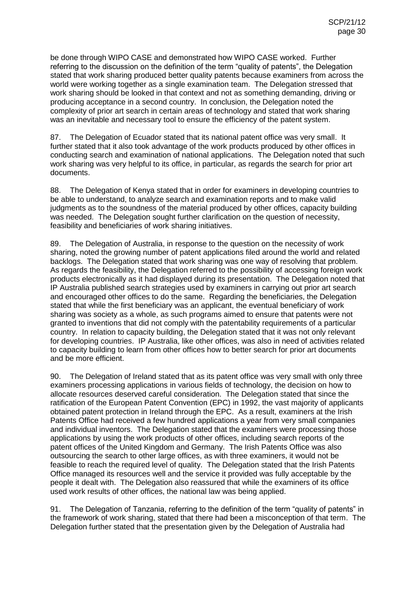be done through WIPO CASE and demonstrated how WIPO CASE worked. Further referring to the discussion on the definition of the term "quality of patents", the Delegation stated that work sharing produced better quality patents because examiners from across the world were working together as a single examination team. The Delegation stressed that work sharing should be looked in that context and not as something demanding, driving or producing acceptance in a second country. In conclusion, the Delegation noted the complexity of prior art search in certain areas of technology and stated that work sharing was an inevitable and necessary tool to ensure the efficiency of the patent system.

87. The Delegation of Ecuador stated that its national patent office was very small. It further stated that it also took advantage of the work products produced by other offices in conducting search and examination of national applications. The Delegation noted that such work sharing was very helpful to its office, in particular, as regards the search for prior art documents.

88. The Delegation of Kenya stated that in order for examiners in developing countries to be able to understand, to analyze search and examination reports and to make valid judgments as to the soundness of the material produced by other offices, capacity building was needed. The Delegation sought further clarification on the question of necessity, feasibility and beneficiaries of work sharing initiatives.

89. The Delegation of Australia, in response to the question on the necessity of work sharing, noted the growing number of patent applications filed around the world and related backlogs. The Delegation stated that work sharing was one way of resolving that problem. As regards the feasibility, the Delegation referred to the possibility of accessing foreign work products electronically as it had displayed during its presentation. The Delegation noted that IP Australia published search strategies used by examiners in carrying out prior art search and encouraged other offices to do the same. Regarding the beneficiaries, the Delegation stated that while the first beneficiary was an applicant, the eventual beneficiary of work sharing was society as a whole, as such programs aimed to ensure that patents were not granted to inventions that did not comply with the patentability requirements of a particular country. In relation to capacity building, the Delegation stated that it was not only relevant for developing countries. IP Australia, like other offices, was also in need of activities related to capacity building to learn from other offices how to better search for prior art documents and be more efficient.

90. The Delegation of Ireland stated that as its patent office was very small with only three examiners processing applications in various fields of technology, the decision on how to allocate resources deserved careful consideration. The Delegation stated that since the ratification of the European Patent Convention (EPC) in 1992, the vast majority of applicants obtained patent protection in Ireland through the EPC. As a result, examiners at the Irish Patents Office had received a few hundred applications a year from very small companies and individual inventors. The Delegation stated that the examiners were processing those applications by using the work products of other offices, including search reports of the patent offices of the United Kingdom and Germany. The Irish Patents Office was also outsourcing the search to other large offices, as with three examiners, it would not be feasible to reach the required level of quality. The Delegation stated that the Irish Patents Office managed its resources well and the service it provided was fully acceptable by the people it dealt with. The Delegation also reassured that while the examiners of its office used work results of other offices, the national law was being applied.

91. The Delegation of Tanzania, referring to the definition of the term "quality of patents" in the framework of work sharing, stated that there had been a misconception of that term. The Delegation further stated that the presentation given by the Delegation of Australia had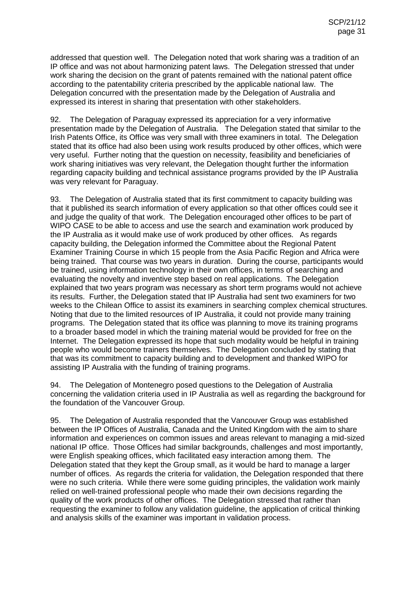addressed that question well. The Delegation noted that work sharing was a tradition of an IP office and was not about harmonizing patent laws. The Delegation stressed that under work sharing the decision on the grant of patents remained with the national patent office according to the patentability criteria prescribed by the applicable national law. The Delegation concurred with the presentation made by the Delegation of Australia and expressed its interest in sharing that presentation with other stakeholders.

92. The Delegation of Paraguay expressed its appreciation for a very informative presentation made by the Delegation of Australia. The Delegation stated that similar to the Irish Patents Office, its Office was very small with three examiners in total. The Delegation stated that its office had also been using work results produced by other offices, which were very useful. Further noting that the question on necessity, feasibility and beneficiaries of work sharing initiatives was very relevant, the Delegation thought further the information regarding capacity building and technical assistance programs provided by the IP Australia was very relevant for Paraguay.

93. The Delegation of Australia stated that its first commitment to capacity building was that it published its search information of every application so that other offices could see it and judge the quality of that work. The Delegation encouraged other offices to be part of WIPO CASE to be able to access and use the search and examination work produced by the IP Australia as it would make use of work produced by other offices. As regards capacity building, the Delegation informed the Committee about the Regional Patent Examiner Training Course in which 15 people from the Asia Pacific Region and Africa were being trained. That course was two years in duration. During the course, participants would be trained, using information technology in their own offices, in terms of searching and evaluating the novelty and inventive step based on real applications. The Delegation explained that two years program was necessary as short term programs would not achieve its results. Further, the Delegation stated that IP Australia had sent two examiners for two weeks to the Chilean Office to assist its examiners in searching complex chemical structures. Noting that due to the limited resources of IP Australia, it could not provide many training programs. The Delegation stated that its office was planning to move its training programs to a broader based model in which the training material would be provided for free on the Internet. The Delegation expressed its hope that such modality would be helpful in training people who would become trainers themselves. The Delegation concluded by stating that that was its commitment to capacity building and to development and thanked WIPO for assisting IP Australia with the funding of training programs.

94. The Delegation of Montenegro posed questions to the Delegation of Australia concerning the validation criteria used in IP Australia as well as regarding the background for the foundation of the Vancouver Group.

95. The Delegation of Australia responded that the Vancouver Group was established between the IP Offices of Australia, Canada and the United Kingdom with the aim to share information and experiences on common issues and areas relevant to managing a mid-sized national IP office. Those Offices had similar backgrounds, challenges and most importantly, were English speaking offices, which facilitated easy interaction among them. The Delegation stated that they kept the Group small, as it would be hard to manage a larger number of offices. As regards the criteria for validation, the Delegation responded that there were no such criteria. While there were some guiding principles, the validation work mainly relied on well-trained professional people who made their own decisions regarding the quality of the work products of other offices. The Delegation stressed that rather than requesting the examiner to follow any validation guideline, the application of critical thinking and analysis skills of the examiner was important in validation process.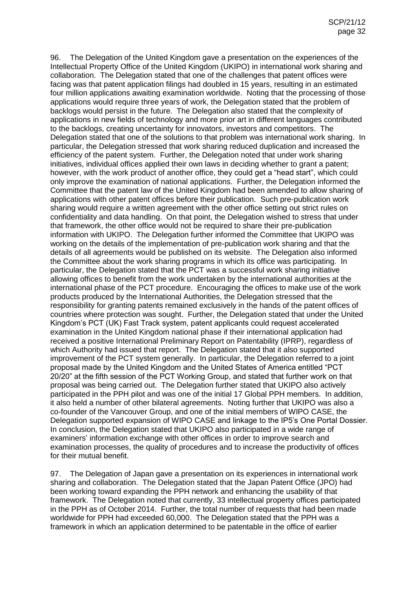96. The Delegation of the United Kingdom gave a presentation on the experiences of the Intellectual Property Office of the United Kingdom (UKIPO) in international work sharing and collaboration. The Delegation stated that one of the challenges that patent offices were facing was that patent application filings had doubled in 15 years, resulting in an estimated four million applications awaiting examination worldwide. Noting that the processing of those applications would require three years of work, the Delegation stated that the problem of backlogs would persist in the future. The Delegation also stated that the complexity of applications in new fields of technology and more prior art in different languages contributed to the backlogs, creating uncertainty for innovators, investors and competitors. The Delegation stated that one of the solutions to that problem was international work sharing. In particular, the Delegation stressed that work sharing reduced duplication and increased the efficiency of the patent system. Further, the Delegation noted that under work sharing initiatives, individual offices applied their own laws in deciding whether to grant a patent; however, with the work product of another office, they could get a "head start", which could only improve the examination of national applications. Further, the Delegation informed the Committee that the patent law of the United Kingdom had been amended to allow sharing of applications with other patent offices before their publication. Such pre-publication work sharing would require a written agreement with the other office setting out strict rules on confidentiality and data handling. On that point, the Delegation wished to stress that under that framework, the other office would not be required to share their pre-publication information with UKIPO. The Delegation further informed the Committee that UKIPO was working on the details of the implementation of pre-publication work sharing and that the details of all agreements would be published on its website. The Delegation also informed the Committee about the work sharing programs in which its office was participating. In particular, the Delegation stated that the PCT was a successful work sharing initiative allowing offices to benefit from the work undertaken by the international authorities at the international phase of the PCT procedure. Encouraging the offices to make use of the work products produced by the International Authorities, the Delegation stressed that the responsibility for granting patents remained exclusively in the hands of the patent offices of countries where protection was sought. Further, the Delegation stated that under the United Kingdom's PCT (UK) Fast Track system, patent applicants could request accelerated examination in the United Kingdom national phase if their international application had received a positive International Preliminary Report on Patentability (IPRP), regardless of which Authority had issued that report. The Delegation stated that it also supported improvement of the PCT system generally. In particular, the Delegation referred to a joint proposal made by the United Kingdom and the United States of America entitled "PCT 20/20" at the fifth session of the PCT Working Group, and stated that further work on that proposal was being carried out. The Delegation further stated that UKIPO also actively participated in the PPH pilot and was one of the initial 17 Global PPH members. In addition, it also held a number of other bilateral agreements. Noting further that UKIPO was also a co-founder of the Vancouver Group, and one of the initial members of WIPO CASE, the Delegation supported expansion of WIPO CASE and linkage to the IP5's One Portal Dossier. In conclusion, the Delegation stated that UKIPO also participated in a wide range of examiners' information exchange with other offices in order to improve search and examination processes, the quality of procedures and to increase the productivity of offices for their mutual benefit.

97. The Delegation of Japan gave a presentation on its experiences in international work sharing and collaboration. The Delegation stated that the Japan Patent Office (JPO) had been working toward expanding the PPH network and enhancing the usability of that framework. The Delegation noted that currently, 33 intellectual property offices participated in the PPH as of October 2014. Further, the total number of requests that had been made worldwide for PPH had exceeded 60,000. The Delegation stated that the PPH was a framework in which an application determined to be patentable in the office of earlier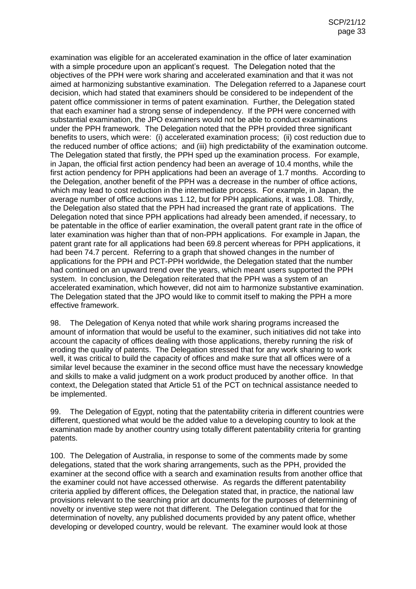examination was eligible for an accelerated examination in the office of later examination with a simple procedure upon an applicant's request. The Delegation noted that the objectives of the PPH were work sharing and accelerated examination and that it was not aimed at harmonizing substantive examination. The Delegation referred to a Japanese court decision, which had stated that examiners should be considered to be independent of the patent office commissioner in terms of patent examination. Further, the Delegation stated that each examiner had a strong sense of independency. If the PPH were concerned with substantial examination, the JPO examiners would not be able to conduct examinations under the PPH framework. The Delegation noted that the PPH provided three significant benefits to users, which were: (i) accelerated examination process; (ii) cost reduction due to the reduced number of office actions; and (iii) high predictability of the examination outcome. The Delegation stated that firstly, the PPH sped up the examination process. For example, in Japan, the official first action pendency had been an average of 10.4 months, while the first action pendency for PPH applications had been an average of 1.7 months. According to the Delegation, another benefit of the PPH was a decrease in the number of office actions, which may lead to cost reduction in the intermediate process. For example, in Japan, the average number of office actions was 1.12, but for PPH applications, it was 1.08. Thirdly, the Delegation also stated that the PPH had increased the grant rate of applications. The Delegation noted that since PPH applications had already been amended, if necessary, to be patentable in the office of earlier examination, the overall patent grant rate in the office of later examination was higher than that of non-PPH applications. For example in Japan, the patent grant rate for all applications had been 69.8 percent whereas for PPH applications, it had been 74.7 percent. Referring to a graph that showed changes in the number of applications for the PPH and PCT-PPH worldwide, the Delegation stated that the number had continued on an upward trend over the years, which meant users supported the PPH system. In conclusion, the Delegation reiterated that the PPH was a system of an accelerated examination, which however, did not aim to harmonize substantive examination. The Delegation stated that the JPO would like to commit itself to making the PPH a more effective framework.

98. The Delegation of Kenya noted that while work sharing programs increased the amount of information that would be useful to the examiner, such initiatives did not take into account the capacity of offices dealing with those applications, thereby running the risk of eroding the quality of patents. The Delegation stressed that for any work sharing to work well, it was critical to build the capacity of offices and make sure that all offices were of a similar level because the examiner in the second office must have the necessary knowledge and skills to make a valid judgment on a work product produced by another office. In that context, the Delegation stated that Article 51 of the PCT on technical assistance needed to be implemented.

99. The Delegation of Egypt, noting that the patentability criteria in different countries were different, questioned what would be the added value to a developing country to look at the examination made by another country using totally different patentability criteria for granting patents.

100. The Delegation of Australia, in response to some of the comments made by some delegations, stated that the work sharing arrangements, such as the PPH, provided the examiner at the second office with a search and examination results from another office that the examiner could not have accessed otherwise. As regards the different patentability criteria applied by different offices, the Delegation stated that, in practice, the national law provisions relevant to the searching prior art documents for the purposes of determining of novelty or inventive step were not that different. The Delegation continued that for the determination of novelty, any published documents provided by any patent office, whether developing or developed country, would be relevant. The examiner would look at those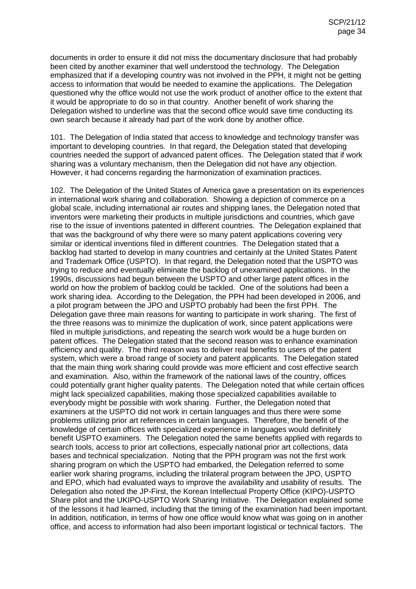documents in order to ensure it did not miss the documentary disclosure that had probably been cited by another examiner that well understood the technology. The Delegation emphasized that if a developing country was not involved in the PPH, it might not be getting access to information that would be needed to examine the applications. The Delegation questioned why the office would not use the work product of another office to the extent that it would be appropriate to do so in that country. Another benefit of work sharing the Delegation wished to underline was that the second office would save time conducting its own search because it already had part of the work done by another office.

101. The Delegation of India stated that access to knowledge and technology transfer was important to developing countries. In that regard, the Delegation stated that developing countries needed the support of advanced patent offices. The Delegation stated that if work sharing was a voluntary mechanism, then the Delegation did not have any objection. However, it had concerns regarding the harmonization of examination practices.

102. The Delegation of the United States of America gave a presentation on its experiences in international work sharing and collaboration. Showing a depiction of commerce on a global scale, including international air routes and shipping lanes, the Delegation noted that inventors were marketing their products in multiple jurisdictions and countries, which gave rise to the issue of inventions patented in different countries. The Delegation explained that that was the background of why there were so many patent applications covering very similar or identical inventions filed in different countries. The Delegation stated that a backlog had started to develop in many countries and certainly at the United States Patent and Trademark Office (USPTO). In that regard, the Delegation noted that the USPTO was trying to reduce and eventually eliminate the backlog of unexamined applications. In the 1990s, discussions had begun between the USPTO and other large patent offices in the world on how the problem of backlog could be tackled. One of the solutions had been a work sharing idea. According to the Delegation, the PPH had been developed in 2006, and a pilot program between the JPO and USPTO probably had been the first PPH. The Delegation gave three main reasons for wanting to participate in work sharing. The first of the three reasons was to minimize the duplication of work, since patent applications were filed in multiple jurisdictions, and repeating the search work would be a huge burden on patent offices. The Delegation stated that the second reason was to enhance examination efficiency and quality. The third reason was to deliver real benefits to users of the patent system, which were a broad range of society and patent applicants. The Delegation stated that the main thing work sharing could provide was more efficient and cost effective search and examination. Also, within the framework of the national laws of the country, offices could potentially grant higher quality patents. The Delegation noted that while certain offices might lack specialized capabilities, making those specialized capabilities available to everybody might be possible with work sharing. Further, the Delegation noted that examiners at the USPTO did not work in certain languages and thus there were some problems utilizing prior art references in certain languages. Therefore, the benefit of the knowledge of certain offices with specialized experience in languages would definitely benefit USPTO examiners. The Delegation noted the same benefits applied with regards to search tools, access to prior art collections, especially national prior art collections, data bases and technical specialization. Noting that the PPH program was not the first work sharing program on which the USPTO had embarked, the Delegation referred to some earlier work sharing programs, including the trilateral program between the JPO, USPTO and EPO, which had evaluated ways to improve the availability and usability of results. The Delegation also noted the JP-First, the Korean Intellectual Property Office (KIPO)-USPTO Share pilot and the UKIPO-USPTO Work Sharing Initiative. The Delegation explained some of the lessons it had learned, including that the timing of the examination had been important. In addition, notification, in terms of how one office would know what was going on in another office, and access to information had also been important logistical or technical factors. The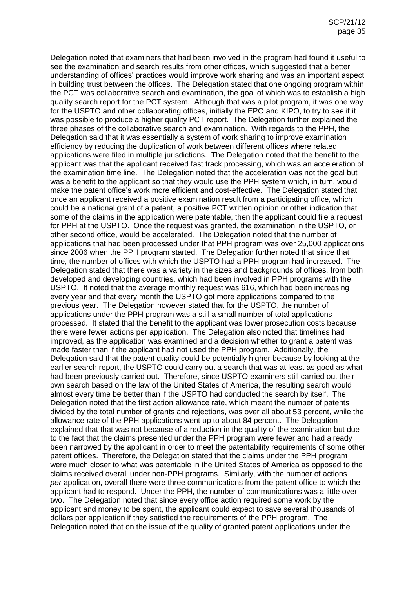Delegation noted that examiners that had been involved in the program had found it useful to see the examination and search results from other offices, which suggested that a better understanding of offices' practices would improve work sharing and was an important aspect in building trust between the offices. The Delegation stated that one ongoing program within the PCT was collaborative search and examination, the goal of which was to establish a high quality search report for the PCT system. Although that was a pilot program, it was one way for the USPTO and other collaborating offices, initially the EPO and KIPO, to try to see if it was possible to produce a higher quality PCT report. The Delegation further explained the three phases of the collaborative search and examination. With regards to the PPH, the Delegation said that it was essentially a system of work sharing to improve examination efficiency by reducing the duplication of work between different offices where related applications were filed in multiple jurisdictions. The Delegation noted that the benefit to the applicant was that the applicant received fast track processing, which was an acceleration of the examination time line. The Delegation noted that the acceleration was not the goal but was a benefit to the applicant so that they would use the PPH system which, in turn, would make the patent office's work more efficient and cost-effective. The Delegation stated that once an applicant received a positive examination result from a participating office, which could be a national grant of a patent, a positive PCT written opinion or other indication that some of the claims in the application were patentable, then the applicant could file a request for PPH at the USPTO. Once the request was granted, the examination in the USPTO, or other second office, would be accelerated. The Delegation noted that the number of applications that had been processed under that PPH program was over 25,000 applications since 2006 when the PPH program started. The Delegation further noted that since that time, the number of offices with which the USPTO had a PPH program had increased. The Delegation stated that there was a variety in the sizes and backgrounds of offices, from both developed and developing countries, which had been involved in PPH programs with the USPTO. It noted that the average monthly request was 616, which had been increasing every year and that every month the USPTO got more applications compared to the previous year. The Delegation however stated that for the USPTO, the number of applications under the PPH program was a still a small number of total applications processed. It stated that the benefit to the applicant was lower prosecution costs because there were fewer actions per application. The Delegation also noted that timelines had improved, as the application was examined and a decision whether to grant a patent was made faster than if the applicant had not used the PPH program. Additionally, the Delegation said that the patent quality could be potentially higher because by looking at the earlier search report, the USPTO could carry out a search that was at least as good as what had been previously carried out. Therefore, since USPTO examiners still carried out their own search based on the law of the United States of America, the resulting search would almost every time be better than if the USPTO had conducted the search by itself. The Delegation noted that the first action allowance rate, which meant the number of patents divided by the total number of grants and rejections, was over all about 53 percent, while the allowance rate of the PPH applications went up to about 84 percent. The Delegation explained that that was not because of a reduction in the quality of the examination but due to the fact that the claims presented under the PPH program were fewer and had already been narrowed by the applicant in order to meet the patentability requirements of some other patent offices. Therefore, the Delegation stated that the claims under the PPH program were much closer to what was patentable in the United States of America as opposed to the claims received overall under non-PPH programs. Similarly, with the number of actions *per* application, overall there were three communications from the patent office to which the applicant had to respond. Under the PPH, the number of communications was a little over two. The Delegation noted that since every office action required some work by the applicant and money to be spent, the applicant could expect to save several thousands of dollars per application if they satisfied the requirements of the PPH program. The Delegation noted that on the issue of the quality of granted patent applications under the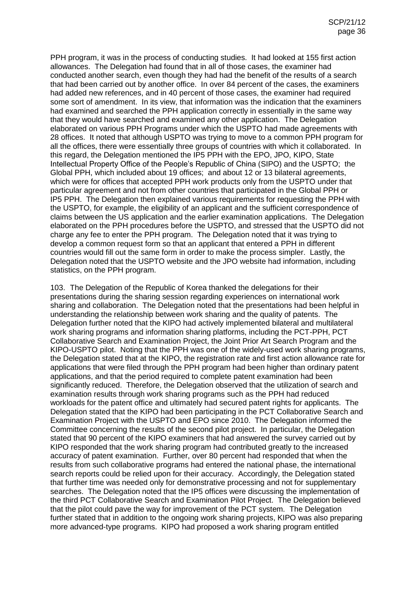PPH program, it was in the process of conducting studies. It had looked at 155 first action allowances. The Delegation had found that in all of those cases, the examiner had conducted another search, even though they had had the benefit of the results of a search that had been carried out by another office. In over 84 percent of the cases, the examiners had added new references, and in 40 percent of those cases, the examiner had required some sort of amendment. In its view, that information was the indication that the examiners had examined and searched the PPH application correctly in essentially in the same way that they would have searched and examined any other application. The Delegation elaborated on various PPH Programs under which the USPTO had made agreements with 28 offices. It noted that although USPTO was trying to move to a common PPH program for all the offices, there were essentially three groups of countries with which it collaborated. In this regard, the Delegation mentioned the IP5 PPH with the EPO, JPO, KIPO, State Intellectual Property Office of the People's Republic of China (SIPO) and the USPTO; the Global PPH, which included about 19 offices; and about 12 or 13 bilateral agreements, which were for offices that accepted PPH work products only from the USPTO under that particular agreement and not from other countries that participated in the Global PPH or IP5 PPH. The Delegation then explained various requirements for requesting the PPH with the USPTO, for example, the eligibility of an applicant and the sufficient correspondence of claims between the US application and the earlier examination applications. The Delegation elaborated on the PPH procedures before the USPTO, and stressed that the USPTO did not charge any fee to enter the PPH program. The Delegation noted that it was trying to develop a common request form so that an applicant that entered a PPH in different countries would fill out the same form in order to make the process simpler. Lastly, the Delegation noted that the USPTO website and the JPO website had information, including statistics, on the PPH program.

103. The Delegation of the Republic of Korea thanked the delegations for their presentations during the sharing session regarding experiences on international work sharing and collaboration. The Delegation noted that the presentations had been helpful in understanding the relationship between work sharing and the quality of patents. The Delegation further noted that the KIPO had actively implemented bilateral and multilateral work sharing programs and information sharing platforms, including the PCT-PPH, PCT Collaborative Search and Examination Project, the Joint Prior Art Search Program and the KIPO-USPTO pilot. Noting that the PPH was one of the widely-used work sharing programs, the Delegation stated that at the KIPO, the registration rate and first action allowance rate for applications that were filed through the PPH program had been higher than ordinary patent applications, and that the period required to complete patent examination had been significantly reduced. Therefore, the Delegation observed that the utilization of search and examination results through work sharing programs such as the PPH had reduced workloads for the patent office and ultimately had secured patent rights for applicants. The Delegation stated that the KIPO had been participating in the PCT Collaborative Search and Examination Project with the USPTO and EPO since 2010. The Delegation informed the Committee concerning the results of the second pilot project. In particular, the Delegation stated that 90 percent of the KIPO examiners that had answered the survey carried out by KIPO responded that the work sharing program had contributed greatly to the increased accuracy of patent examination. Further, over 80 percent had responded that when the results from such collaborative programs had entered the national phase, the international search reports could be relied upon for their accuracy. Accordingly, the Delegation stated that further time was needed only for demonstrative processing and not for supplementary searches. The Delegation noted that the IP5 offices were discussing the implementation of the third PCT Collaborative Search and Examination Pilot Project. The Delegation believed that the pilot could pave the way for improvement of the PCT system. The Delegation further stated that in addition to the ongoing work sharing projects, KIPO was also preparing more advanced-type programs. KIPO had proposed a work sharing program entitled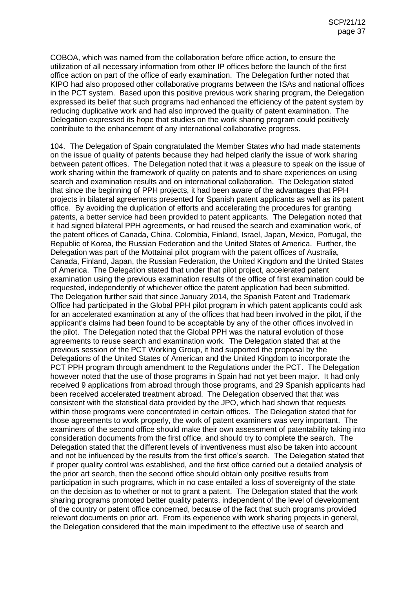COBOA, which was named from the collaboration before office action, to ensure the utilization of all necessary information from other IP offices before the launch of the first office action on part of the office of early examination. The Delegation further noted that KIPO had also proposed other collaborative programs between the ISAs and national offices in the PCT system. Based upon this positive previous work sharing program, the Delegation expressed its belief that such programs had enhanced the efficiency of the patent system by reducing duplicative work and had also improved the quality of patent examination. The Delegation expressed its hope that studies on the work sharing program could positively contribute to the enhancement of any international collaborative progress.

104. The Delegation of Spain congratulated the Member States who had made statements on the issue of quality of patents because they had helped clarify the issue of work sharing between patent offices. The Delegation noted that it was a pleasure to speak on the issue of work sharing within the framework of quality on patents and to share experiences on using search and examination results and on international collaboration. The Delegation stated that since the beginning of PPH projects, it had been aware of the advantages that PPH projects in bilateral agreements presented for Spanish patent applicants as well as its patent office. By avoiding the duplication of efforts and accelerating the procedures for granting patents, a better service had been provided to patent applicants. The Delegation noted that it had signed bilateral PPH agreements, or had reused the search and examination work, of the patent offices of Canada, China, Colombia, Finland, Israel, Japan, Mexico, Portugal, the Republic of Korea, the Russian Federation and the United States of America. Further, the Delegation was part of the Mottainai pilot program with the patent offices of Australia, Canada, Finland, Japan, the Russian Federation, the United Kingdom and the United States of America. The Delegation stated that under that pilot project, accelerated patent examination using the previous examination results of the office of first examination could be requested, independently of whichever office the patent application had been submitted. The Delegation further said that since January 2014, the Spanish Patent and Trademark Office had participated in the Global PPH pilot program in which patent applicants could ask for an accelerated examination at any of the offices that had been involved in the pilot, if the applicant's claims had been found to be acceptable by any of the other offices involved in the pilot. The Delegation noted that the Global PPH was the natural evolution of those agreements to reuse search and examination work. The Delegation stated that at the previous session of the PCT Working Group, it had supported the proposal by the Delegations of the United States of American and the United Kingdom to incorporate the PCT PPH program through amendment to the Regulations under the PCT. The Delegation however noted that the use of those programs in Spain had not yet been major. It had only received 9 applications from abroad through those programs, and 29 Spanish applicants had been received accelerated treatment abroad. The Delegation observed that that was consistent with the statistical data provided by the JPO, which had shown that requests within those programs were concentrated in certain offices. The Delegation stated that for those agreements to work properly, the work of patent examiners was very important. The examiners of the second office should make their own assessment of patentability taking into consideration documents from the first office, and should try to complete the search. The Delegation stated that the different levels of inventiveness must also be taken into account and not be influenced by the results from the first office's search. The Delegation stated that if proper quality control was established, and the first office carried out a detailed analysis of the prior art search, then the second office should obtain only positive results from participation in such programs, which in no case entailed a loss of sovereignty of the state on the decision as to whether or not to grant a patent. The Delegation stated that the work sharing programs promoted better quality patents, independent of the level of development of the country or patent office concerned, because of the fact that such programs provided relevant documents on prior art. From its experience with work sharing projects in general, the Delegation considered that the main impediment to the effective use of search and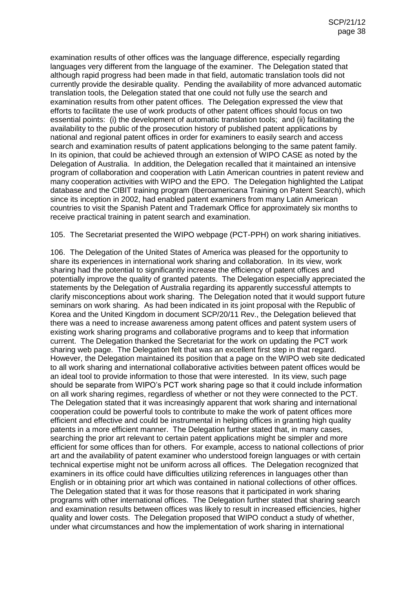examination results of other offices was the language difference, especially regarding languages very different from the language of the examiner. The Delegation stated that although rapid progress had been made in that field, automatic translation tools did not currently provide the desirable quality. Pending the availability of more advanced automatic translation tools, the Delegation stated that one could not fully use the search and examination results from other patent offices. The Delegation expressed the view that efforts to facilitate the use of work products of other patent offices should focus on two essential points: (i) the development of automatic translation tools; and (ii) facilitating the availability to the public of the prosecution history of published patent applications by national and regional patent offices in order for examiners to easily search and access search and examination results of patent applications belonging to the same patent family. In its opinion, that could be achieved through an extension of WIPO CASE as noted by the Delegation of Australia. In addition, the Delegation recalled that it maintained an intensive program of collaboration and cooperation with Latin American countries in patent review and many cooperation activities with WIPO and the EPO. The Delegation highlighted the Latipat database and the CIBIT training program (Iberoamericana Training on Patent Search), which since its inception in 2002, had enabled patent examiners from many Latin American countries to visit the Spanish Patent and Trademark Office for approximately six months to receive practical training in patent search and examination.

105. The Secretariat presented the WIPO webpage (PCT-PPH) on work sharing initiatives.

106. The Delegation of the United States of America was pleased for the opportunity to share its experiences in international work sharing and collaboration. In its view, work sharing had the potential to significantly increase the efficiency of patent offices and potentially improve the quality of granted patents. The Delegation especially appreciated the statements by the Delegation of Australia regarding its apparently successful attempts to clarify misconceptions about work sharing. The Delegation noted that it would support future seminars on work sharing. As had been indicated in its joint proposal with the Republic of Korea and the United Kingdom in document SCP/20/11 Rev., the Delegation believed that there was a need to increase awareness among patent offices and patent system users of existing work sharing programs and collaborative programs and to keep that information current. The Delegation thanked the Secretariat for the work on updating the PCT work sharing web page. The Delegation felt that was an excellent first step in that regard. However, the Delegation maintained its position that a page on the WIPO web site dedicated to all work sharing and international collaborative activities between patent offices would be an ideal tool to provide information to those that were interested. In its view, such page should be separate from WIPO's PCT work sharing page so that it could include information on all work sharing regimes, regardless of whether or not they were connected to the PCT. The Delegation stated that it was increasingly apparent that work sharing and international cooperation could be powerful tools to contribute to make the work of patent offices more efficient and effective and could be instrumental in helping offices in granting high quality patents in a more efficient manner. The Delegation further stated that, in many cases, searching the prior art relevant to certain patent applications might be simpler and more efficient for some offices than for others. For example, access to national collections of prior art and the availability of patent examiner who understood foreign languages or with certain technical expertise might not be uniform across all offices. The Delegation recognized that examiners in its office could have difficulties utilizing references in languages other than English or in obtaining prior art which was contained in national collections of other offices. The Delegation stated that it was for those reasons that it participated in work sharing programs with other international offices. The Delegation further stated that sharing search and examination results between offices was likely to result in increased efficiencies, higher quality and lower costs. The Delegation proposed that WIPO conduct a study of whether, under what circumstances and how the implementation of work sharing in international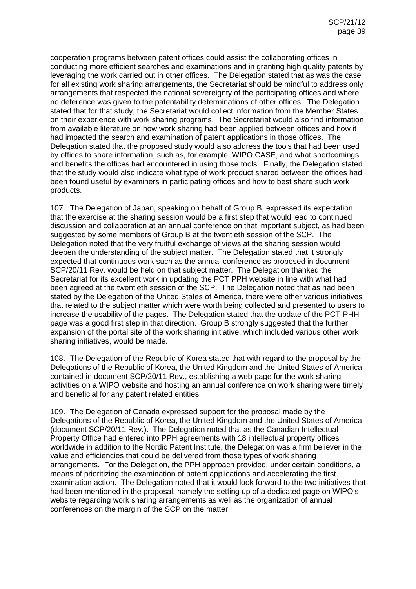cooperation programs between patent offices could assist the collaborating offices in conducting more efficient searches and examinations and in granting high quality patents by leveraging the work carried out in other offices. The Delegation stated that as was the case for all existing work sharing arrangements, the Secretariat should be mindful to address only arrangements that respected the national sovereignty of the participating offices and where no deference was given to the patentability determinations of other offices. The Delegation stated that for that study, the Secretariat would collect information from the Member States on their experience with work sharing programs. The Secretariat would also find information from available literature on how work sharing had been applied between offices and how it had impacted the search and examination of patent applications in those offices. The Delegation stated that the proposed study would also address the tools that had been used by offices to share information, such as, for example, WIPO CASE, and what shortcomings and benefits the offices had encountered in using those tools. Finally, the Delegation stated that the study would also indicate what type of work product shared between the offices had been found useful by examiners in participating offices and how to best share such work products.

107. The Delegation of Japan, speaking on behalf of Group B, expressed its expectation that the exercise at the sharing session would be a first step that would lead to continued discussion and collaboration at an annual conference on that important subject, as had been suggested by some members of Group B at the twentieth session of the SCP. The Delegation noted that the very fruitful exchange of views at the sharing session would deepen the understanding of the subject matter. The Delegation stated that it strongly expected that continuous work such as the annual conference as proposed in document SCP/20/11 Rev. would be held on that subject matter. The Delegation thanked the Secretariat for its excellent work in updating the PCT PPH website in line with what had been agreed at the twentieth session of the SCP. The Delegation noted that as had been stated by the Delegation of the United States of America, there were other various initiatives that related to the subject matter which were worth being collected and presented to users to increase the usability of the pages. The Delegation stated that the update of the PCT-PHH page was a good first step in that direction. Group B strongly suggested that the further expansion of the portal site of the work sharing initiative, which included various other work sharing initiatives, would be made.

108. The Delegation of the Republic of Korea stated that with regard to the proposal by the Delegations of the Republic of Korea, the United Kingdom and the United States of America contained in document SCP/20/11 Rev., establishing a web page for the work sharing activities on a WIPO website and hosting an annual conference on work sharing were timely and beneficial for any patent related entities.

109. The Delegation of Canada expressed support for the proposal made by the Delegations of the Republic of Korea, the United Kingdom and the United States of America (document SCP/20/11 Rev.). The Delegation noted that as the Canadian Intellectual Property Office had entered into PPH agreements with 18 intellectual property offices worldwide in addition to the Nordic Patent Institute, the Delegation was a firm believer in the value and efficiencies that could be delivered from those types of work sharing arrangements. For the Delegation, the PPH approach provided, under certain conditions, a means of prioritizing the examination of patent applications and accelerating the first examination action. The Delegation noted that it would look forward to the two initiatives that had been mentioned in the proposal, namely the setting up of a dedicated page on WIPO's website regarding work sharing arrangements as well as the organization of annual conferences on the margin of the SCP on the matter.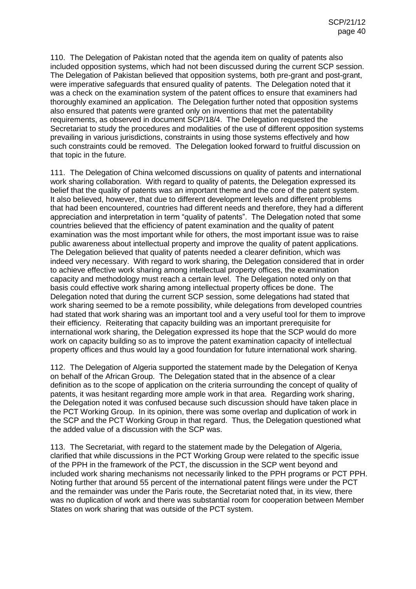110. The Delegation of Pakistan noted that the agenda item on quality of patents also included opposition systems, which had not been discussed during the current SCP session. The Delegation of Pakistan believed that opposition systems, both pre-grant and post-grant, were imperative safeguards that ensured quality of patents. The Delegation noted that it was a check on the examination system of the patent offices to ensure that examiners had thoroughly examined an application. The Delegation further noted that opposition systems also ensured that patents were granted only on inventions that met the patentability requirements, as observed in document SCP/18/4. The Delegation requested the Secretariat to study the procedures and modalities of the use of different opposition systems prevailing in various jurisdictions, constraints in using those systems effectively and how such constraints could be removed. The Delegation looked forward to fruitful discussion on that topic in the future.

111. The Delegation of China welcomed discussions on quality of patents and international work sharing collaboration. With regard to quality of patents, the Delegation expressed its belief that the quality of patents was an important theme and the core of the patent system. It also believed, however, that due to different development levels and different problems that had been encountered, countries had different needs and therefore, they had a different appreciation and interpretation in term "quality of patents". The Delegation noted that some countries believed that the efficiency of patent examination and the quality of patent examination was the most important while for others, the most important issue was to raise public awareness about intellectual property and improve the quality of patent applications. The Delegation believed that quality of patents needed a clearer definition, which was indeed very necessary. With regard to work sharing, the Delegation considered that in order to achieve effective work sharing among intellectual property offices, the examination capacity and methodology must reach a certain level. The Delegation noted only on that basis could effective work sharing among intellectual property offices be done. The Delegation noted that during the current SCP session, some delegations had stated that work sharing seemed to be a remote possibility, while delegations from developed countries had stated that work sharing was an important tool and a very useful tool for them to improve their efficiency. Reiterating that capacity building was an important prerequisite for international work sharing, the Delegation expressed its hope that the SCP would do more work on capacity building so as to improve the patent examination capacity of intellectual property offices and thus would lay a good foundation for future international work sharing.

112. The Delegation of Algeria supported the statement made by the Delegation of Kenya on behalf of the African Group. The Delegation stated that in the absence of a clear definition as to the scope of application on the criteria surrounding the concept of quality of patents, it was hesitant regarding more ample work in that area. Regarding work sharing, the Delegation noted it was confused because such discussion should have taken place in the PCT Working Group. In its opinion, there was some overlap and duplication of work in the SCP and the PCT Working Group in that regard. Thus, the Delegation questioned what the added value of a discussion with the SCP was.

113. The Secretariat, with regard to the statement made by the Delegation of Algeria, clarified that while discussions in the PCT Working Group were related to the specific issue of the PPH in the framework of the PCT, the discussion in the SCP went beyond and included work sharing mechanisms not necessarily linked to the PPH programs or PCT PPH. Noting further that around 55 percent of the international patent filings were under the PCT and the remainder was under the Paris route, the Secretariat noted that, in its view, there was no duplication of work and there was substantial room for cooperation between Member States on work sharing that was outside of the PCT system.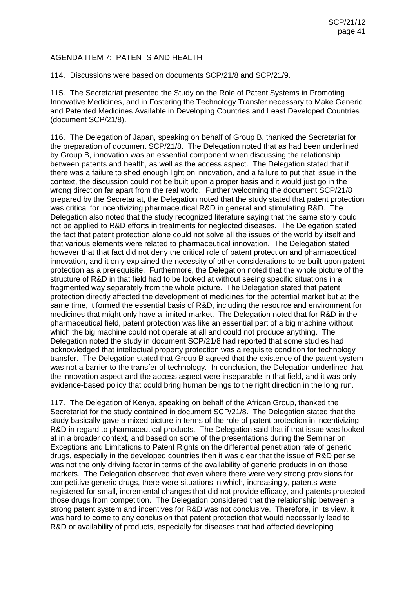## AGENDA ITEM 7: PATENTS AND HEALTH

114. Discussions were based on documents SCP/21/8 and SCP/21/9.

115. The Secretariat presented the Study on the Role of Patent Systems in Promoting Innovative Medicines, and in Fostering the Technology Transfer necessary to Make Generic and Patented Medicines Available in Developing Countries and Least Developed Countries (document SCP/21/8).

116. The Delegation of Japan, speaking on behalf of Group B, thanked the Secretariat for the preparation of document SCP/21/8. The Delegation noted that as had been underlined by Group B, innovation was an essential component when discussing the relationship between patents and health, as well as the access aspect. The Delegation stated that if there was a failure to shed enough light on innovation, and a failure to put that issue in the context, the discussion could not be built upon a proper basis and it would just go in the wrong direction far apart from the real world. Further welcoming the document SCP/21/8 prepared by the Secretariat, the Delegation noted that the study stated that patent protection was critical for incentivizing pharmaceutical R&D in general and stimulating R&D. The Delegation also noted that the study recognized literature saying that the same story could not be applied to R&D efforts in treatments for neglected diseases. The Delegation stated the fact that patent protection alone could not solve all the issues of the world by itself and that various elements were related to pharmaceutical innovation. The Delegation stated however that that fact did not deny the critical role of patent protection and pharmaceutical innovation, and it only explained the necessity of other considerations to be built upon patent protection as a prerequisite. Furthermore, the Delegation noted that the whole picture of the structure of R&D in that field had to be looked at without seeing specific situations in a fragmented way separately from the whole picture. The Delegation stated that patent protection directly affected the development of medicines for the potential market but at the same time, it formed the essential basis of R&D, including the resource and environment for medicines that might only have a limited market. The Delegation noted that for R&D in the pharmaceutical field, patent protection was like an essential part of a big machine without which the big machine could not operate at all and could not produce anything. The Delegation noted the study in document SCP/21/8 had reported that some studies had acknowledged that intellectual property protection was a requisite condition for technology transfer. The Delegation stated that Group B agreed that the existence of the patent system was not a barrier to the transfer of technology. In conclusion, the Delegation underlined that the innovation aspect and the access aspect were inseparable in that field, and it was only evidence-based policy that could bring human beings to the right direction in the long run.

117. The Delegation of Kenya, speaking on behalf of the African Group, thanked the Secretariat for the study contained in document SCP/21/8. The Delegation stated that the study basically gave a mixed picture in terms of the role of patent protection in incentivizing R&D in regard to pharmaceutical products. The Delegation said that if that issue was looked at in a broader context, and based on some of the presentations during the Seminar on Exceptions and Limitations to Patent Rights on the differential penetration rate of generic drugs, especially in the developed countries then it was clear that the issue of R&D per se was not the only driving factor in terms of the availability of generic products in on those markets. The Delegation observed that even where there were very strong provisions for competitive generic drugs, there were situations in which, increasingly, patents were registered for small, incremental changes that did not provide efficacy, and patents protected those drugs from competition. The Delegation considered that the relationship between a strong patent system and incentives for R&D was not conclusive. Therefore, in its view, it was hard to come to any conclusion that patent protection that would necessarily lead to R&D or availability of products, especially for diseases that had affected developing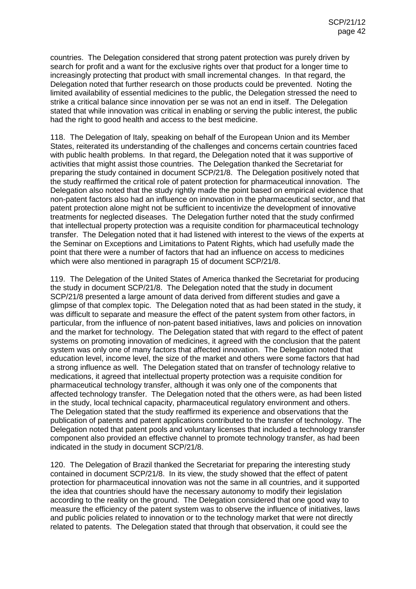countries. The Delegation considered that strong patent protection was purely driven by search for profit and a want for the exclusive rights over that product for a longer time to increasingly protecting that product with small incremental changes. In that regard, the Delegation noted that further research on those products could be prevented. Noting the limited availability of essential medicines to the public, the Delegation stressed the need to strike a critical balance since innovation per se was not an end in itself. The Delegation stated that while innovation was critical in enabling or serving the public interest, the public had the right to good health and access to the best medicine.

118. The Delegation of Italy, speaking on behalf of the European Union and its Member States, reiterated its understanding of the challenges and concerns certain countries faced with public health problems. In that regard, the Delegation noted that it was supportive of activities that might assist those countries. The Delegation thanked the Secretariat for preparing the study contained in document SCP/21/8. The Delegation positively noted that the study reaffirmed the critical role of patent protection for pharmaceutical innovation. The Delegation also noted that the study rightly made the point based on empirical evidence that non-patent factors also had an influence on innovation in the pharmaceutical sector, and that patent protection alone might not be sufficient to incentivize the development of innovative treatments for neglected diseases. The Delegation further noted that the study confirmed that intellectual property protection was a requisite condition for pharmaceutical technology transfer. The Delegation noted that it had listened with interest to the views of the experts at the Seminar on Exceptions and Limitations to Patent Rights, which had usefully made the point that there were a number of factors that had an influence on access to medicines which were also mentioned in paragraph 15 of document SCP/21/8.

119. The Delegation of the United States of America thanked the Secretariat for producing the study in document SCP/21/8. The Delegation noted that the study in document SCP/21/8 presented a large amount of data derived from different studies and gave a glimpse of that complex topic. The Delegation noted that as had been stated in the study, it was difficult to separate and measure the effect of the patent system from other factors, in particular, from the influence of non-patent based initiatives, laws and policies on innovation and the market for technology. The Delegation stated that with regard to the effect of patent systems on promoting innovation of medicines, it agreed with the conclusion that the patent system was only one of many factors that affected innovation. The Delegation noted that education level, income level, the size of the market and others were some factors that had a strong influence as well. The Delegation stated that on transfer of technology relative to medications, it agreed that intellectual property protection was a requisite condition for pharmaceutical technology transfer, although it was only one of the components that affected technology transfer. The Delegation noted that the others were, as had been listed in the study, local technical capacity, pharmaceutical regulatory environment and others. The Delegation stated that the study reaffirmed its experience and observations that the publication of patents and patent applications contributed to the transfer of technology. The Delegation noted that patent pools and voluntary licenses that included a technology transfer component also provided an effective channel to promote technology transfer, as had been indicated in the study in document SCP/21/8.

120. The Delegation of Brazil thanked the Secretariat for preparing the interesting study contained in document SCP/21/8. In its view, the study showed that the effect of patent protection for pharmaceutical innovation was not the same in all countries, and it supported the idea that countries should have the necessary autonomy to modify their legislation according to the reality on the ground. The Delegation considered that one good way to measure the efficiency of the patent system was to observe the influence of initiatives, laws and public policies related to innovation or to the technology market that were not directly related to patents. The Delegation stated that through that observation, it could see the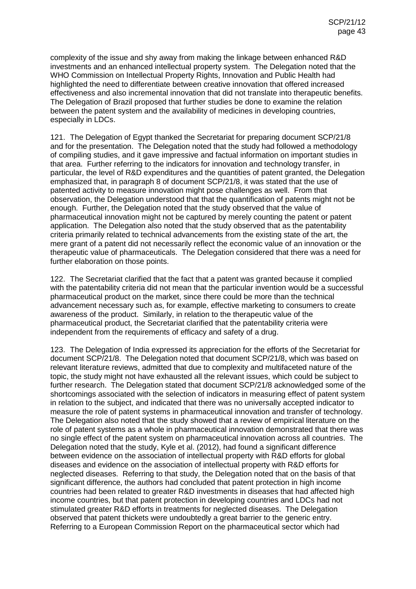complexity of the issue and shy away from making the linkage between enhanced R&D investments and an enhanced intellectual property system. The Delegation noted that the WHO Commission on Intellectual Property Rights, Innovation and Public Health had highlighted the need to differentiate between creative innovation that offered increased effectiveness and also incremental innovation that did not translate into therapeutic benefits. The Delegation of Brazil proposed that further studies be done to examine the relation between the patent system and the availability of medicines in developing countries, especially in LDCs.

121. The Delegation of Egypt thanked the Secretariat for preparing document SCP/21/8 and for the presentation. The Delegation noted that the study had followed a methodology of compiling studies, and it gave impressive and factual information on important studies in that area. Further referring to the indicators for innovation and technology transfer, in particular, the level of R&D expenditures and the quantities of patent granted, the Delegation emphasized that, in paragraph 8 of document SCP/21/8, it was stated that the use of patented activity to measure innovation might pose challenges as well. From that observation, the Delegation understood that that the quantification of patents might not be enough. Further, the Delegation noted that the study observed that the value of pharmaceutical innovation might not be captured by merely counting the patent or patent application. The Delegation also noted that the study observed that as the patentability criteria primarily related to technical advancements from the existing state of the art, the mere grant of a patent did not necessarily reflect the economic value of an innovation or the therapeutic value of pharmaceuticals. The Delegation considered that there was a need for further elaboration on those points.

122. The Secretariat clarified that the fact that a patent was granted because it complied with the patentability criteria did not mean that the particular invention would be a successful pharmaceutical product on the market, since there could be more than the technical advancement necessary such as, for example, effective marketing to consumers to create awareness of the product. Similarly, in relation to the therapeutic value of the pharmaceutical product, the Secretariat clarified that the patentability criteria were independent from the requirements of efficacy and safety of a drug.

123. The Delegation of India expressed its appreciation for the efforts of the Secretariat for document SCP/21/8. The Delegation noted that document SCP/21/8, which was based on relevant literature reviews, admitted that due to complexity and multifaceted nature of the topic, the study might not have exhausted all the relevant issues, which could be subject to further research. The Delegation stated that document SCP/21/8 acknowledged some of the shortcomings associated with the selection of indicators in measuring effect of patent system in relation to the subject, and indicated that there was no universally accepted indicator to measure the role of patent systems in pharmaceutical innovation and transfer of technology. The Delegation also noted that the study showed that a review of empirical literature on the role of patent systems as a whole in pharmaceutical innovation demonstrated that there was no single effect of the patent system on pharmaceutical innovation across all countries. The Delegation noted that the study, Kyle et al. (2012), had found a significant difference between evidence on the association of intellectual property with R&D efforts for global diseases and evidence on the association of intellectual property with R&D efforts for neglected diseases. Referring to that study, the Delegation noted that on the basis of that significant difference, the authors had concluded that patent protection in high income countries had been related to greater R&D investments in diseases that had affected high income countries, but that patent protection in developing countries and LDCs had not stimulated greater R&D efforts in treatments for neglected diseases. The Delegation observed that patent thickets were undoubtedly a great barrier to the generic entry. Referring to a European Commission Report on the pharmaceutical sector which had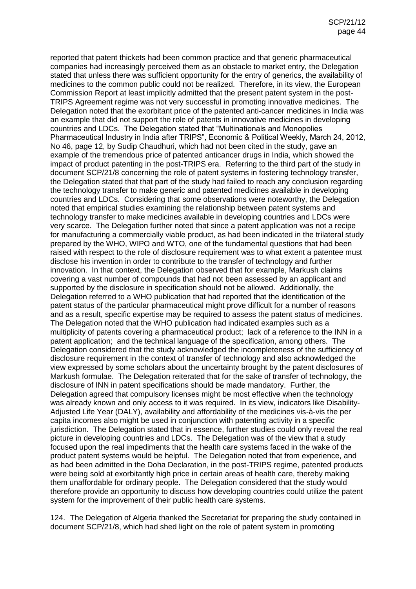reported that patent thickets had been common practice and that generic pharmaceutical companies had increasingly perceived them as an obstacle to market entry, the Delegation stated that unless there was sufficient opportunity for the entry of generics, the availability of medicines to the common public could not be realized. Therefore, in its view, the European Commission Report at least implicitly admitted that the present patent system in the post-TRIPS Agreement regime was not very successful in promoting innovative medicines. The Delegation noted that the exorbitant price of the patented anti-cancer medicines in India was an example that did not support the role of patents in innovative medicines in developing countries and LDCs. The Delegation stated that "Multinationals and Monopolies Pharmaceutical Industry in India after TRIPS", Economic & Political Weekly, March 24, 2012, No 46, page 12, by Sudip Chaudhuri, which had not been cited in the study, gave an example of the tremendous price of patented anticancer drugs in India, which showed the impact of product patenting in the post-TRIPS era. Referring to the third part of the study in document SCP/21/8 concerning the role of patent systems in fostering technology transfer, the Delegation stated that that part of the study had failed to reach any conclusion regarding the technology transfer to make generic and patented medicines available in developing countries and LDCs. Considering that some observations were noteworthy, the Delegation noted that empirical studies examining the relationship between patent systems and technology transfer to make medicines available in developing countries and LDCs were very scarce. The Delegation further noted that since a patent application was not a recipe for manufacturing a commercially viable product, as had been indicated in the trilateral study prepared by the WHO, WIPO and WTO, one of the fundamental questions that had been raised with respect to the role of disclosure requirement was to what extent a patentee must disclose his invention in order to contribute to the transfer of technology and further innovation. In that context, the Delegation observed that for example, Markush claims covering a vast number of compounds that had not been assessed by an applicant and supported by the disclosure in specification should not be allowed. Additionally, the Delegation referred to a WHO publication that had reported that the identification of the patent status of the particular pharmaceutical might prove difficult for a number of reasons and as a result, specific expertise may be required to assess the patent status of medicines. The Delegation noted that the WHO publication had indicated examples such as a multiplicity of patents covering a pharmaceutical product; lack of a reference to the INN in a patent application; and the technical language of the specification, among others. The Delegation considered that the study acknowledged the incompleteness of the sufficiency of disclosure requirement in the context of transfer of technology and also acknowledged the view expressed by some scholars about the uncertainty brought by the patent disclosures of Markush formulae. The Delegation reiterated that for the sake of transfer of technology, the disclosure of INN in patent specifications should be made mandatory. Further, the Delegation agreed that compulsory licenses might be most effective when the technology was already known and only access to it was required. In its view, indicators like Disability-Adjusted Life Year (DALY), availability and affordability of the medicines vis-à-vis the per capita incomes also might be used in conjunction with patenting activity in a specific jurisdiction. The Delegation stated that in essence, further studies could only reveal the real picture in developing countries and LDCs. The Delegation was of the view that a study focused upon the real impediments that the health care systems faced in the wake of the product patent systems would be helpful. The Delegation noted that from experience, and as had been admitted in the Doha Declaration, in the post-TRIPS regime, patented products were being sold at exorbitantly high price in certain areas of health care, thereby making them unaffordable for ordinary people. The Delegation considered that the study would therefore provide an opportunity to discuss how developing countries could utilize the patent system for the improvement of their public health care systems.

124. The Delegation of Algeria thanked the Secretariat for preparing the study contained in document SCP/21/8, which had shed light on the role of patent system in promoting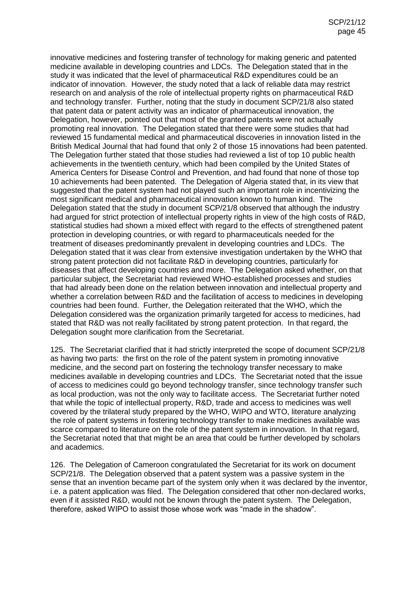innovative medicines and fostering transfer of technology for making generic and patented medicine available in developing countries and LDCs. The Delegation stated that in the study it was indicated that the level of pharmaceutical R&D expenditures could be an indicator of innovation. However, the study noted that a lack of reliable data may restrict research on and analysis of the role of intellectual property rights on pharmaceutical R&D and technology transfer. Further, noting that the study in document SCP/21/8 also stated that patent data or patent activity was an indicator of pharmaceutical innovation, the Delegation, however, pointed out that most of the granted patents were not actually promoting real innovation. The Delegation stated that there were some studies that had reviewed 15 fundamental medical and pharmaceutical discoveries in innovation listed in the British Medical Journal that had found that only 2 of those 15 innovations had been patented. The Delegation further stated that those studies had reviewed a list of top 10 public health achievements in the twentieth century, which had been compiled by the United States of America Centers for Disease Control and Prevention, and had found that none of those top 10 achievements had been patented. The Delegation of Algeria stated that, in its view that suggested that the patent system had not played such an important role in incentivizing the most significant medical and pharmaceutical innovation known to human kind. The Delegation stated that the study in document SCP/21/8 observed that although the industry had argued for strict protection of intellectual property rights in view of the high costs of R&D, statistical studies had shown a mixed effect with regard to the effects of strengthened patent protection in developing countries, or with regard to pharmaceuticals needed for the treatment of diseases predominantly prevalent in developing countries and LDCs. The Delegation stated that it was clear from extensive investigation undertaken by the WHO that strong patent protection did not facilitate R&D in developing countries, particularly for diseases that affect developing countries and more. The Delegation asked whether, on that particular subject, the Secretariat had reviewed WHO-established processes and studies that had already been done on the relation between innovation and intellectual property and whether a correlation between R&D and the facilitation of access to medicines in developing countries had been found. Further, the Delegation reiterated that the WHO, which the Delegation considered was the organization primarily targeted for access to medicines, had stated that R&D was not really facilitated by strong patent protection. In that regard, the Delegation sought more clarification from the Secretariat.

125. The Secretariat clarified that it had strictly interpreted the scope of document SCP/21/8 as having two parts: the first on the role of the patent system in promoting innovative medicine, and the second part on fostering the technology transfer necessary to make medicines available in developing countries and LDCs. The Secretariat noted that the issue of access to medicines could go beyond technology transfer, since technology transfer such as local production, was not the only way to facilitate access. The Secretariat further noted that while the topic of intellectual property, R&D, trade and access to medicines was well covered by the trilateral study prepared by the WHO, WIPO and WTO, literature analyzing the role of patent systems in fostering technology transfer to make medicines available was scarce compared to literature on the role of the patent system in innovation. In that regard, the Secretariat noted that that might be an area that could be further developed by scholars and academics.

126. The Delegation of Cameroon congratulated the Secretariat for its work on document SCP/21/8. The Delegation observed that a patent system was a passive system in the sense that an invention became part of the system only when it was declared by the inventor, i.e. a patent application was filed. The Delegation considered that other non-declared works, even if it assisted R&D, would not be known through the patent system. The Delegation, therefore, asked WIPO to assist those whose work was "made in the shadow".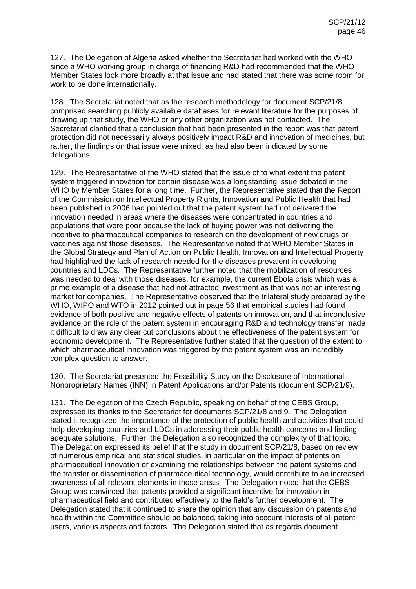127. The Delegation of Algeria asked whether the Secretariat had worked with the WHO since a WHO working group in charge of financing R&D had recommended that the WHO Member States look more broadly at that issue and had stated that there was some room for work to be done internationally.

128. The Secretariat noted that as the research methodology for document SCP/21/8 comprised searching publicly available databases for relevant literature for the purposes of drawing up that study, the WHO or any other organization was not contacted. The Secretariat clarified that a conclusion that had been presented in the report was that patent protection did not necessarily always positively impact R&D and innovation of medicines, but rather, the findings on that issue were mixed, as had also been indicated by some delegations.

129. The Representative of the WHO stated that the issue of to what extent the patent system triggered innovation for certain disease was a longstanding issue debated in the WHO by Member States for a long time. Further, the Representative stated that the Report of the Commission on Intellectual Property Rights, Innovation and Public Health that had been published in 2006 had pointed out that the patent system had not delivered the innovation needed in areas where the diseases were concentrated in countries and populations that were poor because the lack of buying power was not delivering the incentive to pharmaceutical companies to research on the development of new drugs or vaccines against those diseases. The Representative noted that WHO Member States in the Global Strategy and Plan of Action on Public Health, Innovation and Intellectual Property had highlighted the lack of research needed for the diseases prevalent in developing countries and LDCs. The Representative further noted that the mobilization of resources was needed to deal with those diseases, for example, the current Ebola crisis which was a prime example of a disease that had not attracted investment as that was not an interesting market for companies. The Representative observed that the trilateral study prepared by the WHO, WIPO and WTO in 2012 pointed out in page 56 that empirical studies had found evidence of both positive and negative effects of patents on innovation, and that inconclusive evidence on the role of the patent system in encouraging R&D and technology transfer made it difficult to draw any clear cut conclusions about the effectiveness of the patent system for economic development. The Representative further stated that the question of the extent to which pharmaceutical innovation was triggered by the patent system was an incredibly complex question to answer.

130. The Secretariat presented the Feasibility Study on the Disclosure of International Nonproprietary Names (INN) in Patent Applications and/or Patents (document SCP/21/9).

131. The Delegation of the Czech Republic, speaking on behalf of the CEBS Group, expressed its thanks to the Secretariat for documents SCP/21/8 and 9. The Delegation stated it recognized the importance of the protection of public health and activities that could help developing countries and LDCs in addressing their public health concerns and finding adequate solutions. Further, the Delegation also recognized the complexity of that topic. The Delegation expressed its belief that the study in document SCP/21/8, based on review of numerous empirical and statistical studies, in particular on the impact of patents on pharmaceutical innovation or examining the relationships between the patent systems and the transfer or dissemination of pharmaceutical technology, would contribute to an increased awareness of all relevant elements in those areas. The Delegation noted that the CEBS Group was convinced that patents provided a significant incentive for innovation in pharmaceutical field and contributed effectively to the field's further development. The Delegation stated that it continued to share the opinion that any discussion on patents and health within the Committee should be balanced, taking into account interests of all patent users, various aspects and factors. The Delegation stated that as regards document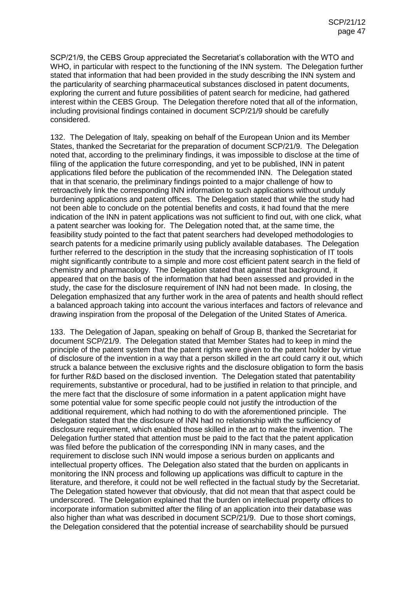SCP/21/9, the CEBS Group appreciated the Secretariat's collaboration with the WTO and WHO, in particular with respect to the functioning of the INN system. The Delegation further stated that information that had been provided in the study describing the INN system and the particularity of searching pharmaceutical substances disclosed in patent documents, exploring the current and future possibilities of patent search for medicine, had gathered interest within the CEBS Group. The Delegation therefore noted that all of the information, including provisional findings contained in document SCP/21/9 should be carefully considered.

132. The Delegation of Italy, speaking on behalf of the European Union and its Member States, thanked the Secretariat for the preparation of document SCP/21/9. The Delegation noted that, according to the preliminary findings, it was impossible to disclose at the time of filing of the application the future corresponding, and yet to be published, INN in patent applications filed before the publication of the recommended INN. The Delegation stated that in that scenario, the preliminary findings pointed to a major challenge of how to retroactively link the corresponding INN information to such applications without unduly burdening applications and patent offices. The Delegation stated that while the study had not been able to conclude on the potential benefits and costs, it had found that the mere indication of the INN in patent applications was not sufficient to find out, with one click, what a patent searcher was looking for. The Delegation noted that, at the same time, the feasibility study pointed to the fact that patent searchers had developed methodologies to search patents for a medicine primarily using publicly available databases. The Delegation further referred to the description in the study that the increasing sophistication of IT tools might significantly contribute to a simple and more cost efficient patent search in the field of chemistry and pharmacology. The Delegation stated that against that background, it appeared that on the basis of the information that had been assessed and provided in the study, the case for the disclosure requirement of INN had not been made. In closing, the Delegation emphasized that any further work in the area of patents and health should reflect a balanced approach taking into account the various interfaces and factors of relevance and drawing inspiration from the proposal of the Delegation of the United States of America.

133. The Delegation of Japan, speaking on behalf of Group B, thanked the Secretariat for document SCP/21/9. The Delegation stated that Member States had to keep in mind the principle of the patent system that the patent rights were given to the patent holder by virtue of disclosure of the invention in a way that a person skilled in the art could carry it out, which struck a balance between the exclusive rights and the disclosure obligation to form the basis for further R&D based on the disclosed invention. The Delegation stated that patentability requirements, substantive or procedural, had to be justified in relation to that principle, and the mere fact that the disclosure of some information in a patent application might have some potential value for some specific people could not justify the introduction of the additional requirement, which had nothing to do with the aforementioned principle. The Delegation stated that the disclosure of INN had no relationship with the sufficiency of disclosure requirement, which enabled those skilled in the art to make the invention. The Delegation further stated that attention must be paid to the fact that the patent application was filed before the publication of the corresponding INN in many cases, and the requirement to disclose such INN would impose a serious burden on applicants and intellectual property offices. The Delegation also stated that the burden on applicants in monitoring the INN process and following up applications was difficult to capture in the literature, and therefore, it could not be well reflected in the factual study by the Secretariat. The Delegation stated however that obviously, that did not mean that that aspect could be underscored. The Delegation explained that the burden on intellectual property offices to incorporate information submitted after the filing of an application into their database was also higher than what was described in document SCP/21/9. Due to those short comings, the Delegation considered that the potential increase of searchability should be pursued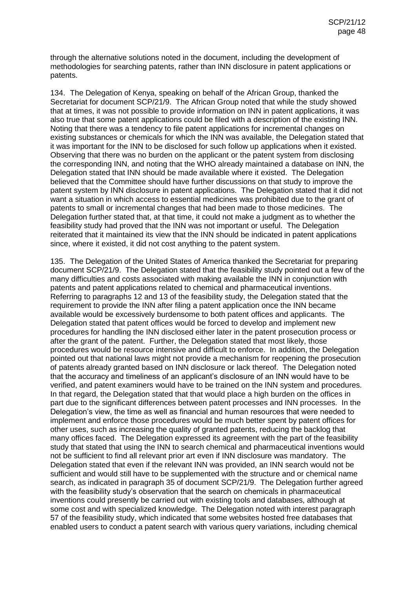through the alternative solutions noted in the document, including the development of methodologies for searching patents, rather than INN disclosure in patent applications or patents.

134. The Delegation of Kenya, speaking on behalf of the African Group, thanked the Secretariat for document SCP/21/9. The African Group noted that while the study showed that at times, it was not possible to provide information on INN in patent applications, it was also true that some patent applications could be filed with a description of the existing INN. Noting that there was a tendency to file patent applications for incremental changes on existing substances or chemicals for which the INN was available, the Delegation stated that it was important for the INN to be disclosed for such follow up applications when it existed. Observing that there was no burden on the applicant or the patent system from disclosing the corresponding INN, and noting that the WHO already maintained a database on INN, the Delegation stated that INN should be made available where it existed. The Delegation believed that the Committee should have further discussions on that study to improve the patent system by INN disclosure in patent applications. The Delegation stated that it did not want a situation in which access to essential medicines was prohibited due to the grant of patents to small or incremental changes that had been made to those medicines. The Delegation further stated that, at that time, it could not make a judgment as to whether the feasibility study had proved that the INN was not important or useful. The Delegation reiterated that it maintained its view that the INN should be indicated in patent applications since, where it existed, it did not cost anything to the patent system.

135. The Delegation of the United States of America thanked the Secretariat for preparing document SCP/21/9. The Delegation stated that the feasibility study pointed out a few of the many difficulties and costs associated with making available the INN in conjunction with patents and patent applications related to chemical and pharmaceutical inventions. Referring to paragraphs 12 and 13 of the feasibility study, the Delegation stated that the requirement to provide the INN after filing a patent application once the INN became available would be excessively burdensome to both patent offices and applicants. The Delegation stated that patent offices would be forced to develop and implement new procedures for handling the INN disclosed either later in the patent prosecution process or after the grant of the patent. Further, the Delegation stated that most likely, those procedures would be resource intensive and difficult to enforce. In addition, the Delegation pointed out that national laws might not provide a mechanism for reopening the prosecution of patents already granted based on INN disclosure or lack thereof. The Delegation noted that the accuracy and timeliness of an applicant's disclosure of an INN would have to be verified, and patent examiners would have to be trained on the INN system and procedures. In that regard, the Delegation stated that that would place a high burden on the offices in part due to the significant differences between patent processes and INN processes. In the Delegation's view, the time as well as financial and human resources that were needed to implement and enforce those procedures would be much better spent by patent offices for other uses, such as increasing the quality of granted patents, reducing the backlog that many offices faced. The Delegation expressed its agreement with the part of the feasibility study that stated that using the INN to search chemical and pharmaceutical inventions would not be sufficient to find all relevant prior art even if INN disclosure was mandatory. The Delegation stated that even if the relevant INN was provided, an INN search would not be sufficient and would still have to be supplemented with the structure and or chemical name search, as indicated in paragraph 35 of document SCP/21/9. The Delegation further agreed with the feasibility study's observation that the search on chemicals in pharmaceutical inventions could presently be carried out with existing tools and databases, although at some cost and with specialized knowledge. The Delegation noted with interest paragraph 57 of the feasibility study, which indicated that some websites hosted free databases that enabled users to conduct a patent search with various query variations, including chemical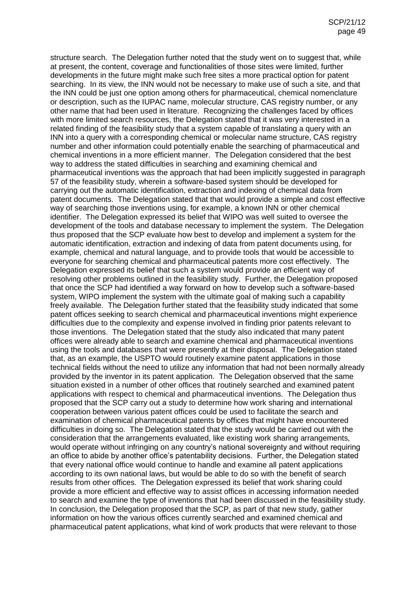structure search. The Delegation further noted that the study went on to suggest that, while at present, the content, coverage and functionalities of those sites were limited, further developments in the future might make such free sites a more practical option for patent searching. In its view, the INN would not be necessary to make use of such a site, and that the INN could be just one option among others for pharmaceutical, chemical nomenclature or description, such as the IUPAC name, molecular structure, CAS registry number, or any other name that had been used in literature. Recognizing the challenges faced by offices with more limited search resources, the Delegation stated that it was very interested in a related finding of the feasibility study that a system capable of translating a query with an INN into a query with a corresponding chemical or molecular name structure, CAS registry number and other information could potentially enable the searching of pharmaceutical and chemical inventions in a more efficient manner. The Delegation considered that the best way to address the stated difficulties in searching and examining chemical and pharmaceutical inventions was the approach that had been implicitly suggested in paragraph 57 of the feasibility study, wherein a software-based system should be developed for carrying out the automatic identification, extraction and indexing of chemical data from patent documents. The Delegation stated that that would provide a simple and cost effective way of searching those inventions using, for example, a known INN or other chemical identifier. The Delegation expressed its belief that WIPO was well suited to oversee the development of the tools and database necessary to implement the system. The Delegation thus proposed that the SCP evaluate how best to develop and implement a system for the automatic identification, extraction and indexing of data from patent documents using, for example, chemical and natural language, and to provide tools that would be accessible to everyone for searching chemical and pharmaceutical patents more cost effectively. The Delegation expressed its belief that such a system would provide an efficient way of resolving other problems outlined in the feasibility study. Further, the Delegation proposed that once the SCP had identified a way forward on how to develop such a software-based system, WIPO implement the system with the ultimate goal of making such a capability freely available. The Delegation further stated that the feasibility study indicated that some patent offices seeking to search chemical and pharmaceutical inventions might experience difficulties due to the complexity and expense involved in finding prior patents relevant to those inventions. The Delegation stated that the study also indicated that many patent offices were already able to search and examine chemical and pharmaceutical inventions using the tools and databases that were presently at their disposal. The Delegation stated that, as an example, the USPTO would routinely examine patent applications in those technical fields without the need to utilize any information that had not been normally already provided by the inventor in its patent application. The Delegation observed that the same situation existed in a number of other offices that routinely searched and examined patent applications with respect to chemical and pharmaceutical inventions. The Delegation thus proposed that the SCP carry out a study to determine how work sharing and international cooperation between various patent offices could be used to facilitate the search and examination of chemical pharmaceutical patents by offices that might have encountered difficulties in doing so. The Delegation stated that the study would be carried out with the consideration that the arrangements evaluated, like existing work sharing arrangements, would operate without infringing on any country's national sovereignty and without requiring an office to abide by another office's patentability decisions. Further, the Delegation stated that every national office would continue to handle and examine all patent applications according to its own national laws, but would be able to do so with the benefit of search results from other offices. The Delegation expressed its belief that work sharing could provide a more efficient and effective way to assist offices in accessing information needed to search and examine the type of inventions that had been discussed in the feasibility study. In conclusion, the Delegation proposed that the SCP, as part of that new study, gather information on how the various offices currently searched and examined chemical and pharmaceutical patent applications, what kind of work products that were relevant to those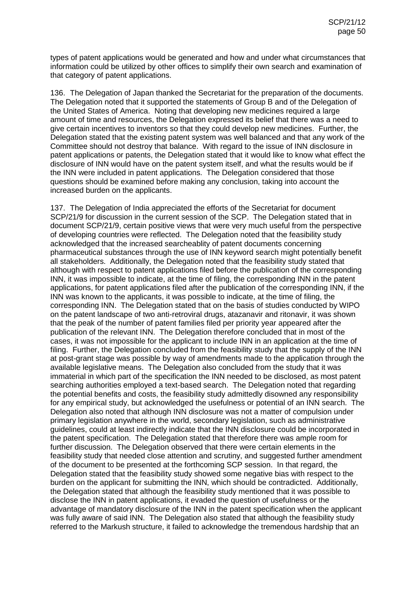types of patent applications would be generated and how and under what circumstances that information could be utilized by other offices to simplify their own search and examination of that category of patent applications.

136. The Delegation of Japan thanked the Secretariat for the preparation of the documents. The Delegation noted that it supported the statements of Group B and of the Delegation of the United States of America. Noting that developing new medicines required a large amount of time and resources, the Delegation expressed its belief that there was a need to give certain incentives to inventors so that they could develop new medicines. Further, the Delegation stated that the existing patent system was well balanced and that any work of the Committee should not destroy that balance. With regard to the issue of INN disclosure in patent applications or patents, the Delegation stated that it would like to know what effect the disclosure of INN would have on the patent system itself, and what the results would be if the INN were included in patent applications. The Delegation considered that those questions should be examined before making any conclusion, taking into account the increased burden on the applicants.

137. The Delegation of India appreciated the efforts of the Secretariat for document SCP/21/9 for discussion in the current session of the SCP. The Delegation stated that in document SCP/21/9, certain positive views that were very much useful from the perspective of developing countries were reflected. The Delegation noted that the feasibility study acknowledged that the increased searcheablity of patent documents concerning pharmaceutical substances through the use of INN keyword search might potentially benefit all stakeholders. Additionally, the Delegation noted that the feasibility study stated that although with respect to patent applications filed before the publication of the corresponding INN, it was impossible to indicate, at the time of filing, the corresponding INN in the patent applications, for patent applications filed after the publication of the corresponding INN, if the INN was known to the applicants, it was possible to indicate, at the time of filing, the corresponding INN. The Delegation stated that on the basis of studies conducted by WIPO on the patent landscape of two anti-retroviral drugs, atazanavir and ritonavir, it was shown that the peak of the number of patent families filed per priority year appeared after the publication of the relevant INN. The Delegation therefore concluded that in most of the cases, it was not impossible for the applicant to include INN in an application at the time of filing. Further, the Delegation concluded from the feasibility study that the supply of the INN at post-grant stage was possible by way of amendments made to the application through the available legislative means. The Delegation also concluded from the study that it was immaterial in which part of the specification the INN needed to be disclosed, as most patent searching authorities employed a text-based search. The Delegation noted that regarding the potential benefits and costs, the feasibility study admittedly disowned any responsibility for any empirical study, but acknowledged the usefulness or potential of an INN search. The Delegation also noted that although INN disclosure was not a matter of compulsion under primary legislation anywhere in the world, secondary legislation, such as administrative guidelines, could at least indirectly indicate that the INN disclosure could be incorporated in the patent specification. The Delegation stated that therefore there was ample room for further discussion. The Delegation observed that there were certain elements in the feasibility study that needed close attention and scrutiny, and suggested further amendment of the document to be presented at the forthcoming SCP session. In that regard, the Delegation stated that the feasibility study showed some negative bias with respect to the burden on the applicant for submitting the INN, which should be contradicted. Additionally, the Delegation stated that although the feasibility study mentioned that it was possible to disclose the INN in patent applications, it evaded the question of usefulness or the advantage of mandatory disclosure of the INN in the patent specification when the applicant was fully aware of said INN. The Delegation also stated that although the feasibility study referred to the Markush structure, it failed to acknowledge the tremendous hardship that an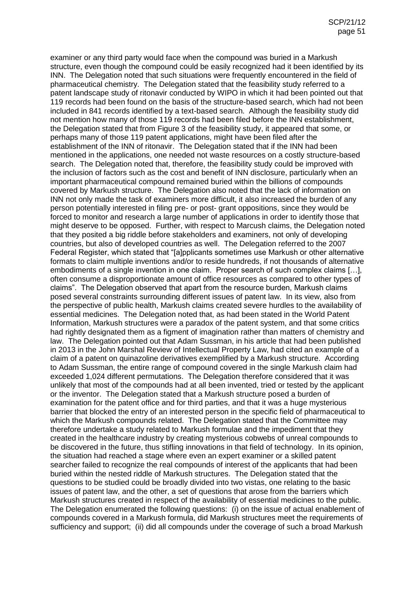examiner or any third party would face when the compound was buried in a Markush structure, even though the compound could be easily recognized had it been identified by its INN. The Delegation noted that such situations were frequently encountered in the field of pharmaceutical chemistry. The Delegation stated that the feasibility study referred to a patent landscape study of ritonavir conducted by WIPO in which it had been pointed out that 119 records had been found on the basis of the structure-based search, which had not been included in 841 records identified by a text-based search. Although the feasibility study did not mention how many of those 119 records had been filed before the INN establishment, the Delegation stated that from Figure 3 of the feasibility study, it appeared that some, or perhaps many of those 119 patent applications, might have been filed after the establishment of the INN of ritonavir. The Delegation stated that if the INN had been mentioned in the applications, one needed not waste resources on a costly structure-based search. The Delegation noted that, therefore, the feasibility study could be improved with the inclusion of factors such as the cost and benefit of INN disclosure, particularly when an important pharmaceutical compound remained buried within the billions of compounds covered by Markush structure. The Delegation also noted that the lack of information on INN not only made the task of examiners more difficult, it also increased the burden of any person potentially interested in filing pre- or post- grant oppositions, since they would be forced to monitor and research a large number of applications in order to identify those that might deserve to be opposed. Further, with respect to Marcush claims, the Delegation noted that they posited a big riddle before stakeholders and examiners, not only of developing countries, but also of developed countries as well. The Delegation referred to the 2007 Federal Register, which stated that "[a]pplicants sometimes use Markush or other alternative formats to claim multiple inventions and/or to reside hundreds, if not thousands of alternative embodiments of a single invention in one claim. Proper search of such complex claims […], often consume a disproportionate amount of office resources as compared to other types of claims". The Delegation observed that apart from the resource burden, Markush claims posed several constraints surrounding different issues of patent law. In its view, also from the perspective of public health, Markush claims created severe hurdles to the availability of essential medicines. The Delegation noted that, as had been stated in the World Patent Information, Markush structures were a paradox of the patent system, and that some critics had rightly designated them as a figment of imagination rather than matters of chemistry and law. The Delegation pointed out that Adam Sussman, in his article that had been published in 2013 in the John Marshal Review of Intellectual Property Law, had cited an example of a claim of a patent on quinazoline derivatives exemplified by a Markush structure. According to Adam Sussman, the entire range of compound covered in the single Markush claim had exceeded 1,024 different permutations. The Delegation therefore considered that it was unlikely that most of the compounds had at all been invented, tried or tested by the applicant or the inventor. The Delegation stated that a Markush structure posed a burden of examination for the patent office and for third parties, and that it was a huge mysterious barrier that blocked the entry of an interested person in the specific field of pharmaceutical to which the Markush compounds related. The Delegation stated that the Committee may therefore undertake a study related to Markush formulae and the impediment that they created in the healthcare industry by creating mysterious cobwebs of unreal compounds to be discovered in the future, thus stifling innovations in that field of technology. In its opinion, the situation had reached a stage where even an expert examiner or a skilled patent searcher failed to recognize the real compounds of interest of the applicants that had been buried within the nested riddle of Markush structures. The Delegation stated that the questions to be studied could be broadly divided into two vistas, one relating to the basic issues of patent law, and the other, a set of questions that arose from the barriers which Markush structures created in respect of the availability of essential medicines to the public. The Delegation enumerated the following questions: (i) on the issue of actual enablement of compounds covered in a Markush formula, did Markush structures meet the requirements of sufficiency and support; (ii) did all compounds under the coverage of such a broad Markush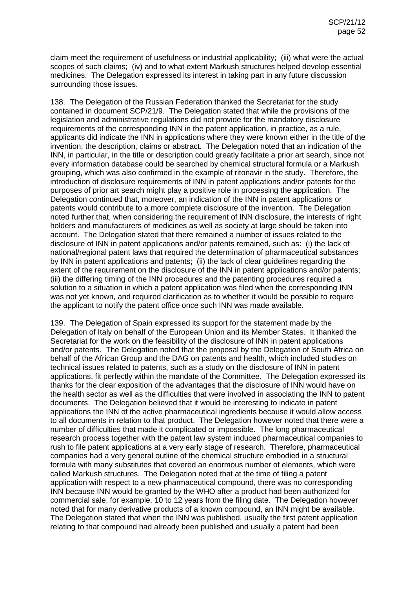claim meet the requirement of usefulness or industrial applicability; (iii) what were the actual scopes of such claims; (iv) and to what extent Markush structures helped develop essential medicines. The Delegation expressed its interest in taking part in any future discussion surrounding those issues.

138. The Delegation of the Russian Federation thanked the Secretariat for the study contained in document SCP/21/9. The Delegation stated that while the provisions of the legislation and administrative regulations did not provide for the mandatory disclosure requirements of the corresponding INN in the patent application, in practice, as a rule, applicants did indicate the INN in applications where they were known either in the title of the invention, the description, claims or abstract. The Delegation noted that an indication of the INN, in particular, in the title or description could greatly facilitate a prior art search, since not every information database could be searched by chemical structural formula or a Markush grouping, which was also confirmed in the example of ritonavir in the study. Therefore, the introduction of disclosure requirements of INN in patent applications and/or patents for the purposes of prior art search might play a positive role in processing the application. The Delegation continued that, moreover, an indication of the INN in patent applications or patents would contribute to a more complete disclosure of the invention. The Delegation noted further that, when considering the requirement of INN disclosure, the interests of right holders and manufacturers of medicines as well as society at large should be taken into account. The Delegation stated that there remained a number of issues related to the disclosure of INN in patent applications and/or patents remained, such as: (i) the lack of national/regional patent laws that required the determination of pharmaceutical substances by INN in patent applications and patents; (ii) the lack of clear guidelines regarding the extent of the requirement on the disclosure of the INN in patent applications and/or patents; (iii) the differing timing of the INN procedures and the patenting procedures required a solution to a situation in which a patent application was filed when the corresponding INN was not yet known, and required clarification as to whether it would be possible to require the applicant to notify the patent office once such INN was made available.

139. The Delegation of Spain expressed its support for the statement made by the Delegation of Italy on behalf of the European Union and its Member States. It thanked the Secretariat for the work on the feasibility of the disclosure of INN in patent applications and/or patents. The Delegation noted that the proposal by the Delegation of South Africa on behalf of the African Group and the DAG on patents and health, which included studies on technical issues related to patents, such as a study on the disclosure of INN in patent applications, fit perfectly within the mandate of the Committee. The Delegation expressed its thanks for the clear exposition of the advantages that the disclosure of INN would have on the health sector as well as the difficulties that were involved in associating the INN to patent documents. The Delegation believed that it would be interesting to indicate in patent applications the INN of the active pharmaceutical ingredients because it would allow access to all documents in relation to that product. The Delegation however noted that there were a number of difficulties that made it complicated or impossible. The long pharmaceutical research process together with the patent law system induced pharmaceutical companies to rush to file patent applications at a very early stage of research. Therefore, pharmaceutical companies had a very general outline of the chemical structure embodied in a structural formula with many substitutes that covered an enormous number of elements, which were called Markush structures. The Delegation noted that at the time of filing a patent application with respect to a new pharmaceutical compound, there was no corresponding INN because INN would be granted by the WHO after a product had been authorized for commercial sale, for example, 10 to 12 years from the filing date. The Delegation however noted that for many derivative products of a known compound, an INN might be available. The Delegation stated that when the INN was published, usually the first patent application relating to that compound had already been published and usually a patent had been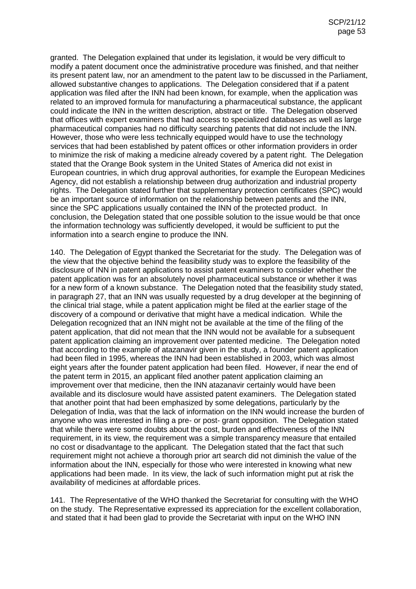granted. The Delegation explained that under its legislation, it would be very difficult to modify a patent document once the administrative procedure was finished, and that neither its present patent law, nor an amendment to the patent law to be discussed in the Parliament, allowed substantive changes to applications. The Delegation considered that if a patent application was filed after the INN had been known, for example, when the application was related to an improved formula for manufacturing a pharmaceutical substance, the applicant could indicate the INN in the written description, abstract or title. The Delegation observed that offices with expert examiners that had access to specialized databases as well as large pharmaceutical companies had no difficulty searching patents that did not include the INN. However, those who were less technically equipped would have to use the technology services that had been established by patent offices or other information providers in order to minimize the risk of making a medicine already covered by a patent right. The Delegation stated that the Orange Book system in the United States of America did not exist in European countries, in which drug approval authorities, for example the European Medicines Agency, did not establish a relationship between drug authorization and industrial property rights. The Delegation stated further that supplementary protection certificates (SPC) would be an important source of information on the relationship between patents and the INN, since the SPC applications usually contained the INN of the protected product. In conclusion, the Delegation stated that one possible solution to the issue would be that once the information technology was sufficiently developed, it would be sufficient to put the information into a search engine to produce the INN.

140. The Delegation of Egypt thanked the Secretariat for the study. The Delegation was of the view that the objective behind the feasibility study was to explore the feasibility of the disclosure of INN in patent applications to assist patent examiners to consider whether the patent application was for an absolutely novel pharmaceutical substance or whether it was for a new form of a known substance. The Delegation noted that the feasibility study stated, in paragraph 27, that an INN was usually requested by a drug developer at the beginning of the clinical trial stage, while a patent application might be filed at the earlier stage of the discovery of a compound or derivative that might have a medical indication. While the Delegation recognized that an INN might not be available at the time of the filing of the patent application, that did not mean that the INN would not be available for a subsequent patent application claiming an improvement over patented medicine. The Delegation noted that according to the example of atazanavir given in the study, a founder patent application had been filed in 1995, whereas the INN had been established in 2003, which was almost eight years after the founder patent application had been filed. However, if near the end of the patent term in 2015, an applicant filed another patent application claiming an improvement over that medicine, then the INN atazanavir certainly would have been available and its disclosure would have assisted patent examiners. The Delegation stated that another point that had been emphasized by some delegations, particularly by the Delegation of India, was that the lack of information on the INN would increase the burden of anyone who was interested in filing a pre- or post- grant opposition. The Delegation stated that while there were some doubts about the cost, burden and effectiveness of the INN requirement, in its view, the requirement was a simple transparency measure that entailed no cost or disadvantage to the applicant. The Delegation stated that the fact that such requirement might not achieve a thorough prior art search did not diminish the value of the information about the INN, especially for those who were interested in knowing what new applications had been made. In its view, the lack of such information might put at risk the availability of medicines at affordable prices.

141. The Representative of the WHO thanked the Secretariat for consulting with the WHO on the study. The Representative expressed its appreciation for the excellent collaboration, and stated that it had been glad to provide the Secretariat with input on the WHO INN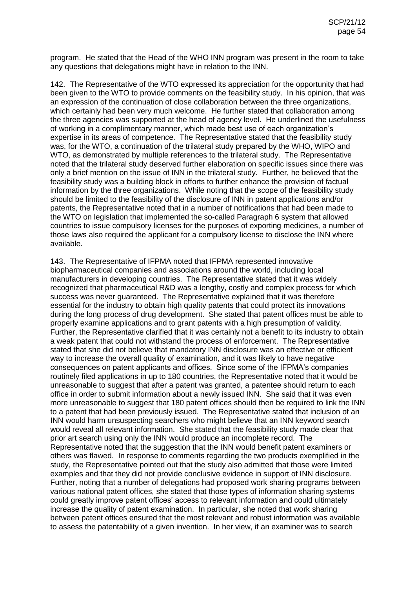program. He stated that the Head of the WHO INN program was present in the room to take any questions that delegations might have in relation to the INN.

142. The Representative of the WTO expressed its appreciation for the opportunity that had been given to the WTO to provide comments on the feasibility study. In his opinion, that was an expression of the continuation of close collaboration between the three organizations, which certainly had been very much welcome. He further stated that collaboration among the three agencies was supported at the head of agency level. He underlined the usefulness of working in a complimentary manner, which made best use of each organization's expertise in its areas of competence. The Representative stated that the feasibility study was, for the WTO, a continuation of the trilateral study prepared by the WHO, WIPO and WTO, as demonstrated by multiple references to the trilateral study. The Representative noted that the trilateral study deserved further elaboration on specific issues since there was only a brief mention on the issue of INN in the trilateral study. Further, he believed that the feasibility study was a building block in efforts to further enhance the provision of factual information by the three organizations. While noting that the scope of the feasibility study should be limited to the feasibility of the disclosure of INN in patent applications and/or patents, the Representative noted that in a number of notifications that had been made to the WTO on legislation that implemented the so-called Paragraph 6 system that allowed countries to issue compulsory licenses for the purposes of exporting medicines, a number of those laws also required the applicant for a compulsory license to disclose the INN where available.

143. The Representative of IFPMA noted that IFPMA represented innovative biopharmaceutical companies and associations around the world, including local manufacturers in developing countries. The Representative stated that it was widely recognized that pharmaceutical R&D was a lengthy, costly and complex process for which success was never guaranteed. The Representative explained that it was therefore essential for the industry to obtain high quality patents that could protect its innovations during the long process of drug development. She stated that patent offices must be able to properly examine applications and to grant patents with a high presumption of validity. Further, the Representative clarified that it was certainly not a benefit to its industry to obtain a weak patent that could not withstand the process of enforcement. The Representative stated that she did not believe that mandatory INN disclosure was an effective or efficient way to increase the overall quality of examination, and it was likely to have negative consequences on patent applicants and offices. Since some of the IFPMA's companies routinely filed applications in up to 180 countries, the Representative noted that it would be unreasonable to suggest that after a patent was granted, a patentee should return to each office in order to submit information about a newly issued INN. She said that it was even more unreasonable to suggest that 180 patent offices should then be required to link the INN to a patent that had been previously issued. The Representative stated that inclusion of an INN would harm unsuspecting searchers who might believe that an INN keyword search would reveal all relevant information. She stated that the feasibility study made clear that prior art search using only the INN would produce an incomplete record. The Representative noted that the suggestion that the INN would benefit patent examiners or others was flawed. In response to comments regarding the two products exemplified in the study, the Representative pointed out that the study also admitted that those were limited examples and that they did not provide conclusive evidence in support of INN disclosure. Further, noting that a number of delegations had proposed work sharing programs between various national patent offices, she stated that those types of information sharing systems could greatly improve patent offices' access to relevant information and could ultimately increase the quality of patent examination. In particular, she noted that work sharing between patent offices ensured that the most relevant and robust information was available to assess the patentability of a given invention. In her view, if an examiner was to search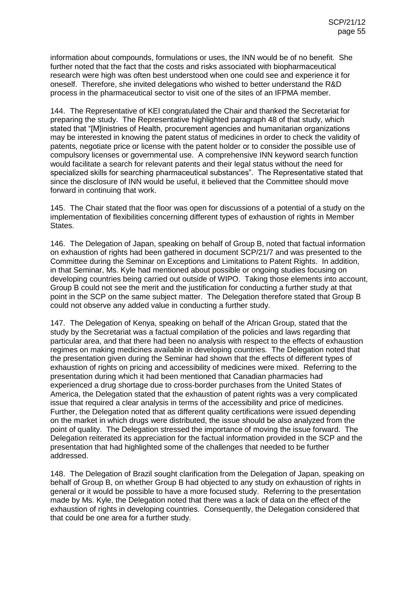information about compounds, formulations or uses, the INN would be of no benefit. She further noted that the fact that the costs and risks associated with biopharmaceutical research were high was often best understood when one could see and experience it for oneself. Therefore, she invited delegations who wished to better understand the R&D process in the pharmaceutical sector to visit one of the sites of an IFPMA member.

144. The Representative of KEI congratulated the Chair and thanked the Secretariat for preparing the study. The Representative highlighted paragraph 48 of that study, which stated that "[M]inistries of Health, procurement agencies and humanitarian organizations may be interested in knowing the patent status of medicines in order to check the validity of patents, negotiate price or license with the patent holder or to consider the possible use of compulsory licenses or governmental use. A comprehensive INN keyword search function would facilitate a search for relevant patents and their legal status without the need for specialized skills for searching pharmaceutical substances". The Representative stated that since the disclosure of INN would be useful, it believed that the Committee should move forward in continuing that work.

145. The Chair stated that the floor was open for discussions of a potential of a study on the implementation of flexibilities concerning different types of exhaustion of rights in Member States.

146. The Delegation of Japan, speaking on behalf of Group B, noted that factual information on exhaustion of rights had been gathered in document SCP/21/7 and was presented to the Committee during the Seminar on Exceptions and Limitations to Patent Rights. In addition, in that Seminar, Ms. Kyle had mentioned about possible or ongoing studies focusing on developing countries being carried out outside of WIPO. Taking those elements into account, Group B could not see the merit and the justification for conducting a further study at that point in the SCP on the same subject matter. The Delegation therefore stated that Group B could not observe any added value in conducting a further study.

147. The Delegation of Kenya, speaking on behalf of the African Group, stated that the study by the Secretariat was a factual compilation of the policies and laws regarding that particular area, and that there had been no analysis with respect to the effects of exhaustion regimes on making medicines available in developing countries. The Delegation noted that the presentation given during the Seminar had shown that the effects of different types of exhaustion of rights on pricing and accessibility of medicines were mixed. Referring to the presentation during which it had been mentioned that Canadian pharmacies had experienced a drug shortage due to cross-border purchases from the United States of America, the Delegation stated that the exhaustion of patent rights was a very complicated issue that required a clear analysis in terms of the accessibility and price of medicines. Further, the Delegation noted that as different quality certifications were issued depending on the market in which drugs were distributed, the issue should be also analyzed from the point of quality. The Delegation stressed the importance of moving the issue forward. The Delegation reiterated its appreciation for the factual information provided in the SCP and the presentation that had highlighted some of the challenges that needed to be further addressed.

148. The Delegation of Brazil sought clarification from the Delegation of Japan, speaking on behalf of Group B, on whether Group B had objected to any study on exhaustion of rights in general or it would be possible to have a more focused study. Referring to the presentation made by Ms. Kyle, the Delegation noted that there was a lack of data on the effect of the exhaustion of rights in developing countries. Consequently, the Delegation considered that that could be one area for a further study.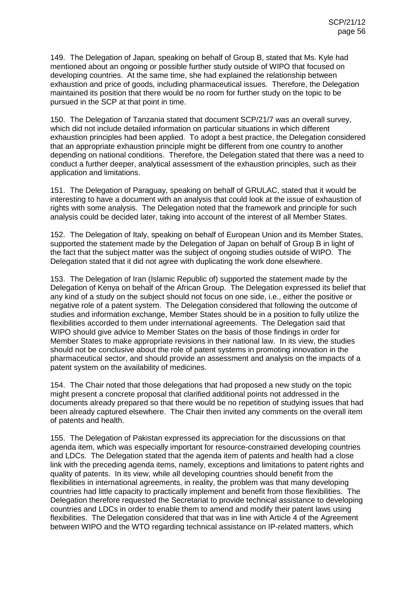149. The Delegation of Japan, speaking on behalf of Group B, stated that Ms. Kyle had mentioned about an ongoing or possible further study outside of WIPO that focused on developing countries. At the same time, she had explained the relationship between exhaustion and price of goods, including pharmaceutical issues. Therefore, the Delegation maintained its position that there would be no room for further study on the topic to be pursued in the SCP at that point in time.

150. The Delegation of Tanzania stated that document SCP/21/7 was an overall survey, which did not include detailed information on particular situations in which different exhaustion principles had been applied. To adopt a best practice, the Delegation considered that an appropriate exhaustion principle might be different from one country to another depending on national conditions. Therefore, the Delegation stated that there was a need to conduct a further deeper, analytical assessment of the exhaustion principles, such as their application and limitations.

151. The Delegation of Paraguay, speaking on behalf of GRULAC, stated that it would be interesting to have a document with an analysis that could look at the issue of exhaustion of rights with some analysis. The Delegation noted that the framework and principle for such analysis could be decided later, taking into account of the interest of all Member States.

152. The Delegation of Italy, speaking on behalf of European Union and its Member States, supported the statement made by the Delegation of Japan on behalf of Group B in light of the fact that the subject matter was the subject of ongoing studies outside of WIPO. The Delegation stated that it did not agree with duplicating the work done elsewhere.

153. The Delegation of Iran (Islamic Republic of) supported the statement made by the Delegation of Kenya on behalf of the African Group. The Delegation expressed its belief that any kind of a study on the subject should not focus on one side, i.e., either the positive or negative role of a patent system. The Delegation considered that following the outcome of studies and information exchange, Member States should be in a position to fully utilize the flexibilities accorded to them under international agreements. The Delegation said that WIPO should give advice to Member States on the basis of those findings in order for Member States to make appropriate revisions in their national law. In its view, the studies should not be conclusive about the role of patent systems in promoting innovation in the pharmaceutical sector, and should provide an assessment and analysis on the impacts of a patent system on the availability of medicines.

154. The Chair noted that those delegations that had proposed a new study on the topic might present a concrete proposal that clarified additional points not addressed in the documents already prepared so that there would be no repetition of studying issues that had been already captured elsewhere. The Chair then invited any comments on the overall item of patents and health.

155. The Delegation of Pakistan expressed its appreciation for the discussions on that agenda item, which was especially important for resource-constrained developing countries and LDCs. The Delegation stated that the agenda item of patents and health had a close link with the preceding agenda items, namely, exceptions and limitations to patent rights and quality of patents. In its view, while all developing countries should benefit from the flexibilities in international agreements, in reality, the problem was that many developing countries had little capacity to practically implement and benefit from those flexibilities. The Delegation therefore requested the Secretariat to provide technical assistance to developing countries and LDCs in order to enable them to amend and modify their patent laws using flexibilities. The Delegation considered that that was in line with Article 4 of the Agreement between WIPO and the WTO regarding technical assistance on IP-related matters, which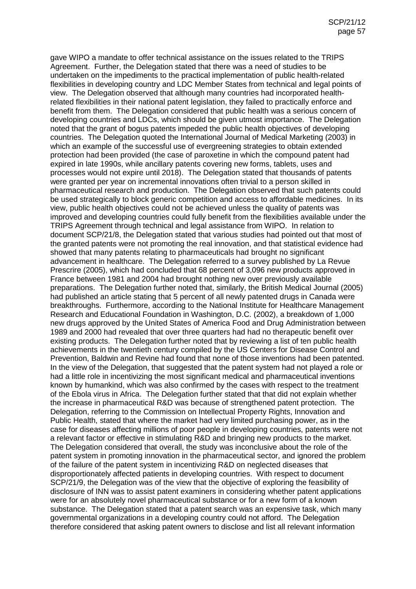gave WIPO a mandate to offer technical assistance on the issues related to the TRIPS Agreement. Further, the Delegation stated that there was a need of studies to be undertaken on the impediments to the practical implementation of public health-related flexibilities in developing country and LDC Member States from technical and legal points of view. The Delegation observed that although many countries had incorporated healthrelated flexibilities in their national patent legislation, they failed to practically enforce and benefit from them. The Delegation considered that public health was a serious concern of developing countries and LDCs, which should be given utmost importance. The Delegation noted that the grant of bogus patents impeded the public health objectives of developing countries. The Delegation quoted the International Journal of Medical Marketing (2003) in which an example of the successful use of evergreening strategies to obtain extended protection had been provided (the case of paroxetine in which the compound patent had expired in late 1990s, while ancillary patents covering new forms, tablets, uses and processes would not expire until 2018). The Delegation stated that thousands of patents were granted per year on incremental innovations often trivial to a person skilled in pharmaceutical research and production. The Delegation observed that such patents could be used strategically to block generic competition and access to affordable medicines. In its view, public health objectives could not be achieved unless the quality of patents was improved and developing countries could fully benefit from the flexibilities available under the TRIPS Agreement through technical and legal assistance from WIPO. In relation to document SCP/21/8, the Delegation stated that various studies had pointed out that most of the granted patents were not promoting the real innovation, and that statistical evidence had showed that many patents relating to pharmaceuticals had brought no significant advancement in healthcare. The Delegation referred to a survey published by La Revue Prescrire (2005), which had concluded that 68 percent of 3,096 new products approved in France between 1981 and 2004 had brought nothing new over previously available preparations. The Delegation further noted that, similarly, the British Medical Journal (2005) had published an article stating that 5 percent of all newly patented drugs in Canada were breakthroughs. Furthermore, according to the National Institute for Healthcare Management Research and Educational Foundation in Washington, D.C. (2002), a breakdown of 1,000 new drugs approved by the United States of America Food and Drug Administration between 1989 and 2000 had revealed that over three quarters had had no therapeutic benefit over existing products. The Delegation further noted that by reviewing a list of ten public health achievements in the twentieth century compiled by the US Centers for Disease Control and Prevention, Baldwin and Revine had found that none of those inventions had been patented. In the view of the Delegation, that suggested that the patent system had not played a role or had a little role in incentivizing the most significant medical and pharmaceutical inventions known by humankind, which was also confirmed by the cases with respect to the treatment of the Ebola virus in Africa. The Delegation further stated that that did not explain whether the increase in pharmaceutical R&D was because of strengthened patent protection. The Delegation, referring to the Commission on Intellectual Property Rights, Innovation and Public Health, stated that where the market had very limited purchasing power, as in the case for diseases affecting millions of poor people in developing countries, patents were not a relevant factor or effective in stimulating R&D and bringing new products to the market. The Delegation considered that overall, the study was inconclusive about the role of the patent system in promoting innovation in the pharmaceutical sector, and ignored the problem of the failure of the patent system in incentivizing R&D on neglected diseases that disproportionately affected patients in developing countries. With respect to document SCP/21/9, the Delegation was of the view that the objective of exploring the feasibility of disclosure of INN was to assist patent examiners in considering whether patent applications were for an absolutely novel pharmaceutical substance or for a new form of a known substance. The Delegation stated that a patent search was an expensive task, which many governmental organizations in a developing country could not afford. The Delegation therefore considered that asking patent owners to disclose and list all relevant information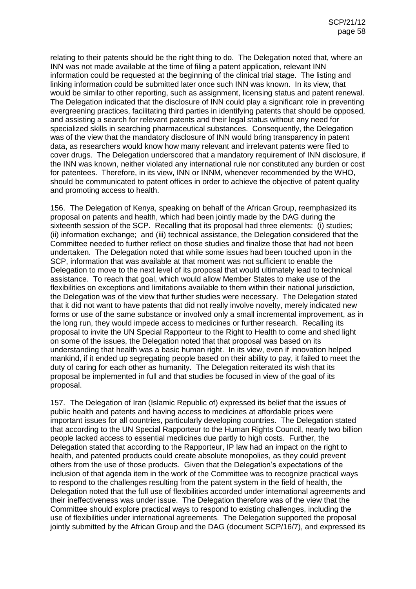relating to their patents should be the right thing to do. The Delegation noted that, where an INN was not made available at the time of filing a patent application, relevant INN information could be requested at the beginning of the clinical trial stage. The listing and linking information could be submitted later once such INN was known. In its view, that would be similar to other reporting, such as assignment, licensing status and patent renewal. The Delegation indicated that the disclosure of INN could play a significant role in preventing evergreening practices, facilitating third parties in identifying patents that should be opposed, and assisting a search for relevant patents and their legal status without any need for specialized skills in searching pharmaceutical substances. Consequently, the Delegation was of the view that the mandatory disclosure of INN would bring transparency in patent data, as researchers would know how many relevant and irrelevant patents were filed to cover drugs. The Delegation underscored that a mandatory requirement of INN disclosure, if the INN was known, neither violated any international rule nor constituted any burden or cost for patentees. Therefore, in its view, INN or INNM, whenever recommended by the WHO, should be communicated to patent offices in order to achieve the objective of patent quality and promoting access to health.

156. The Delegation of Kenya, speaking on behalf of the African Group, reemphasized its proposal on patents and health, which had been jointly made by the DAG during the sixteenth session of the SCP. Recalling that its proposal had three elements: (i) studies; (ii) information exchange; and (iii) technical assistance, the Delegation considered that the Committee needed to further reflect on those studies and finalize those that had not been undertaken. The Delegation noted that while some issues had been touched upon in the SCP, information that was available at that moment was not sufficient to enable the Delegation to move to the next level of its proposal that would ultimately lead to technical assistance. To reach that goal, which would allow Member States to make use of the flexibilities on exceptions and limitations available to them within their national jurisdiction, the Delegation was of the view that further studies were necessary. The Delegation stated that it did not want to have patents that did not really involve novelty, merely indicated new forms or use of the same substance or involved only a small incremental improvement, as in the long run, they would impede access to medicines or further research. Recalling its proposal to invite the UN Special Rapporteur to the Right to Health to come and shed light on some of the issues, the Delegation noted that that proposal was based on its understanding that health was a basic human right. In its view, even if innovation helped mankind, if it ended up segregating people based on their ability to pay, it failed to meet the duty of caring for each other as humanity. The Delegation reiterated its wish that its proposal be implemented in full and that studies be focused in view of the goal of its proposal.

157. The Delegation of Iran (Islamic Republic of) expressed its belief that the issues of public health and patents and having access to medicines at affordable prices were important issues for all countries, particularly developing countries. The Delegation stated that according to the UN Special Rapporteur to the Human Rights Council, nearly two billion people lacked access to essential medicines due partly to high costs. Further, the Delegation stated that according to the Rapporteur, IP law had an impact on the right to health, and patented products could create absolute monopolies, as they could prevent others from the use of those products. Given that the Delegation's expectations of the inclusion of that agenda item in the work of the Committee was to recognize practical ways to respond to the challenges resulting from the patent system in the field of health, the Delegation noted that the full use of flexibilities accorded under international agreements and their ineffectiveness was under issue. The Delegation therefore was of the view that the Committee should explore practical ways to respond to existing challenges, including the use of flexibilities under international agreements. The Delegation supported the proposal jointly submitted by the African Group and the DAG (document SCP/16/7), and expressed its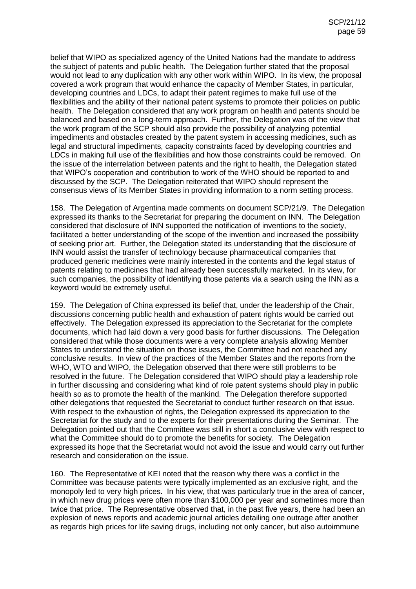belief that WIPO as specialized agency of the United Nations had the mandate to address the subject of patents and public health. The Delegation further stated that the proposal would not lead to any duplication with any other work within WIPO. In its view, the proposal covered a work program that would enhance the capacity of Member States, in particular, developing countries and LDCs, to adapt their patent regimes to make full use of the flexibilities and the ability of their national patent systems to promote their policies on public health. The Delegation considered that any work program on health and patents should be balanced and based on a long-term approach. Further, the Delegation was of the view that the work program of the SCP should also provide the possibility of analyzing potential impediments and obstacles created by the patent system in accessing medicines, such as legal and structural impediments, capacity constraints faced by developing countries and LDCs in making full use of the flexibilities and how those constraints could be removed. On the issue of the interrelation between patents and the right to health, the Delegation stated that WIPO's cooperation and contribution to work of the WHO should be reported to and discussed by the SCP. The Delegation reiterated that WIPO should represent the consensus views of its Member States in providing information to a norm setting process.

158. The Delegation of Argentina made comments on document SCP/21/9. The Delegation expressed its thanks to the Secretariat for preparing the document on INN. The Delegation considered that disclosure of INN supported the notification of inventions to the society, facilitated a better understanding of the scope of the invention and increased the possibility of seeking prior art. Further, the Delegation stated its understanding that the disclosure of INN would assist the transfer of technology because pharmaceutical companies that produced generic medicines were mainly interested in the contents and the legal status of patents relating to medicines that had already been successfully marketed. In its view, for such companies, the possibility of identifying those patents via a search using the INN as a keyword would be extremely useful.

159. The Delegation of China expressed its belief that, under the leadership of the Chair, discussions concerning public health and exhaustion of patent rights would be carried out effectively. The Delegation expressed its appreciation to the Secretariat for the complete documents, which had laid down a very good basis for further discussions. The Delegation considered that while those documents were a very complete analysis allowing Member States to understand the situation on those issues, the Committee had not reached any conclusive results. In view of the practices of the Member States and the reports from the WHO, WTO and WIPO, the Delegation observed that there were still problems to be resolved in the future. The Delegation considered that WIPO should play a leadership role in further discussing and considering what kind of role patent systems should play in public health so as to promote the health of the mankind. The Delegation therefore supported other delegations that requested the Secretariat to conduct further research on that issue. With respect to the exhaustion of rights, the Delegation expressed its appreciation to the Secretariat for the study and to the experts for their presentations during the Seminar. The Delegation pointed out that the Committee was still in short a conclusive view with respect to what the Committee should do to promote the benefits for society. The Delegation expressed its hope that the Secretariat would not avoid the issue and would carry out further research and consideration on the issue.

160. The Representative of KEI noted that the reason why there was a conflict in the Committee was because patents were typically implemented as an exclusive right, and the monopoly led to very high prices. In his view, that was particularly true in the area of cancer, in which new drug prices were often more than \$100,000 per year and sometimes more than twice that price. The Representative observed that, in the past five years, there had been an explosion of news reports and academic journal articles detailing one outrage after another as regards high prices for life saving drugs, including not only cancer, but also autoimmune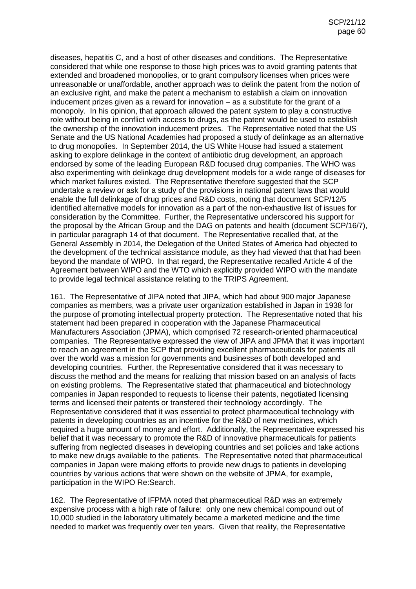diseases, hepatitis C, and a host of other diseases and conditions. The Representative considered that while one response to those high prices was to avoid granting patents that extended and broadened monopolies, or to grant compulsory licenses when prices were unreasonable or unaffordable, another approach was to delink the patent from the notion of an exclusive right, and make the patent a mechanism to establish a claim on innovation inducement prizes given as a reward for innovation – as a substitute for the grant of a monopoly. In his opinion, that approach allowed the patent system to play a constructive role without being in conflict with access to drugs, as the patent would be used to establish the ownership of the innovation inducement prizes. The Representative noted that the US Senate and the US National Academies had proposed a study of delinkage as an alternative to drug monopolies. In September 2014, the US White House had issued a statement asking to explore delinkage in the context of antibiotic drug development, an approach endorsed by some of the leading European R&D focused drug companies. The WHO was also experimenting with delinkage drug development models for a wide range of diseases for which market failures existed. The Representative therefore suggested that the SCP undertake a review or ask for a study of the provisions in national patent laws that would enable the full delinkage of drug prices and R&D costs, noting that document SCP/12/5 identified alternative models for innovation as a part of the non-exhaustive list of issues for consideration by the Committee. Further, the Representative underscored his support for the proposal by the African Group and the DAG on patents and health (document SCP/16/7), in particular paragraph 14 of that document. The Representative recalled that, at the General Assembly in 2014, the Delegation of the United States of America had objected to the development of the technical assistance module, as they had viewed that that had been beyond the mandate of WIPO. In that regard, the Representative recalled Article 4 of the Agreement between WIPO and the WTO which explicitly provided WIPO with the mandate to provide legal technical assistance relating to the TRIPS Agreement.

161. The Representative of JIPA noted that JIPA, which had about 900 major Japanese companies as members, was a private user organization established in Japan in 1938 for the purpose of promoting intellectual property protection. The Representative noted that his statement had been prepared in cooperation with the Japanese Pharmaceutical Manufacturers Association (JPMA), which comprised 72 research-oriented pharmaceutical companies. The Representative expressed the view of JIPA and JPMA that it was important to reach an agreement in the SCP that providing excellent pharmaceuticals for patients all over the world was a mission for governments and businesses of both developed and developing countries. Further, the Representative considered that it was necessary to discuss the method and the means for realizing that mission based on an analysis of facts on existing problems. The Representative stated that pharmaceutical and biotechnology companies in Japan responded to requests to license their patents, negotiated licensing terms and licensed their patents or transfered their technology accordingly. The Representative considered that it was essential to protect pharmaceutical technology with patents in developing countries as an incentive for the R&D of new medicines, which required a huge amount of money and effort. Additionally, the Representative expressed his belief that it was necessary to promote the R&D of innovative pharmaceuticals for patients suffering from neglected diseases in developing countries and set policies and take actions to make new drugs available to the patients. The Representative noted that pharmaceutical companies in Japan were making efforts to provide new drugs to patients in developing countries by various actions that were shown on the website of JPMA, for example, participation in the WIPO Re:Search.

162. The Representative of IFPMA noted that pharmaceutical R&D was an extremely expensive process with a high rate of failure: only one new chemical compound out of 10,000 studied in the laboratory ultimately became a marketed medicine and the time needed to market was frequently over ten years. Given that reality, the Representative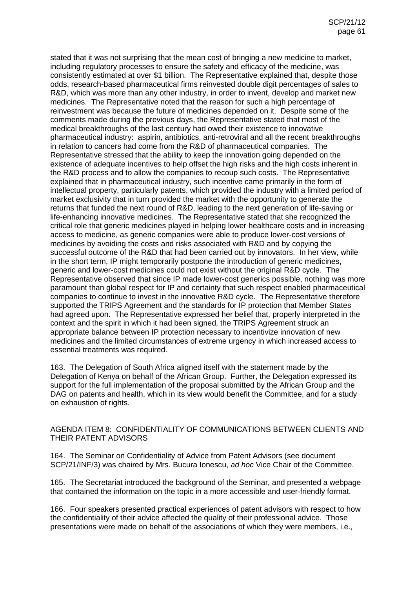stated that it was not surprising that the mean cost of bringing a new medicine to market, including regulatory processes to ensure the safety and efficacy of the medicine, was consistently estimated at over \$1 billion. The Representative explained that, despite those odds, research-based pharmaceutical firms reinvested double digit percentages of sales to R&D, which was more than any other industry, in order to invent, develop and market new medicines. The Representative noted that the reason for such a high percentage of reinvestment was because the future of medicines depended on it. Despite some of the comments made during the previous days, the Representative stated that most of the medical breakthroughs of the last century had owed their existence to innovative pharmaceutical industry: aspirin, antibiotics, anti-retroviral and all the recent breakthroughs in relation to cancers had come from the R&D of pharmaceutical companies. The Representative stressed that the ability to keep the innovation going depended on the existence of adequate incentives to help offset the high risks and the high costs inherent in the R&D process and to allow the companies to recoup such costs. The Representative explained that in pharmaceutical industry, such incentive came primarily in the form of intellectual property, particularly patents, which provided the industry with a limited period of market exclusivity that in turn provided the market with the opportunity to generate the returns that funded the next round of R&D, leading to the next generation of life-saving or life-enhancing innovative medicines. The Representative stated that she recognized the critical role that generic medicines played in helping lower healthcare costs and in increasing access to medicine, as generic companies were able to produce lower-cost versions of medicines by avoiding the costs and risks associated with R&D and by copying the successful outcome of the R&D that had been carried out by innovators. In her view, while in the short term, IP might temporarily postpone the introduction of generic medicines, generic and lower-cost medicines could not exist without the original R&D cycle. The Representative observed that since IP made lower-cost generics possible, nothing was more paramount than global respect for IP and certainty that such respect enabled pharmaceutical companies to continue to invest in the innovative R&D cycle. The Representative therefore supported the TRIPS Agreement and the standards for IP protection that Member States had agreed upon. The Representative expressed her belief that, properly interpreted in the context and the spirit in which it had been signed, the TRIPS Agreement struck an appropriate balance between IP protection necessary to incentivize innovation of new medicines and the limited circumstances of extreme urgency in which increased access to essential treatments was required.

163. The Delegation of South Africa aligned itself with the statement made by the Delegation of Kenya on behalf of the African Group. Further, the Delegation expressed its support for the full implementation of the proposal submitted by the African Group and the DAG on patents and health, which in its view would benefit the Committee, and for a study on exhaustion of rights.

## AGENDA ITEM 8: CONFIDENTIALITY OF COMMUNICATIONS BETWEEN CLIENTS AND THEIR PATENT ADVISORS

164. The Seminar on Confidentiality of Advice from Patent Advisors (see document SCP/21/INF/3) was chaired by Mrs. Bucura Ionescu, *ad hoc* Vice Chair of the Committee.

165. The Secretariat introduced the background of the Seminar, and presented a webpage that contained the information on the topic in a more accessible and user-friendly format.

166. Four speakers presented practical experiences of patent advisors with respect to how the confidentiality of their advice affected the quality of their professional advice. Those presentations were made on behalf of the associations of which they were members, i.e.,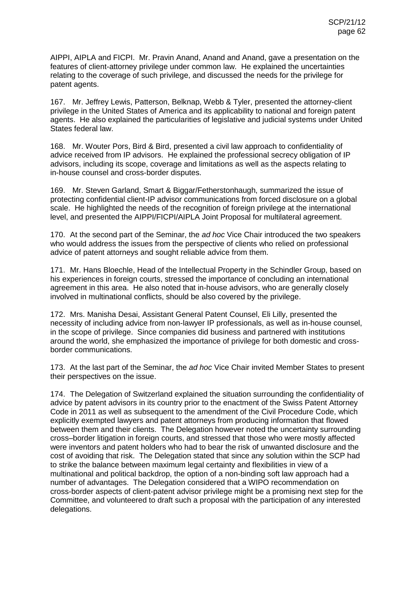AIPPI, AIPLA and FICPI. Mr. Pravin Anand, Anand and Anand, gave a presentation on the features of client-attorney privilege under common law. He explained the uncertainties relating to the coverage of such privilege, and discussed the needs for the privilege for patent agents.

167. Mr. Jeffrey Lewis, Patterson, Belknap, Webb & Tyler, presented the attorney-client privilege in the United States of America and its applicability to national and foreign patent agents. He also explained the particularities of legislative and judicial systems under United States federal law.

168. Mr. Wouter Pors, Bird & Bird, presented a civil law approach to confidentiality of advice received from IP advisors. He explained the professional secrecy obligation of IP advisors, including its scope, coverage and limitations as well as the aspects relating to in-house counsel and cross-border disputes.

169. Mr. Steven Garland, Smart & Biggar/Fetherstonhaugh, summarized the issue of protecting confidential client-IP advisor communications from forced disclosure on a global scale. He highlighted the needs of the recognition of foreign privilege at the international level, and presented the AIPPI/FICPI/AIPLA Joint Proposal for multilateral agreement.

170. At the second part of the Seminar, the *ad hoc* Vice Chair introduced the two speakers who would address the issues from the perspective of clients who relied on professional advice of patent attorneys and sought reliable advice from them.

171. Mr. Hans Bloechle, Head of the Intellectual Property in the Schindler Group, based on his experiences in foreign courts, stressed the importance of concluding an international agreement in this area. He also noted that in-house advisors, who are generally closely involved in multinational conflicts, should be also covered by the privilege.

172. Mrs. Manisha Desai, Assistant General Patent Counsel, Eli Lilly, presented the necessity of including advice from non-lawyer IP professionals, as well as in-house counsel, in the scope of privilege. Since companies did business and partnered with institutions around the world, she emphasized the importance of privilege for both domestic and crossborder communications.

173. At the last part of the Seminar, the *ad hoc* Vice Chair invited Member States to present their perspectives on the issue.

174. The Delegation of Switzerland explained the situation surrounding the confidentiality of advice by patent advisors in its country prior to the enactment of the Swiss Patent Attorney Code in 2011 as well as subsequent to the amendment of the Civil Procedure Code, which explicitly exempted lawyers and patent attorneys from producing information that flowed between them and their clients. The Delegation however noted the uncertainty surrounding cross–border litigation in foreign courts, and stressed that those who were mostly affected were inventors and patent holders who had to bear the risk of unwanted disclosure and the cost of avoiding that risk. The Delegation stated that since any solution within the SCP had to strike the balance between maximum legal certainty and flexibilities in view of a multinational and political backdrop, the option of a non-binding soft law approach had a number of advantages. The Delegation considered that a WIPO recommendation on cross-border aspects of client-patent advisor privilege might be a promising next step for the Committee, and volunteered to draft such a proposal with the participation of any interested delegations.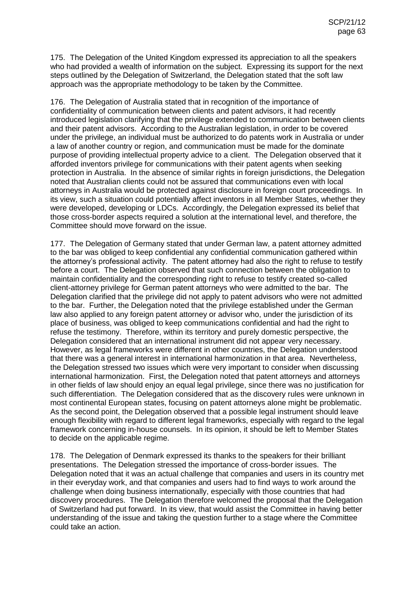175. The Delegation of the United Kingdom expressed its appreciation to all the speakers who had provided a wealth of information on the subject. Expressing its support for the next steps outlined by the Delegation of Switzerland, the Delegation stated that the soft law approach was the appropriate methodology to be taken by the Committee.

176. The Delegation of Australia stated that in recognition of the importance of confidentiality of communication between clients and patent advisors, it had recently introduced legislation clarifying that the privilege extended to communication between clients and their patent advisors. According to the Australian legislation, in order to be covered under the privilege, an individual must be authorized to do patents work in Australia or under a law of another country or region, and communication must be made for the dominate purpose of providing intellectual property advice to a client. The Delegation observed that it afforded inventors privilege for communications with their patent agents when seeking protection in Australia. In the absence of similar rights in foreign jurisdictions, the Delegation noted that Australian clients could not be assured that communications even with local attorneys in Australia would be protected against disclosure in foreign court proceedings. In its view, such a situation could potentially affect inventors in all Member States, whether they were developed, developing or LDCs. Accordingly, the Delegation expressed its belief that those cross-border aspects required a solution at the international level, and therefore, the Committee should move forward on the issue.

177. The Delegation of Germany stated that under German law, a patent attorney admitted to the bar was obliged to keep confidential any confidential communication gathered within the attorney's professional activity. The patent attorney had also the right to refuse to testify before a court. The Delegation observed that such connection between the obligation to maintain confidentiality and the corresponding right to refuse to testify created so-called client-attorney privilege for German patent attorneys who were admitted to the bar. The Delegation clarified that the privilege did not apply to patent advisors who were not admitted to the bar. Further, the Delegation noted that the privilege established under the German law also applied to any foreign patent attorney or advisor who, under the jurisdiction of its place of business, was obliged to keep communications confidential and had the right to refuse the testimony. Therefore, within its territory and purely domestic perspective, the Delegation considered that an international instrument did not appear very necessary. However, as legal frameworks were different in other countries, the Delegation understood that there was a general interest in international harmonization in that area. Nevertheless, the Delegation stressed two issues which were very important to consider when discussing international harmonization. First, the Delegation noted that patent attorneys and attorneys in other fields of law should enjoy an equal legal privilege, since there was no justification for such differentiation. The Delegation considered that as the discovery rules were unknown in most continental European states, focusing on patent attorneys alone might be problematic. As the second point, the Delegation observed that a possible legal instrument should leave enough flexibility with regard to different legal frameworks, especially with regard to the legal framework concerning in-house counsels. In its opinion, it should be left to Member States to decide on the applicable regime.

178. The Delegation of Denmark expressed its thanks to the speakers for their brilliant presentations. The Delegation stressed the importance of cross-border issues. The Delegation noted that it was an actual challenge that companies and users in its country met in their everyday work, and that companies and users had to find ways to work around the challenge when doing business internationally, especially with those countries that had discovery procedures. The Delegation therefore welcomed the proposal that the Delegation of Switzerland had put forward. In its view, that would assist the Committee in having better understanding of the issue and taking the question further to a stage where the Committee could take an action.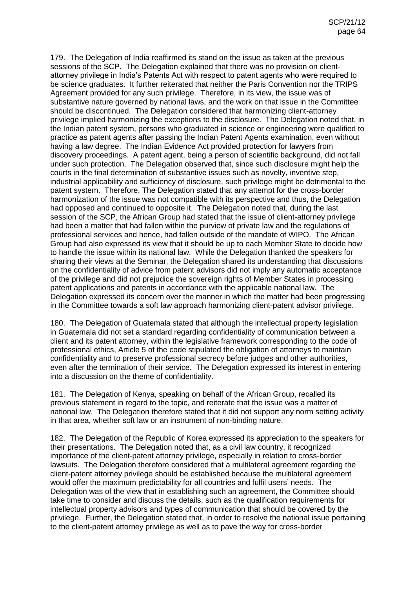179. The Delegation of India reaffirmed its stand on the issue as taken at the previous sessions of the SCP. The Delegation explained that there was no provision on clientattorney privilege in India's Patents Act with respect to patent agents who were required to be science graduates. It further reiterated that neither the Paris Convention nor the TRIPS Agreement provided for any such privilege. Therefore, in its view, the issue was of substantive nature governed by national laws, and the work on that issue in the Committee should be discontinued. The Delegation considered that harmonizing client-attorney privilege implied harmonizing the exceptions to the disclosure. The Delegation noted that, in the Indian patent system, persons who graduated in science or engineering were qualified to practice as patent agents after passing the Indian Patent Agents examination, even without having a law degree. The Indian Evidence Act provided protection for lawyers from discovery proceedings. A patent agent, being a person of scientific background, did not fall under such protection. The Delegation observed that, since such disclosure might help the courts in the final determination of substantive issues such as novelty, inventive step, industrial applicability and sufficiency of disclosure, such privilege might be detrimental to the patent system. Therefore, The Delegation stated that any attempt for the cross-border harmonization of the issue was not compatible with its perspective and thus, the Delegation had opposed and continued to opposite it. The Delegation noted that, during the last session of the SCP, the African Group had stated that the issue of client-attorney privilege had been a matter that had fallen within the purview of private law and the regulations of professional services and hence, had fallen outside of the mandate of WIPO. The African Group had also expressed its view that it should be up to each Member State to decide how to handle the issue within its national law. While the Delegation thanked the speakers for sharing their views at the Seminar, the Delegation shared its understanding that discussions on the confidentiality of advice from patent advisors did not imply any automatic acceptance of the privilege and did not prejudice the sovereign rights of Member States in processing patent applications and patents in accordance with the applicable national law. The Delegation expressed its concern over the manner in which the matter had been progressing in the Committee towards a soft law approach harmonizing client-patent advisor privilege.

180. The Delegation of Guatemala stated that although the intellectual property legislation in Guatemala did not set a standard regarding confidentiality of communication between a client and its patent attorney, within the legislative framework corresponding to the code of professional ethics, Article 5 of the code stipulated the obligation of attorneys to maintain confidentiality and to preserve professional secrecy before judges and other authorities, even after the termination of their service. The Delegation expressed its interest in entering into a discussion on the theme of confidentiality.

181. The Delegation of Kenya, speaking on behalf of the African Group, recalled its previous statement in regard to the topic, and reiterate that the issue was a matter of national law. The Delegation therefore stated that it did not support any norm setting activity in that area, whether soft law or an instrument of non-binding nature.

182. The Delegation of the Republic of Korea expressed its appreciation to the speakers for their presentations. The Delegation noted that, as a civil law country, it recognized importance of the client-patent attorney privilege, especially in relation to cross-border lawsuits. The Delegation therefore considered that a multilateral agreement regarding the client-patent attorney privilege should be established because the multilateral agreement would offer the maximum predictability for all countries and fulfil users' needs. The Delegation was of the view that in establishing such an agreement, the Committee should take time to consider and discuss the details, such as the qualification requirements for intellectual property advisors and types of communication that should be covered by the privilege. Further, the Delegation stated that, in order to resolve the national issue pertaining to the client-patent attorney privilege as well as to pave the way for cross-border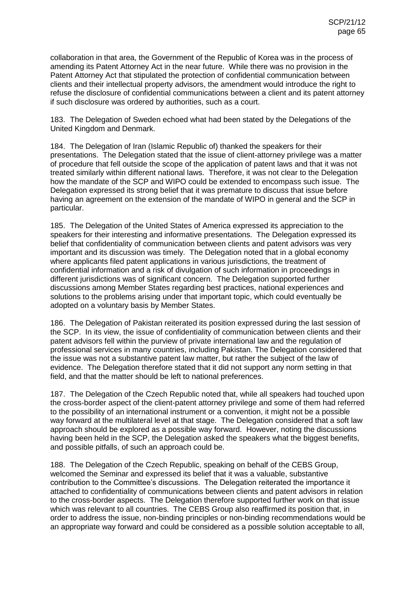collaboration in that area, the Government of the Republic of Korea was in the process of amending its Patent Attorney Act in the near future. While there was no provision in the Patent Attorney Act that stipulated the protection of confidential communication between clients and their intellectual property advisors, the amendment would introduce the right to refuse the disclosure of confidential communications between a client and its patent attorney if such disclosure was ordered by authorities, such as a court.

183. The Delegation of Sweden echoed what had been stated by the Delegations of the United Kingdom and Denmark.

184. The Delegation of Iran (Islamic Republic of) thanked the speakers for their presentations. The Delegation stated that the issue of client-attorney privilege was a matter of procedure that fell outside the scope of the application of patent laws and that it was not treated similarly within different national laws. Therefore, it was not clear to the Delegation how the mandate of the SCP and WIPO could be extended to encompass such issue. The Delegation expressed its strong belief that it was premature to discuss that issue before having an agreement on the extension of the mandate of WIPO in general and the SCP in particular.

185. The Delegation of the United States of America expressed its appreciation to the speakers for their interesting and informative presentations. The Delegation expressed its belief that confidentiality of communication between clients and patent advisors was very important and its discussion was timely. The Delegation noted that in a global economy where applicants filed patent applications in various jurisdictions, the treatment of confidential information and a risk of divulgation of such information in proceedings in different jurisdictions was of significant concern. The Delegation supported further discussions among Member States regarding best practices, national experiences and solutions to the problems arising under that important topic, which could eventually be adopted on a voluntary basis by Member States.

186. The Delegation of Pakistan reiterated its position expressed during the last session of the SCP. In its view, the issue of confidentiality of communication between clients and their patent advisors fell within the purview of private international law and the regulation of professional services in many countries, including Pakistan. The Delegation considered that the issue was not a substantive patent law matter, but rather the subject of the law of evidence. The Delegation therefore stated that it did not support any norm setting in that field, and that the matter should be left to national preferences.

187. The Delegation of the Czech Republic noted that, while all speakers had touched upon the cross-border aspect of the client-patent attorney privilege and some of them had referred to the possibility of an international instrument or a convention, it might not be a possible way forward at the multilateral level at that stage. The Delegation considered that a soft law approach should be explored as a possible way forward. However, noting the discussions having been held in the SCP, the Delegation asked the speakers what the biggest benefits, and possible pitfalls, of such an approach could be.

188. The Delegation of the Czech Republic, speaking on behalf of the CEBS Group, welcomed the Seminar and expressed its belief that it was a valuable, substantive contribution to the Committee's discussions. The Delegation reiterated the importance it attached to confidentiality of communications between clients and patent advisors in relation to the cross-border aspects. The Delegation therefore supported further work on that issue which was relevant to all countries. The CEBS Group also reaffirmed its position that, in order to address the issue, non-binding principles or non-binding recommendations would be an appropriate way forward and could be considered as a possible solution acceptable to all,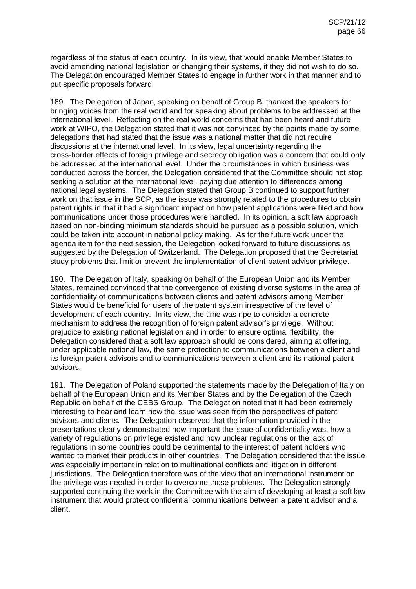regardless of the status of each country. In its view, that would enable Member States to avoid amending national legislation or changing their systems, if they did not wish to do so. The Delegation encouraged Member States to engage in further work in that manner and to put specific proposals forward.

189. The Delegation of Japan, speaking on behalf of Group B, thanked the speakers for bringing voices from the real world and for speaking about problems to be addressed at the international level. Reflecting on the real world concerns that had been heard and future work at WIPO, the Delegation stated that it was not convinced by the points made by some delegations that had stated that the issue was a national matter that did not require discussions at the international level. In its view, legal uncertainty regarding the cross-border effects of foreign privilege and secrecy obligation was a concern that could only be addressed at the international level. Under the circumstances in which business was conducted across the border, the Delegation considered that the Committee should not stop seeking a solution at the international level, paying due attention to differences among national legal systems. The Delegation stated that Group B continued to support further work on that issue in the SCP, as the issue was strongly related to the procedures to obtain patent rights in that it had a significant impact on how patent applications were filed and how communications under those procedures were handled. In its opinion, a soft law approach based on non-binding minimum standards should be pursued as a possible solution, which could be taken into account in national policy making. As for the future work under the agenda item for the next session, the Delegation looked forward to future discussions as suggested by the Delegation of Switzerland. The Delegation proposed that the Secretariat study problems that limit or prevent the implementation of client-patent advisor privilege.

190. The Delegation of Italy, speaking on behalf of the European Union and its Member States, remained convinced that the convergence of existing diverse systems in the area of confidentiality of communications between clients and patent advisors among Member States would be beneficial for users of the patent system irrespective of the level of development of each country. In its view, the time was ripe to consider a concrete mechanism to address the recognition of foreign patent advisor's privilege. Without prejudice to existing national legislation and in order to ensure optimal flexibility, the Delegation considered that a soft law approach should be considered, aiming at offering, under applicable national law, the same protection to communications between a client and its foreign patent advisors and to communications between a client and its national patent advisors.

191. The Delegation of Poland supported the statements made by the Delegation of Italy on behalf of the European Union and its Member States and by the Delegation of the Czech Republic on behalf of the CEBS Group. The Delegation noted that it had been extremely interesting to hear and learn how the issue was seen from the perspectives of patent advisors and clients. The Delegation observed that the information provided in the presentations clearly demonstrated how important the issue of confidentiality was, how a variety of regulations on privilege existed and how unclear regulations or the lack of regulations in some countries could be detrimental to the interest of patent holders who wanted to market their products in other countries. The Delegation considered that the issue was especially important in relation to multinational conflicts and litigation in different jurisdictions. The Delegation therefore was of the view that an international instrument on the privilege was needed in order to overcome those problems. The Delegation strongly supported continuing the work in the Committee with the aim of developing at least a soft law instrument that would protect confidential communications between a patent advisor and a client.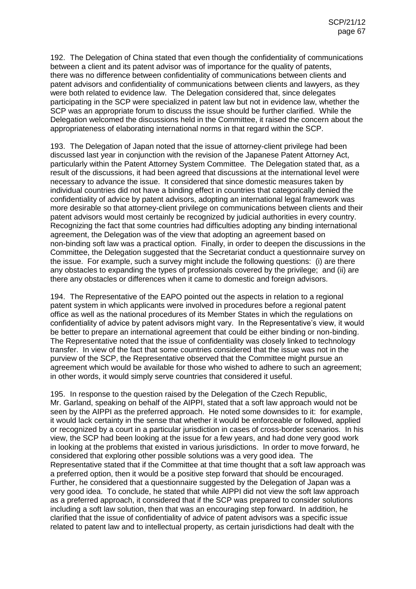192. The Delegation of China stated that even though the confidentiality of communications between a client and its patent advisor was of importance for the quality of patents, there was no difference between confidentiality of communications between clients and patent advisors and confidentiality of communications between clients and lawyers, as they were both related to evidence law. The Delegation considered that, since delegates participating in the SCP were specialized in patent law but not in evidence law, whether the SCP was an appropriate forum to discuss the issue should be further clarified. While the Delegation welcomed the discussions held in the Committee, it raised the concern about the appropriateness of elaborating international norms in that regard within the SCP.

193. The Delegation of Japan noted that the issue of attorney-client privilege had been discussed last year in conjunction with the revision of the Japanese Patent Attorney Act, particularly within the Patent Attorney System Committee. The Delegation stated that, as a result of the discussions, it had been agreed that discussions at the international level were necessary to advance the issue. It considered that since domestic measures taken by individual countries did not have a binding effect in countries that categorically denied the confidentiality of advice by patent advisors, adopting an international legal framework was more desirable so that attorney-client privilege on communications between clients and their patent advisors would most certainly be recognized by judicial authorities in every country. Recognizing the fact that some countries had difficulties adopting any binding international agreement, the Delegation was of the view that adopting an agreement based on non-binding soft law was a practical option. Finally, in order to deepen the discussions in the Committee, the Delegation suggested that the Secretariat conduct a questionnaire survey on the issue. For example, such a survey might include the following questions: (i) are there any obstacles to expanding the types of professionals covered by the privilege; and (ii) are there any obstacles or differences when it came to domestic and foreign advisors.

194. The Representative of the EAPO pointed out the aspects in relation to a regional patent system in which applicants were involved in procedures before a regional patent office as well as the national procedures of its Member States in which the regulations on confidentiality of advice by patent advisors might vary. In the Representative's view, it would be better to prepare an international agreement that could be either binding or non-binding. The Representative noted that the issue of confidentiality was closely linked to technology transfer. In view of the fact that some countries considered that the issue was not in the purview of the SCP, the Representative observed that the Committee might pursue an agreement which would be available for those who wished to adhere to such an agreement; in other words, it would simply serve countries that considered it useful.

195. In response to the question raised by the Delegation of the Czech Republic, Mr. Garland, speaking on behalf of the AIPPI, stated that a soft law approach would not be seen by the AIPPI as the preferred approach. He noted some downsides to it: for example, it would lack certainty in the sense that whether it would be enforceable or followed, applied or recognized by a court in a particular jurisdiction in cases of cross-border scenarios. In his view, the SCP had been looking at the issue for a few years, and had done very good work in looking at the problems that existed in various jurisdictions. In order to move forward, he considered that exploring other possible solutions was a very good idea. The Representative stated that if the Committee at that time thought that a soft law approach was a preferred option, then it would be a positive step forward that should be encouraged. Further, he considered that a questionnaire suggested by the Delegation of Japan was a very good idea. To conclude, he stated that while AIPPI did not view the soft law approach as a preferred approach, it considered that if the SCP was prepared to consider solutions including a soft law solution, then that was an encouraging step forward. In addition, he clarified that the issue of confidentiality of advice of patent advisors was a specific issue related to patent law and to intellectual property, as certain jurisdictions had dealt with the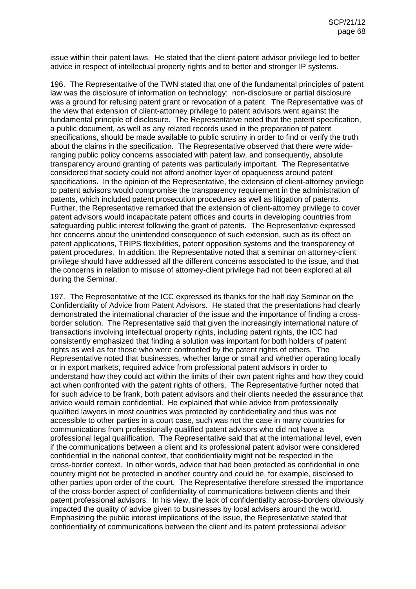issue within their patent laws. He stated that the client-patent advisor privilege led to better advice in respect of intellectual property rights and to better and stronger IP systems.

196. The Representative of the TWN stated that one of the fundamental principles of patent law was the disclosure of information on technology: non-disclosure or partial disclosure was a ground for refusing patent grant or revocation of a patent. The Representative was of the view that extension of client-attorney privilege to patent advisors went against the fundamental principle of disclosure. The Representative noted that the patent specification, a public document, as well as any related records used in the preparation of patent specifications, should be made available to public scrutiny in order to find or verify the truth about the claims in the specification. The Representative observed that there were wideranging public policy concerns associated with patent law, and consequently, absolute transparency around granting of patents was particularly important. The Representative considered that society could not afford another layer of opaqueness around patent specifications. In the opinion of the Representative, the extension of client-attorney privilege to patent advisors would compromise the transparency requirement in the administration of patents, which included patent prosecution procedures as well as litigation of patents. Further, the Representative remarked that the extension of client-attorney privilege to cover patent advisors would incapacitate patent offices and courts in developing countries from safeguarding public interest following the grant of patents. The Representative expressed her concerns about the unintended consequence of such extension, such as its effect on patent applications, TRIPS flexibilities, patent opposition systems and the transparency of patent procedures. In addition, the Representative noted that a seminar on attorney-client privilege should have addressed all the different concerns associated to the issue, and that the concerns in relation to misuse of attorney-client privilege had not been explored at all during the Seminar.

197. The Representative of the ICC expressed its thanks for the half day Seminar on the Confidentiality of Advice from Patent Advisors. He stated that the presentations had clearly demonstrated the international character of the issue and the importance of finding a crossborder solution. The Representative said that given the increasingly international nature of transactions involving intellectual property rights, including patent rights, the ICC had consistently emphasized that finding a solution was important for both holders of patent rights as well as for those who were confronted by the patent rights of others. The Representative noted that businesses, whether large or small and whether operating locally or in export markets, required advice from professional patent advisors in order to understand how they could act within the limits of their own patent rights and how they could act when confronted with the patent rights of others. The Representative further noted that for such advice to be frank, both patent advisors and their clients needed the assurance that advice would remain confidential. He explained that while advice from professionally qualified lawyers in most countries was protected by confidentiality and thus was not accessible to other parties in a court case, such was not the case in many countries for communications from professionally qualified patent advisors who did not have a professional legal qualification. The Representative said that at the international level, even if the communications between a client and its professional patent advisor were considered confidential in the national context, that confidentiality might not be respected in the cross-border context. In other words, advice that had been protected as confidential in one country might not be protected in another country and could be, for example, disclosed to other parties upon order of the court. The Representative therefore stressed the importance of the cross-border aspect of confidentiality of communications between clients and their patent professional advisors. In his view, the lack of confidentiality across-borders obviously impacted the quality of advice given to businesses by local advisers around the world. Emphasizing the public interest implications of the issue, the Representative stated that confidentiality of communications between the client and its patent professional advisor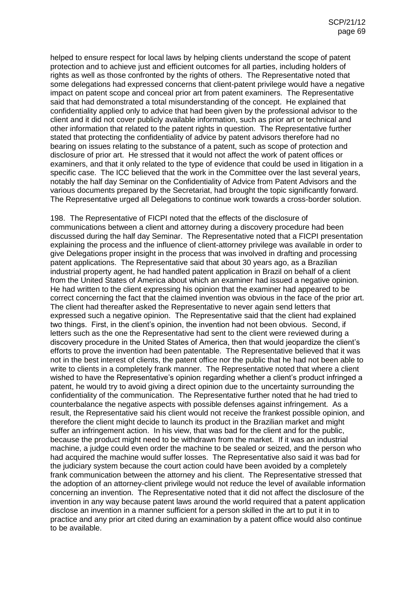helped to ensure respect for local laws by helping clients understand the scope of patent protection and to achieve just and efficient outcomes for all parties, including holders of rights as well as those confronted by the rights of others. The Representative noted that some delegations had expressed concerns that client-patent privilege would have a negative impact on patent scope and conceal prior art from patent examiners. The Representative said that had demonstrated a total misunderstanding of the concept. He explained that confidentiality applied only to advice that had been given by the professional advisor to the client and it did not cover publicly available information, such as prior art or technical and other information that related to the patent rights in question. The Representative further stated that protecting the confidentiality of advice by patent advisors therefore had no bearing on issues relating to the substance of a patent, such as scope of protection and disclosure of prior art. He stressed that it would not affect the work of patent offices or examiners, and that it only related to the type of evidence that could be used in litigation in a specific case. The ICC believed that the work in the Committee over the last several years, notably the half day Seminar on the Confidentiality of Advice from Patent Advisors and the various documents prepared by the Secretariat, had brought the topic significantly forward. The Representative urged all Delegations to continue work towards a cross-border solution.

198. The Representative of FICPI noted that the effects of the disclosure of communications between a client and attorney during a discovery procedure had been discussed during the half day Seminar. The Representative noted that a FICPI presentation explaining the process and the influence of client-attorney privilege was available in order to give Delegations proper insight in the process that was involved in drafting and processing patent applications. The Representative said that about 30 years ago, as a Brazilian industrial property agent, he had handled patent application in Brazil on behalf of a client from the United States of America about which an examiner had issued a negative opinion. He had written to the client expressing his opinion that the examiner had appeared to be correct concerning the fact that the claimed invention was obvious in the face of the prior art. The client had thereafter asked the Representative to never again send letters that expressed such a negative opinion. The Representative said that the client had explained two things. First, in the client's opinion, the invention had not been obvious. Second, if letters such as the one the Representative had sent to the client were reviewed during a discovery procedure in the United States of America, then that would jeopardize the client's efforts to prove the invention had been patentable. The Representative believed that it was not in the best interest of clients, the patent office nor the public that he had not been able to write to clients in a completely frank manner. The Representative noted that where a client wished to have the Representative's opinion regarding whether a client's product infringed a patent, he would try to avoid giving a direct opinion due to the uncertainty surrounding the confidentiality of the communication. The Representative further noted that he had tried to counterbalance the negative aspects with possible defenses against infringement. As a result, the Representative said his client would not receive the frankest possible opinion, and therefore the client might decide to launch its product in the Brazilian market and might suffer an infringement action. In his view, that was bad for the client and for the public, because the product might need to be withdrawn from the market. If it was an industrial machine, a judge could even order the machine to be sealed or seized, and the person who had acquired the machine would suffer losses. The Representative also said it was bad for the judiciary system because the court action could have been avoided by a completely frank communication between the attorney and his client. The Representative stressed that the adoption of an attorney-client privilege would not reduce the level of available information concerning an invention. The Representative noted that it did not affect the disclosure of the invention in any way because patent laws around the world required that a patent application disclose an invention in a manner sufficient for a person skilled in the art to put it in to practice and any prior art cited during an examination by a patent office would also continue to be available.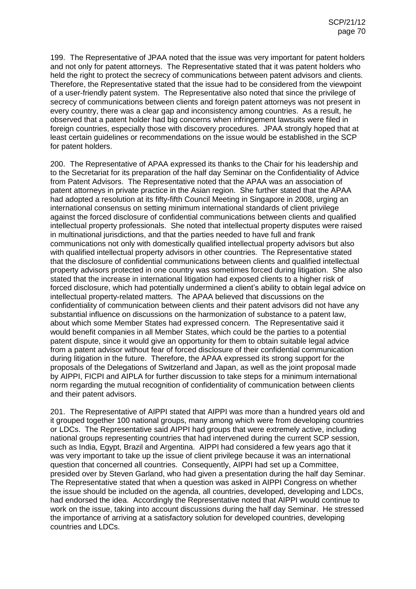199. The Representative of JPAA noted that the issue was very important for patent holders and not only for patent attorneys. The Representative stated that it was patent holders who held the right to protect the secrecy of communications between patent advisors and clients. Therefore, the Representative stated that the issue had to be considered from the viewpoint of a user-friendly patent system. The Representative also noted that since the privilege of secrecy of communications between clients and foreign patent attorneys was not present in every country, there was a clear gap and inconsistency among countries. As a result, he observed that a patent holder had big concerns when infringement lawsuits were filed in foreign countries, especially those with discovery procedures. JPAA strongly hoped that at least certain guidelines or recommendations on the issue would be established in the SCP for patent holders.

200. The Representative of APAA expressed its thanks to the Chair for his leadership and to the Secretariat for its preparation of the half day Seminar on the Confidentiality of Advice from Patent Advisors. The Representative noted that the APAA was an association of patent attorneys in private practice in the Asian region. She further stated that the APAA had adopted a resolution at its fifty-fifth Council Meeting in Singapore in 2008, urging an international consensus on setting minimum international standards of client privilege against the forced disclosure of confidential communications between clients and qualified intellectual property professionals. She noted that intellectual property disputes were raised in multinational jurisdictions, and that the parties needed to have full and frank communications not only with domestically qualified intellectual property advisors but also with qualified intellectual property advisors in other countries. The Representative stated that the disclosure of confidential communications between clients and qualified intellectual property advisors protected in one country was sometimes forced during litigation. She also stated that the increase in international litigation had exposed clients to a higher risk of forced disclosure, which had potentially undermined a client's ability to obtain legal advice on intellectual property-related matters. The APAA believed that discussions on the confidentiality of communication between clients and their patent advisors did not have any substantial influence on discussions on the harmonization of substance to a patent law, about which some Member States had expressed concern. The Representative said it would benefit companies in all Member States, which could be the parties to a potential patent dispute, since it would give an opportunity for them to obtain suitable legal advice from a patent advisor without fear of forced disclosure of their confidential communication during litigation in the future. Therefore, the APAA expressed its strong support for the proposals of the Delegations of Switzerland and Japan, as well as the joint proposal made by AIPPI, FICPI and AIPLA for further discussion to take steps for a minimum international norm regarding the mutual recognition of confidentiality of communication between clients and their patent advisors.

201. The Representative of AIPPI stated that AIPPI was more than a hundred years old and it grouped together 100 national groups, many among which were from developing countries or LDCs. The Representative said AIPPI had groups that were extremely active, including national groups representing countries that had intervened during the current SCP session, such as India, Egypt, Brazil and Argentina. AIPPI had considered a few years ago that it was very important to take up the issue of client privilege because it was an international question that concerned all countries. Consequently, AIPPI had set up a Committee, presided over by Steven Garland, who had given a presentation during the half day Seminar. The Representative stated that when a question was asked in AIPPI Congress on whether the issue should be included on the agenda, all countries, developed, developing and LDCs, had endorsed the idea. Accordingly the Representative noted that AIPPI would continue to work on the issue, taking into account discussions during the half day Seminar. He stressed the importance of arriving at a satisfactory solution for developed countries, developing countries and LDCs.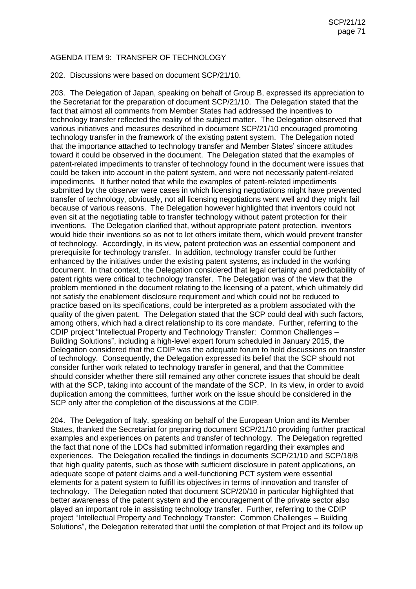## AGENDA ITEM 9: TRANSFER OF TECHNOLOGY

202. Discussions were based on document SCP/21/10.

203. The Delegation of Japan, speaking on behalf of Group B, expressed its appreciation to the Secretariat for the preparation of document SCP/21/10. The Delegation stated that the fact that almost all comments from Member States had addressed the incentives to technology transfer reflected the reality of the subject matter. The Delegation observed that various initiatives and measures described in document SCP/21/10 encouraged promoting technology transfer in the framework of the existing patent system. The Delegation noted that the importance attached to technology transfer and Member States' sincere attitudes toward it could be observed in the document. The Delegation stated that the examples of patent-related impediments to transfer of technology found in the document were issues that could be taken into account in the patent system, and were not necessarily patent-related impediments. It further noted that while the examples of patent-related impediments submitted by the observer were cases in which licensing negotiations might have prevented transfer of technology, obviously, not all licensing negotiations went well and they might fail because of various reasons. The Delegation however highlighted that inventors could not even sit at the negotiating table to transfer technology without patent protection for their inventions. The Delegation clarified that, without appropriate patent protection, inventors would hide their inventions so as not to let others imitate them, which would prevent transfer of technology. Accordingly, in its view, patent protection was an essential component and prerequisite for technology transfer. In addition, technology transfer could be further enhanced by the initiatives under the existing patent systems, as included in the working document. In that context, the Delegation considered that legal certainty and predictability of patent rights were critical to technology transfer. The Delegation was of the view that the problem mentioned in the document relating to the licensing of a patent, which ultimately did not satisfy the enablement disclosure requirement and which could not be reduced to practice based on its specifications, could be interpreted as a problem associated with the quality of the given patent. The Delegation stated that the SCP could deal with such factors, among others, which had a direct relationship to its core mandate. Further, referring to the CDIP project "Intellectual Property and Technology Transfer: Common Challenges – Building Solutions", including a high-level expert forum scheduled in January 2015, the Delegation considered that the CDIP was the adequate forum to hold discussions on transfer of technology. Consequently, the Delegation expressed its belief that the SCP should not consider further work related to technology transfer in general, and that the Committee should consider whether there still remained any other concrete issues that should be dealt with at the SCP, taking into account of the mandate of the SCP. In its view, in order to avoid duplication among the committees, further work on the issue should be considered in the SCP only after the completion of the discussions at the CDIP.

204. The Delegation of Italy, speaking on behalf of the European Union and its Member States, thanked the Secretariat for preparing document SCP/21/10 providing further practical examples and experiences on patents and transfer of technology. The Delegation regretted the fact that none of the LDCs had submitted information regarding their examples and experiences. The Delegation recalled the findings in documents SCP/21/10 and SCP/18/8 that high quality patents, such as those with sufficient disclosure in patent applications, an adequate scope of patent claims and a well-functioning PCT system were essential elements for a patent system to fulfill its objectives in terms of innovation and transfer of technology. The Delegation noted that document SCP/20/10 in particular highlighted that better awareness of the patent system and the encouragement of the private sector also played an important role in assisting technology transfer. Further, referring to the CDIP project "Intellectual Property and Technology Transfer: Common Challenges – Building Solutions", the Delegation reiterated that until the completion of that Project and its follow up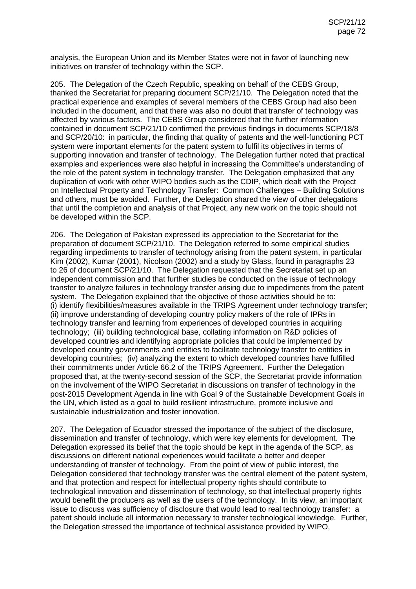analysis, the European Union and its Member States were not in favor of launching new initiatives on transfer of technology within the SCP.

205. The Delegation of the Czech Republic, speaking on behalf of the CEBS Group, thanked the Secretariat for preparing document SCP/21/10. The Delegation noted that the practical experience and examples of several members of the CEBS Group had also been included in the document, and that there was also no doubt that transfer of technology was affected by various factors. The CEBS Group considered that the further information contained in document SCP/21/10 confirmed the previous findings in documents SCP/18/8 and SCP/20/10: in particular, the finding that quality of patents and the well-functioning PCT system were important elements for the patent system to fulfil its objectives in terms of supporting innovation and transfer of technology. The Delegation further noted that practical examples and experiences were also helpful in increasing the Committee's understanding of the role of the patent system in technology transfer. The Delegation emphasized that any duplication of work with other WIPO bodies such as the CDIP, which dealt with the Project on Intellectual Property and Technology Transfer: Common Challenges – Building Solutions and others, must be avoided. Further, the Delegation shared the view of other delegations that until the completion and analysis of that Project, any new work on the topic should not be developed within the SCP.

206. The Delegation of Pakistan expressed its appreciation to the Secretariat for the preparation of document SCP/21/10. The Delegation referred to some empirical studies regarding impediments to transfer of technology arising from the patent system, in particular Kim (2002), Kumar (2001), Nicolson (2002) and a study by Glass, found in paragraphs 23 to 26 of document SCP/21/10. The Delegation requested that the Secretariat set up an independent commission and that further studies be conducted on the issue of technology transfer to analyze failures in technology transfer arising due to impediments from the patent system. The Delegation explained that the objective of those activities should be to: (i) identify flexibilities/measures available in the TRIPS Agreement under technology transfer; (ii) improve understanding of developing country policy makers of the role of IPRs in technology transfer and learning from experiences of developed countries in acquiring technology; (iii) building technological base, collating information on R&D policies of developed countries and identifying appropriate policies that could be implemented by developed country governments and entities to facilitate technology transfer to entities in developing countries; (iv) analyzing the extent to which developed countries have fulfilled their commitments under Article 66.2 of the TRIPS Agreement. Further the Delegation proposed that, at the twenty-second session of the SCP, the Secretariat provide information on the involvement of the WIPO Secretariat in discussions on transfer of technology in the post-2015 Development Agenda in line with Goal 9 of the Sustainable Development Goals in the UN, which listed as a goal to build resilient infrastructure, promote inclusive and sustainable industrialization and foster innovation.

207. The Delegation of Ecuador stressed the importance of the subject of the disclosure, dissemination and transfer of technology, which were key elements for development. The Delegation expressed its belief that the topic should be kept in the agenda of the SCP, as discussions on different national experiences would facilitate a better and deeper understanding of transfer of technology. From the point of view of public interest, the Delegation considered that technology transfer was the central element of the patent system, and that protection and respect for intellectual property rights should contribute to technological innovation and dissemination of technology, so that intellectual property rights would benefit the producers as well as the users of the technology. In its view, an important issue to discuss was sufficiency of disclosure that would lead to real technology transfer: a patent should include all information necessary to transfer technological knowledge. Further, the Delegation stressed the importance of technical assistance provided by WIPO,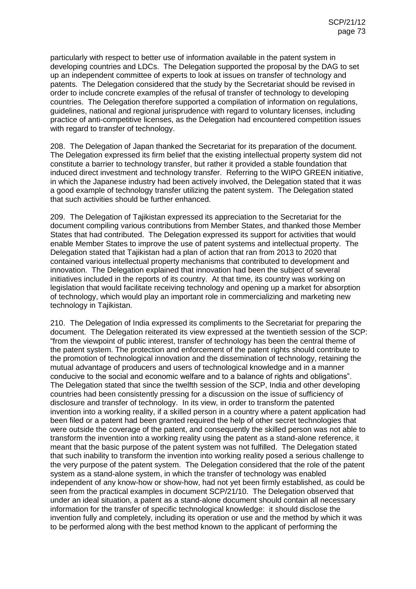particularly with respect to better use of information available in the patent system in developing countries and LDCs. The Delegation supported the proposal by the DAG to set up an independent committee of experts to look at issues on transfer of technology and patents. The Delegation considered that the study by the Secretariat should be revised in order to include concrete examples of the refusal of transfer of technology to developing countries. The Delegation therefore supported a compilation of information on regulations, guidelines, national and regional jurisprudence with regard to voluntary licenses, including practice of anti-competitive licenses, as the Delegation had encountered competition issues with regard to transfer of technology.

208. The Delegation of Japan thanked the Secretariat for its preparation of the document. The Delegation expressed its firm belief that the existing intellectual property system did not constitute a barrier to technology transfer, but rather it provided a stable foundation that induced direct investment and technology transfer. Referring to the WIPO GREEN initiative, in which the Japanese industry had been actively involved, the Delegation stated that it was a good example of technology transfer utilizing the patent system. The Delegation stated that such activities should be further enhanced.

209. The Delegation of Tajikistan expressed its appreciation to the Secretariat for the document compiling various contributions from Member States, and thanked those Member States that had contributed. The Delegation expressed its support for activities that would enable Member States to improve the use of patent systems and intellectual property. The Delegation stated that Tajikistan had a plan of action that ran from 2013 to 2020 that contained various intellectual property mechanisms that contributed to development and innovation. The Delegation explained that innovation had been the subject of several initiatives included in the reports of its country. At that time, its country was working on legislation that would facilitate receiving technology and opening up a market for absorption of technology, which would play an important role in commercializing and marketing new technology in Tajikistan.

210. The Delegation of India expressed its compliments to the Secretariat for preparing the document. The Delegation reiterated its view expressed at the twentieth session of the SCP: "from the viewpoint of public interest, transfer of technology has been the central theme of the patent system. The protection and enforcement of the patent rights should contribute to the promotion of technological innovation and the dissemination of technology, retaining the mutual advantage of producers and users of technological knowledge and in a manner conducive to the social and economic welfare and to a balance of rights and obligations". The Delegation stated that since the twelfth session of the SCP, India and other developing countries had been consistently pressing for a discussion on the issue of sufficiency of disclosure and transfer of technology. In its view, in order to transform the patented invention into a working reality, if a skilled person in a country where a patent application had been filed or a patent had been granted required the help of other secret technologies that were outside the coverage of the patent, and consequently the skilled person was not able to transform the invention into a working reality using the patent as a stand-alone reference, it meant that the basic purpose of the patent system was not fulfilled. The Delegation stated that such inability to transform the invention into working reality posed a serious challenge to the very purpose of the patent system. The Delegation considered that the role of the patent system as a stand-alone system, in which the transfer of technology was enabled independent of any know-how or show-how, had not yet been firmly established, as could be seen from the practical examples in document SCP/21/10. The Delegation observed that under an ideal situation, a patent as a stand-alone document should contain all necessary information for the transfer of specific technological knowledge: it should disclose the invention fully and completely, including its operation or use and the method by which it was to be performed along with the best method known to the applicant of performing the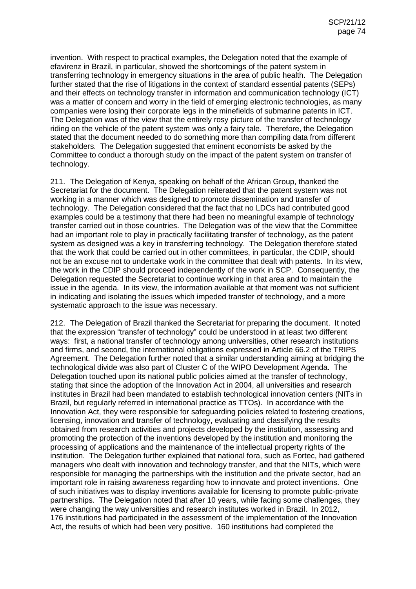invention. With respect to practical examples, the Delegation noted that the example of efavirenz in Brazil, in particular, showed the shortcomings of the patent system in transferring technology in emergency situations in the area of public health. The Delegation further stated that the rise of litigations in the context of standard essential patents (SEPs) and their effects on technology transfer in information and communication technology (ICT) was a matter of concern and worry in the field of emerging electronic technologies, as many companies were losing their corporate legs in the minefields of submarine patents in ICT. The Delegation was of the view that the entirely rosy picture of the transfer of technology riding on the vehicle of the patent system was only a fairy tale. Therefore, the Delegation stated that the document needed to do something more than compiling data from different stakeholders. The Delegation suggested that eminent economists be asked by the Committee to conduct a thorough study on the impact of the patent system on transfer of technology.

211. The Delegation of Kenya, speaking on behalf of the African Group, thanked the Secretariat for the document. The Delegation reiterated that the patent system was not working in a manner which was designed to promote dissemination and transfer of technology. The Delegation considered that the fact that no LDCs had contributed good examples could be a testimony that there had been no meaningful example of technology transfer carried out in those countries. The Delegation was of the view that the Committee had an important role to play in practically facilitating transfer of technology, as the patent system as designed was a key in transferring technology. The Delegation therefore stated that the work that could be carried out in other committees, in particular, the CDIP, should not be an excuse not to undertake work in the committee that dealt with patents. In its view, the work in the CDIP should proceed independently of the work in SCP. Consequently, the Delegation requested the Secretariat to continue working in that area and to maintain the issue in the agenda. In its view, the information available at that moment was not sufficient in indicating and isolating the issues which impeded transfer of technology, and a more systematic approach to the issue was necessary.

212. The Delegation of Brazil thanked the Secretariat for preparing the document. It noted that the expression "transfer of technology" could be understood in at least two different ways: first, a national transfer of technology among universities, other research institutions and firms, and second, the international obligations expressed in Article 66.2 of the TRIPS Agreement. The Delegation further noted that a similar understanding aiming at bridging the technological divide was also part of Cluster C of the WIPO Development Agenda. The Delegation touched upon its national public policies aimed at the transfer of technology, stating that since the adoption of the Innovation Act in 2004, all universities and research institutes in Brazil had been mandated to establish technological innovation centers (NITs in Brazil, but regularly referred in international practice as TTOs). In accordance with the Innovation Act, they were responsible for safeguarding policies related to fostering creations, licensing, innovation and transfer of technology, evaluating and classifying the results obtained from research activities and projects developed by the institution, assessing and promoting the protection of the inventions developed by the institution and monitoring the processing of applications and the maintenance of the intellectual property rights of the institution. The Delegation further explained that national fora, such as Fortec, had gathered managers who dealt with innovation and technology transfer, and that the NITs, which were responsible for managing the partnerships with the institution and the private sector, had an important role in raising awareness regarding how to innovate and protect inventions. One of such initiatives was to display inventions available for licensing to promote public-private partnerships. The Delegation noted that after 10 years, while facing some challenges, they were changing the way universities and research institutes worked in Brazil. In 2012, 176 institutions had participated in the assessment of the implementation of the Innovation Act, the results of which had been very positive. 160 institutions had completed the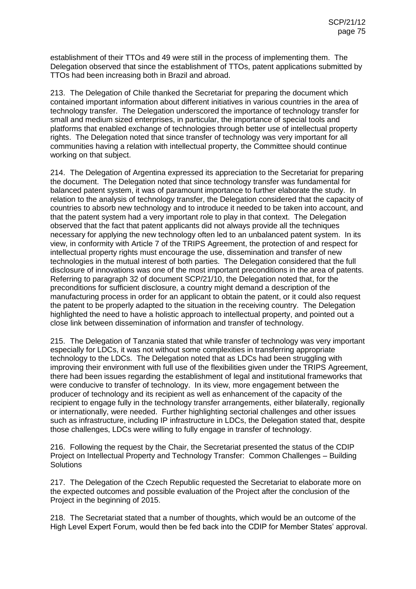establishment of their TTOs and 49 were still in the process of implementing them. The Delegation observed that since the establishment of TTOs, patent applications submitted by TTOs had been increasing both in Brazil and abroad.

213. The Delegation of Chile thanked the Secretariat for preparing the document which contained important information about different initiatives in various countries in the area of technology transfer. The Delegation underscored the importance of technology transfer for small and medium sized enterprises, in particular, the importance of special tools and platforms that enabled exchange of technologies through better use of intellectual property rights. The Delegation noted that since transfer of technology was very important for all communities having a relation with intellectual property, the Committee should continue working on that subject.

214. The Delegation of Argentina expressed its appreciation to the Secretariat for preparing the document. The Delegation noted that since technology transfer was fundamental for balanced patent system, it was of paramount importance to further elaborate the study. In relation to the analysis of technology transfer, the Delegation considered that the capacity of countries to absorb new technology and to introduce it needed to be taken into account, and that the patent system had a very important role to play in that context. The Delegation observed that the fact that patent applicants did not always provide all the techniques necessary for applying the new technology often led to an unbalanced patent system. In its view, in conformity with Article 7 of the TRIPS Agreement, the protection of and respect for intellectual property rights must encourage the use, dissemination and transfer of new technologies in the mutual interest of both parties. The Delegation considered that the full disclosure of innovations was one of the most important preconditions in the area of patents. Referring to paragraph 32 of document SCP/21/10, the Delegation noted that, for the preconditions for sufficient disclosure, a country might demand a description of the manufacturing process in order for an applicant to obtain the patent, or it could also request the patent to be properly adapted to the situation in the receiving country. The Delegation highlighted the need to have a holistic approach to intellectual property, and pointed out a close link between dissemination of information and transfer of technology.

215. The Delegation of Tanzania stated that while transfer of technology was very important especially for LDCs, it was not without some complexities in transferring appropriate technology to the LDCs. The Delegation noted that as LDCs had been struggling with improving their environment with full use of the flexibilities given under the TRIPS Agreement, there had been issues regarding the establishment of legal and institutional frameworks that were conducive to transfer of technology. In its view, more engagement between the producer of technology and its recipient as well as enhancement of the capacity of the recipient to engage fully in the technology transfer arrangements, either bilaterally, regionally or internationally, were needed. Further highlighting sectorial challenges and other issues such as infrastructure, including IP infrastructure in LDCs, the Delegation stated that, despite those challenges, LDCs were willing to fully engage in transfer of technology.

216. Following the request by the Chair, the Secretariat presented the status of the CDIP Project on Intellectual Property and Technology Transfer: Common Challenges – Building **Solutions** 

217. The Delegation of the Czech Republic requested the Secretariat to elaborate more on the expected outcomes and possible evaluation of the Project after the conclusion of the Project in the beginning of 2015.

218. The Secretariat stated that a number of thoughts, which would be an outcome of the High Level Expert Forum, would then be fed back into the CDIP for Member States' approval.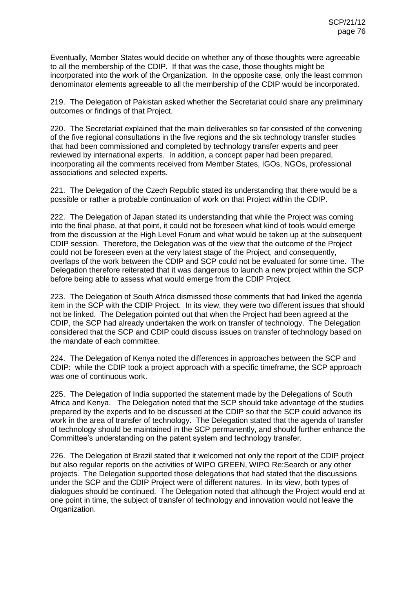Eventually, Member States would decide on whether any of those thoughts were agreeable to all the membership of the CDIP. If that was the case, those thoughts might be incorporated into the work of the Organization. In the opposite case, only the least common denominator elements agreeable to all the membership of the CDIP would be incorporated.

219. The Delegation of Pakistan asked whether the Secretariat could share any preliminary outcomes or findings of that Project.

220. The Secretariat explained that the main deliverables so far consisted of the convening of the five regional consultations in the five regions and the six technology transfer studies that had been commissioned and completed by technology transfer experts and peer reviewed by international experts. In addition, a concept paper had been prepared, incorporating all the comments received from Member States, IGOs, NGOs, professional associations and selected experts.

221. The Delegation of the Czech Republic stated its understanding that there would be a possible or rather a probable continuation of work on that Project within the CDIP.

222. The Delegation of Japan stated its understanding that while the Project was coming into the final phase, at that point, it could not be foreseen what kind of tools would emerge from the discussion at the High Level Forum and what would be taken up at the subsequent CDIP session. Therefore, the Delegation was of the view that the outcome of the Project could not be foreseen even at the very latest stage of the Project, and consequently, overlaps of the work between the CDIP and SCP could not be evaluated for some time. The Delegation therefore reiterated that it was dangerous to launch a new project within the SCP before being able to assess what would emerge from the CDIP Project.

223. The Delegation of South Africa dismissed those comments that had linked the agenda item in the SCP with the CDIP Project. In its view, they were two different issues that should not be linked. The Delegation pointed out that when the Project had been agreed at the CDIP, the SCP had already undertaken the work on transfer of technology. The Delegation considered that the SCP and CDIP could discuss issues on transfer of technology based on the mandate of each committee.

224. The Delegation of Kenya noted the differences in approaches between the SCP and CDIP: while the CDIP took a project approach with a specific timeframe, the SCP approach was one of continuous work.

225. The Delegation of India supported the statement made by the Delegations of South Africa and Kenya. The Delegation noted that the SCP should take advantage of the studies prepared by the experts and to be discussed at the CDIP so that the SCP could advance its work in the area of transfer of technology. The Delegation stated that the agenda of transfer of technology should be maintained in the SCP permanently, and should further enhance the Committee's understanding on the patent system and technology transfer.

226. The Delegation of Brazil stated that it welcomed not only the report of the CDIP project but also regular reports on the activities of WIPO GREEN, WIPO Re:Search or any other projects. The Delegation supported those delegations that had stated that the discussions under the SCP and the CDIP Project were of different natures. In its view, both types of dialogues should be continued. The Delegation noted that although the Project would end at one point in time, the subject of transfer of technology and innovation would not leave the Organization.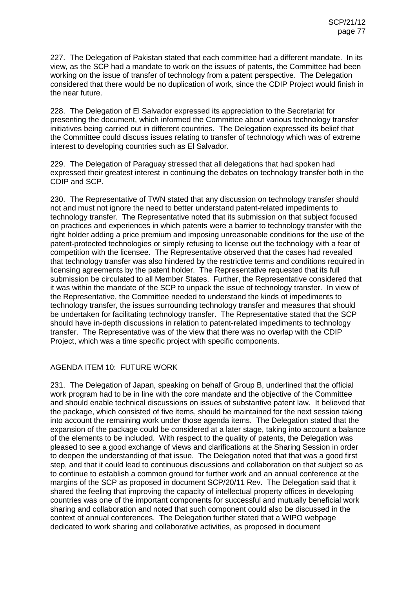227. The Delegation of Pakistan stated that each committee had a different mandate. In its view, as the SCP had a mandate to work on the issues of patents, the Committee had been working on the issue of transfer of technology from a patent perspective. The Delegation considered that there would be no duplication of work, since the CDIP Project would finish in the near future.

228. The Delegation of El Salvador expressed its appreciation to the Secretariat for presenting the document, which informed the Committee about various technology transfer initiatives being carried out in different countries. The Delegation expressed its belief that the Committee could discuss issues relating to transfer of technology which was of extreme interest to developing countries such as El Salvador.

229. The Delegation of Paraguay stressed that all delegations that had spoken had expressed their greatest interest in continuing the debates on technology transfer both in the CDIP and SCP.

230. The Representative of TWN stated that any discussion on technology transfer should not and must not ignore the need to better understand patent-related impediments to technology transfer. The Representative noted that its submission on that subject focused on practices and experiences in which patents were a barrier to technology transfer with the right holder adding a price premium and imposing unreasonable conditions for the use of the patent-protected technologies or simply refusing to license out the technology with a fear of competition with the licensee. The Representative observed that the cases had revealed that technology transfer was also hindered by the restrictive terms and conditions required in licensing agreements by the patent holder. The Representative requested that its full submission be circulated to all Member States. Further, the Representative considered that it was within the mandate of the SCP to unpack the issue of technology transfer. In view of the Representative, the Committee needed to understand the kinds of impediments to technology transfer, the issues surrounding technology transfer and measures that should be undertaken for facilitating technology transfer. The Representative stated that the SCP should have in-depth discussions in relation to patent-related impediments to technology transfer. The Representative was of the view that there was no overlap with the CDIP Project, which was a time specific project with specific components.

## AGENDA ITEM 10: FUTURE WORK

231. The Delegation of Japan, speaking on behalf of Group B, underlined that the official work program had to be in line with the core mandate and the objective of the Committee and should enable technical discussions on issues of substantive patent law. It believed that the package, which consisted of five items, should be maintained for the next session taking into account the remaining work under those agenda items. The Delegation stated that the expansion of the package could be considered at a later stage, taking into account a balance of the elements to be included. With respect to the quality of patents, the Delegation was pleased to see a good exchange of views and clarifications at the Sharing Session in order to deepen the understanding of that issue. The Delegation noted that that was a good first step, and that it could lead to continuous discussions and collaboration on that subject so as to continue to establish a common ground for further work and an annual conference at the margins of the SCP as proposed in document SCP/20/11 Rev. The Delegation said that it shared the feeling that improving the capacity of intellectual property offices in developing countries was one of the important components for successful and mutually beneficial work sharing and collaboration and noted that such component could also be discussed in the context of annual conferences. The Delegation further stated that a WIPO webpage dedicated to work sharing and collaborative activities, as proposed in document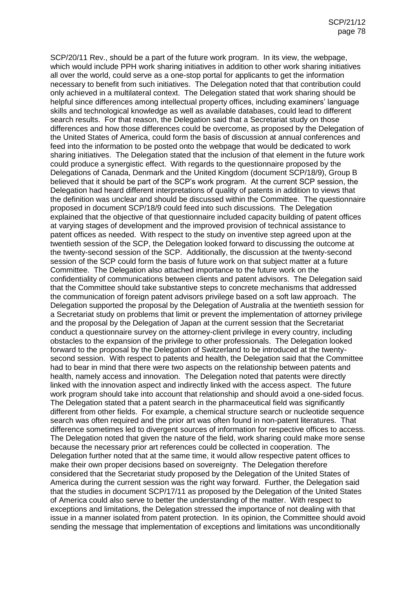SCP/20/11 Rev., should be a part of the future work program. In its view, the webpage, which would include PPH work sharing initiatives in addition to other work sharing initiatives all over the world, could serve as a one-stop portal for applicants to get the information necessary to benefit from such initiatives. The Delegation noted that that contribution could only achieved in a multilateral context. The Delegation stated that work sharing should be helpful since differences among intellectual property offices, including examiners' language skills and technological knowledge as well as available databases, could lead to different search results. For that reason, the Delegation said that a Secretariat study on those differences and how those differences could be overcome, as proposed by the Delegation of the United States of America, could form the basis of discussion at annual conferences and feed into the information to be posted onto the webpage that would be dedicated to work sharing initiatives. The Delegation stated that the inclusion of that element in the future work could produce a synergistic effect. With regards to the questionnaire proposed by the Delegations of Canada, Denmark and the United Kingdom (document SCP/18/9), Group B believed that it should be part of the SCP's work program. At the current SCP session, the Delegation had heard different interpretations of quality of patents in addition to views that the definition was unclear and should be discussed within the Committee. The questionnaire proposed in document SCP/18/9 could feed into such discussions. The Delegation explained that the objective of that questionnaire included capacity building of patent offices at varying stages of development and the improved provision of technical assistance to patent offices as needed. With respect to the study on inventive step agreed upon at the twentieth session of the SCP, the Delegation looked forward to discussing the outcome at the twenty-second session of the SCP. Additionally, the discussion at the twenty-second session of the SCP could form the basis of future work on that subject matter at a future Committee. The Delegation also attached importance to the future work on the confidentiality of communications between clients and patent advisors. The Delegation said that the Committee should take substantive steps to concrete mechanisms that addressed the communication of foreign patent advisors privilege based on a soft law approach. The Delegation supported the proposal by the Delegation of Australia at the twentieth session for a Secretariat study on problems that limit or prevent the implementation of attorney privilege and the proposal by the Delegation of Japan at the current session that the Secretariat conduct a questionnaire survey on the attorney-client privilege in every country, including obstacles to the expansion of the privilege to other professionals. The Delegation looked forward to the proposal by the Delegation of Switzerland to be introduced at the twentysecond session. With respect to patents and health, the Delegation said that the Committee had to bear in mind that there were two aspects on the relationship between patents and health, namely access and innovation. The Delegation noted that patents were directly linked with the innovation aspect and indirectly linked with the access aspect. The future work program should take into account that relationship and should avoid a one-sided focus. The Delegation stated that a patent search in the pharmaceutical field was significantly different from other fields. For example, a chemical structure search or nucleotide sequence search was often required and the prior art was often found in non-patent literatures. That difference sometimes led to divergent sources of information for respective offices to access. The Delegation noted that given the nature of the field, work sharing could make more sense because the necessary prior art references could be collected in cooperation. The Delegation further noted that at the same time, it would allow respective patent offices to make their own proper decisions based on sovereignty. The Delegation therefore considered that the Secretariat study proposed by the Delegation of the United States of America during the current session was the right way forward. Further, the Delegation said that the studies in document SCP/17/11 as proposed by the Delegation of the United States of America could also serve to better the understanding of the matter. With respect to exceptions and limitations, the Delegation stressed the importance of not dealing with that issue in a manner isolated from patent protection. In its opinion, the Committee should avoid sending the message that implementation of exceptions and limitations was unconditionally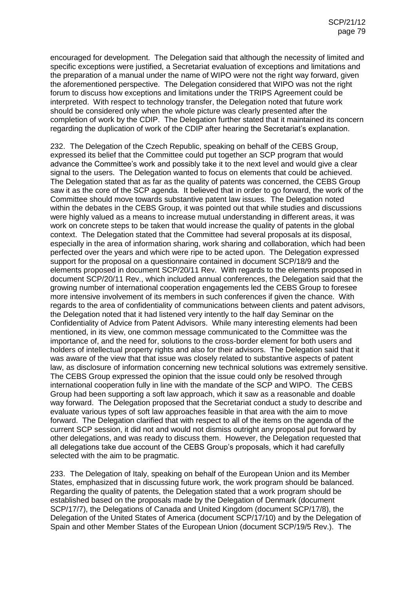encouraged for development. The Delegation said that although the necessity of limited and specific exceptions were justified, a Secretariat evaluation of exceptions and limitations and the preparation of a manual under the name of WIPO were not the right way forward, given the aforementioned perspective. The Delegation considered that WIPO was not the right forum to discuss how exceptions and limitations under the TRIPS Agreement could be interpreted. With respect to technology transfer, the Delegation noted that future work should be considered only when the whole picture was clearly presented after the completion of work by the CDIP. The Delegation further stated that it maintained its concern regarding the duplication of work of the CDIP after hearing the Secretariat's explanation.

232. The Delegation of the Czech Republic, speaking on behalf of the CEBS Group, expressed its belief that the Committee could put together an SCP program that would advance the Committee's work and possibly take it to the next level and would give a clear signal to the users. The Delegation wanted to focus on elements that could be achieved. The Delegation stated that as far as the quality of patents was concerned, the CEBS Group saw it as the core of the SCP agenda. It believed that in order to go forward, the work of the Committee should move towards substantive patent law issues. The Delegation noted within the debates in the CEBS Group, it was pointed out that while studies and discussions were highly valued as a means to increase mutual understanding in different areas, it was work on concrete steps to be taken that would increase the quality of patents in the global context. The Delegation stated that the Committee had several proposals at its disposal, especially in the area of information sharing, work sharing and collaboration, which had been perfected over the years and which were ripe to be acted upon. The Delegation expressed support for the proposal on a questionnaire contained in document SCP/18/9 and the elements proposed in document SCP/20/11 Rev. With regards to the elements proposed in document SCP/20/11 Rev., which included annual conferences, the Delegation said that the growing number of international cooperation engagements led the CEBS Group to foresee more intensive involvement of its members in such conferences if given the chance. With regards to the area of confidentiality of communications between clients and patent advisors, the Delegation noted that it had listened very intently to the half day Seminar on the Confidentiality of Advice from Patent Advisors. While many interesting elements had been mentioned, in its view, one common message communicated to the Committee was the importance of, and the need for, solutions to the cross-border element for both users and holders of intellectual property rights and also for their advisors. The Delegation said that it was aware of the view that that issue was closely related to substantive aspects of patent law, as disclosure of information concerning new technical solutions was extremely sensitive. The CEBS Group expressed the opinion that the issue could only be resolved through international cooperation fully in line with the mandate of the SCP and WIPO. The CEBS Group had been supporting a soft law approach, which it saw as a reasonable and doable way forward. The Delegation proposed that the Secretariat conduct a study to describe and evaluate various types of soft law approaches feasible in that area with the aim to move forward. The Delegation clarified that with respect to all of the items on the agenda of the current SCP session, it did not and would not dismiss outright any proposal put forward by other delegations, and was ready to discuss them. However, the Delegation requested that all delegations take due account of the CEBS Group's proposals, which it had carefully selected with the aim to be pragmatic.

233. The Delegation of Italy, speaking on behalf of the European Union and its Member States, emphasized that in discussing future work, the work program should be balanced. Regarding the quality of patents, the Delegation stated that a work program should be established based on the proposals made by the Delegation of Denmark (document SCP/17/7), the Delegations of Canada and United Kingdom (document SCP/17/8), the Delegation of the United States of America (document SCP/17/10) and by the Delegation of Spain and other Member States of the European Union (document SCP/19/5 Rev.). The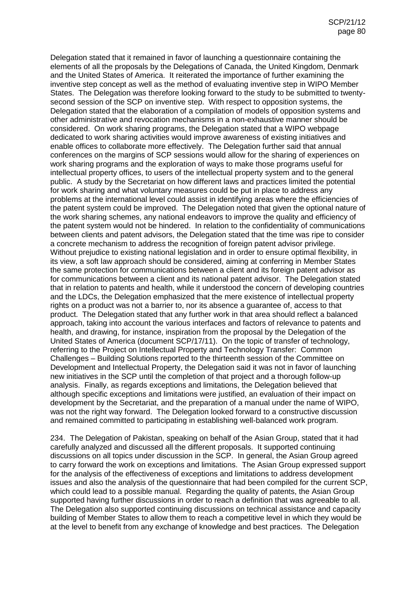Delegation stated that it remained in favor of launching a questionnaire containing the elements of all the proposals by the Delegations of Canada, the United Kingdom, Denmark and the United States of America. It reiterated the importance of further examining the inventive step concept as well as the method of evaluating inventive step in WIPO Member States. The Delegation was therefore looking forward to the study to be submitted to twentysecond session of the SCP on inventive step. With respect to opposition systems, the Delegation stated that the elaboration of a compilation of models of opposition systems and other administrative and revocation mechanisms in a non-exhaustive manner should be considered. On work sharing programs, the Delegation stated that a WIPO webpage dedicated to work sharing activities would improve awareness of existing initiatives and enable offices to collaborate more effectively. The Delegation further said that annual conferences on the margins of SCP sessions would allow for the sharing of experiences on work sharing programs and the exploration of ways to make those programs useful for intellectual property offices, to users of the intellectual property system and to the general public. A study by the Secretariat on how different laws and practices limited the potential for work sharing and what voluntary measures could be put in place to address any problems at the international level could assist in identifying areas where the efficiencies of the patent system could be improved. The Delegation noted that given the optional nature of the work sharing schemes, any national endeavors to improve the quality and efficiency of the patent system would not be hindered. In relation to the confidentiality of communications between clients and patent advisors, the Delegation stated that the time was ripe to consider a concrete mechanism to address the recognition of foreign patent advisor privilege. Without prejudice to existing national legislation and in order to ensure optimal flexibility, in its view, a soft law approach should be considered, aiming at conferring in Member States the same protection for communications between a client and its foreign patent advisor as for communications between a client and its national patent advisor. The Delegation stated that in relation to patents and health, while it understood the concern of developing countries and the LDCs, the Delegation emphasized that the mere existence of intellectual property rights on a product was not a barrier to, nor its absence a guarantee of, access to that product. The Delegation stated that any further work in that area should reflect a balanced approach, taking into account the various interfaces and factors of relevance to patents and health, and drawing, for instance, inspiration from the proposal by the Delegation of the United States of America (document SCP/17/11). On the topic of transfer of technology, referring to the Project on Intellectual Property and Technology Transfer: Common Challenges – Building Solutions reported to the thirteenth session of the Committee on Development and Intellectual Property, the Delegation said it was not in favor of launching new initiatives in the SCP until the completion of that project and a thorough follow-up analysis. Finally, as regards exceptions and limitations, the Delegation believed that although specific exceptions and limitations were justified, an evaluation of their impact on development by the Secretariat, and the preparation of a manual under the name of WIPO, was not the right way forward. The Delegation looked forward to a constructive discussion and remained committed to participating in establishing well-balanced work program.

234. The Delegation of Pakistan, speaking on behalf of the Asian Group, stated that it had carefully analyzed and discussed all the different proposals. It supported continuing discussions on all topics under discussion in the SCP. In general, the Asian Group agreed to carry forward the work on exceptions and limitations. The Asian Group expressed support for the analysis of the effectiveness of exceptions and limitations to address development issues and also the analysis of the questionnaire that had been compiled for the current SCP, which could lead to a possible manual. Regarding the quality of patents, the Asian Group supported having further discussions in order to reach a definition that was agreeable to all. The Delegation also supported continuing discussions on technical assistance and capacity building of Member States to allow them to reach a competitive level in which they would be at the level to benefit from any exchange of knowledge and best practices. The Delegation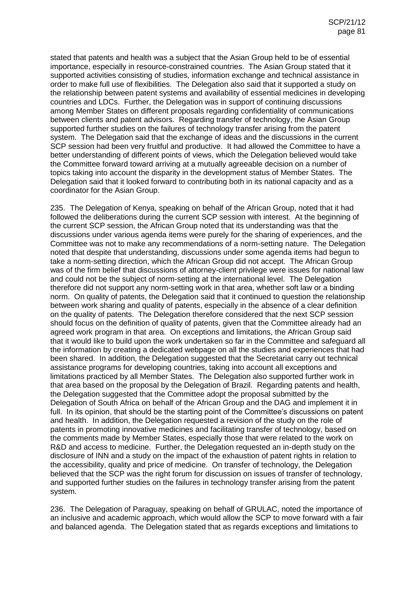stated that patents and health was a subject that the Asian Group held to be of essential importance, especially in resource-constrained countries. The Asian Group stated that it supported activities consisting of studies, information exchange and technical assistance in order to make full use of flexibilities. The Delegation also said that it supported a study on the relationship between patent systems and availability of essential medicines in developing countries and LDCs. Further, the Delegation was in support of continuing discussions among Member States on different proposals regarding confidentiality of communications between clients and patent advisors. Regarding transfer of technology, the Asian Group supported further studies on the failures of technology transfer arising from the patent system. The Delegation said that the exchange of ideas and the discussions in the current SCP session had been very fruitful and productive. It had allowed the Committee to have a better understanding of different points of views, which the Delegation believed would take the Committee forward toward arriving at a mutually agreeable decision on a number of topics taking into account the disparity in the development status of Member States. The Delegation said that it looked forward to contributing both in its national capacity and as a coordinator for the Asian Group.

235. The Delegation of Kenya, speaking on behalf of the African Group, noted that it had followed the deliberations during the current SCP session with interest. At the beginning of the current SCP session, the African Group noted that its understanding was that the discussions under various agenda items were purely for the sharing of experiences, and the Committee was not to make any recommendations of a norm-setting nature. The Delegation noted that despite that understanding, discussions under some agenda items had begun to take a norm-setting direction, which the African Group did not accept. The African Group was of the firm belief that discussions of attorney-client privilege were issues for national law and could not be the subject of norm-setting at the international level. The Delegation therefore did not support any norm-setting work in that area, whether soft law or a binding norm. On quality of patents, the Delegation said that it continued to question the relationship between work sharing and quality of patents, especially in the absence of a clear definition on the quality of patents. The Delegation therefore considered that the next SCP session should focus on the definition of quality of patents, given that the Committee already had an agreed work program in that area. On exceptions and limitations, the African Group said that it would like to build upon the work undertaken so far in the Committee and safeguard all the information by creating a dedicated webpage on all the studies and experiences that had been shared. In addition, the Delegation suggested that the Secretariat carry out technical assistance programs for developing countries, taking into account all exceptions and limitations practiced by all Member States. The Delegation also supported further work in that area based on the proposal by the Delegation of Brazil. Regarding patents and health, the Delegation suggested that the Committee adopt the proposal submitted by the Delegation of South Africa on behalf of the African Group and the DAG and implement it in full. In its opinion, that should be the starting point of the Committee's discussions on patent and health. In addition, the Delegation requested a revision of the study on the role of patents in promoting innovative medicines and facilitating transfer of technology, based on the comments made by Member States, especially those that were related to the work on R&D and access to medicine. Further, the Delegation requested an in-depth study on the disclosure of INN and a study on the impact of the exhaustion of patent rights in relation to the accessibility, quality and price of medicine. On transfer of technology, the Delegation believed that the SCP was the right forum for discussion on issues of transfer of technology, and supported further studies on the failures in technology transfer arising from the patent system.

236. The Delegation of Paraguay, speaking on behalf of GRULAC, noted the importance of an inclusive and academic approach, which would allow the SCP to move forward with a fair and balanced agenda. The Delegation stated that as regards exceptions and limitations to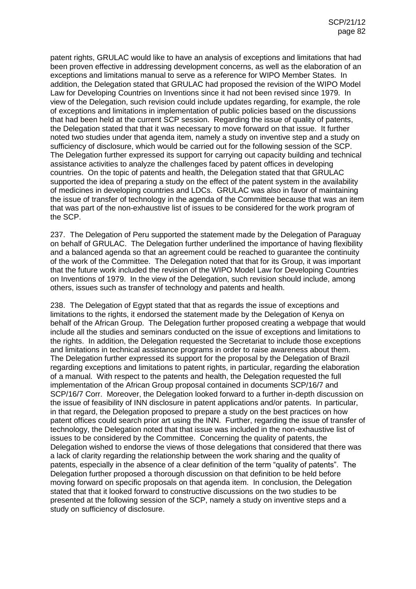patent rights, GRULAC would like to have an analysis of exceptions and limitations that had been proven effective in addressing development concerns, as well as the elaboration of an exceptions and limitations manual to serve as a reference for WIPO Member States. In addition, the Delegation stated that GRULAC had proposed the revision of the WIPO Model Law for Developing Countries on Inventions since it had not been revised since 1979. In view of the Delegation, such revision could include updates regarding, for example, the role of exceptions and limitations in implementation of public policies based on the discussions that had been held at the current SCP session. Regarding the issue of quality of patents, the Delegation stated that that it was necessary to move forward on that issue. It further noted two studies under that agenda item, namely a study on inventive step and a study on sufficiency of disclosure, which would be carried out for the following session of the SCP. The Delegation further expressed its support for carrying out capacity building and technical assistance activities to analyze the challenges faced by patent offices in developing countries. On the topic of patents and health, the Delegation stated that that GRULAC supported the idea of preparing a study on the effect of the patent system in the availability of medicines in developing countries and LDCs. GRULAC was also in favor of maintaining the issue of transfer of technology in the agenda of the Committee because that was an item that was part of the non-exhaustive list of issues to be considered for the work program of the SCP.

237. The Delegation of Peru supported the statement made by the Delegation of Paraguay on behalf of GRULAC. The Delegation further underlined the importance of having flexibility and a balanced agenda so that an agreement could be reached to guarantee the continuity of the work of the Committee. The Delegation noted that that for its Group, it was important that the future work included the revision of the WIPO Model Law for Developing Countries on Inventions of 1979. In the view of the Delegation, such revision should include, among others, issues such as transfer of technology and patents and health.

238. The Delegation of Egypt stated that that as regards the issue of exceptions and limitations to the rights, it endorsed the statement made by the Delegation of Kenya on behalf of the African Group. The Delegation further proposed creating a webpage that would include all the studies and seminars conducted on the issue of exceptions and limitations to the rights. In addition, the Delegation requested the Secretariat to include those exceptions and limitations in technical assistance programs in order to raise awareness about them. The Delegation further expressed its support for the proposal by the Delegation of Brazil regarding exceptions and limitations to patent rights, in particular, regarding the elaboration of a manual. With respect to the patents and health, the Delegation requested the full implementation of the African Group proposal contained in documents SCP/16/7 and SCP/16/7 Corr. Moreover, the Delegation looked forward to a further in-depth discussion on the issue of feasibility of INN disclosure in patent applications and/or patents. In particular, in that regard, the Delegation proposed to prepare a study on the best practices on how patent offices could search prior art using the INN. Further, regarding the issue of transfer of technology, the Delegation noted that that issue was included in the non-exhaustive list of issues to be considered by the Committee. Concerning the quality of patents, the Delegation wished to endorse the views of those delegations that considered that there was a lack of clarity regarding the relationship between the work sharing and the quality of patents, especially in the absence of a clear definition of the term "quality of patents". The Delegation further proposed a thorough discussion on that definition to be held before moving forward on specific proposals on that agenda item. In conclusion, the Delegation stated that that it looked forward to constructive discussions on the two studies to be presented at the following session of the SCP, namely a study on inventive steps and a study on sufficiency of disclosure.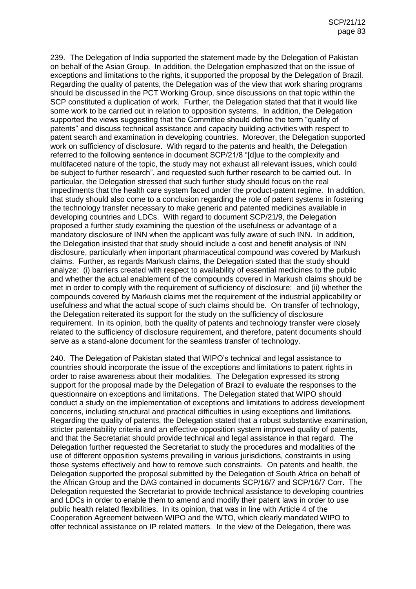239. The Delegation of India supported the statement made by the Delegation of Pakistan on behalf of the Asian Group. In addition, the Delegation emphasized that on the issue of exceptions and limitations to the rights, it supported the proposal by the Delegation of Brazil. Regarding the quality of patents, the Delegation was of the view that work sharing programs should be discussed in the PCT Working Group, since discussions on that topic within the SCP constituted a duplication of work. Further, the Delegation stated that that it would like some work to be carried out in relation to opposition systems. In addition, the Delegation supported the views suggesting that the Committee should define the term "quality of patents" and discuss technical assistance and capacity building activities with respect to patent search and examination in developing countries. Moreover, the Delegation supported work on sufficiency of disclosure. With regard to the patents and health, the Delegation referred to the following sentence in document SCP/21/8 "[d]ue to the complexity and multifaceted nature of the topic, the study may not exhaust all relevant issues, which could be subject to further research", and requested such further research to be carried out. In particular, the Delegation stressed that such further study should focus on the real impediments that the health care system faced under the product-patent regime. In addition, that study should also come to a conclusion regarding the role of patent systems in fostering the technology transfer necessary to make generic and patented medicines available in developing countries and LDCs. With regard to document SCP/21/9, the Delegation proposed a further study examining the question of the usefulness or advantage of a mandatory disclosure of INN when the applicant was fully aware of such INN. In addition, the Delegation insisted that that study should include a cost and benefit analysis of INN disclosure, particularly when important pharmaceutical compound was covered by Markush claims. Further, as regards Markush claims, the Delegation stated that the study should analyze: (i) barriers created with respect to availability of essential medicines to the public and whether the actual enablement of the compounds covered in Markush claims should be met in order to comply with the requirement of sufficiency of disclosure; and (ii) whether the compounds covered by Markush claims met the requirement of the industrial applicability or usefulness and what the actual scope of such claims should be. On transfer of technology, the Delegation reiterated its support for the study on the sufficiency of disclosure requirement. In its opinion, both the quality of patents and technology transfer were closely related to the sufficiency of disclosure requirement, and therefore, patent documents should serve as a stand-alone document for the seamless transfer of technology.

240. The Delegation of Pakistan stated that WIPO's technical and legal assistance to countries should incorporate the issue of the exceptions and limitations to patent rights in order to raise awareness about their modalities. The Delegation expressed its strong support for the proposal made by the Delegation of Brazil to evaluate the responses to the questionnaire on exceptions and limitations. The Delegation stated that WIPO should conduct a study on the implementation of exceptions and limitations to address development concerns, including structural and practical difficulties in using exceptions and limitations. Regarding the quality of patents, the Delegation stated that a robust substantive examination, stricter patentability criteria and an effective opposition system improved quality of patents, and that the Secretariat should provide technical and legal assistance in that regard. The Delegation further requested the Secretariat to study the procedures and modalities of the use of different opposition systems prevailing in various jurisdictions, constraints in using those systems effectively and how to remove such constraints. On patents and health, the Delegation supported the proposal submitted by the Delegation of South Africa on behalf of the African Group and the DAG contained in documents SCP/16/7 and SCP/16/7 Corr. The Delegation requested the Secretariat to provide technical assistance to developing countries and LDCs in order to enable them to amend and modify their patent laws in order to use public health related flexibilities. In its opinion, that was in line with Article 4 of the Cooperation Agreement between WIPO and the WTO, which clearly mandated WIPO to offer technical assistance on IP related matters. In the view of the Delegation, there was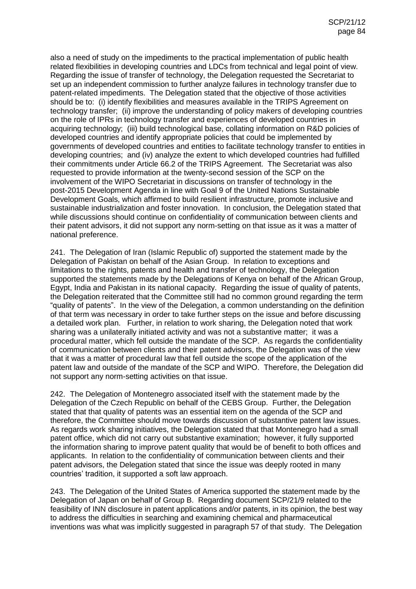also a need of study on the impediments to the practical implementation of public health related flexibilities in developing countries and LDCs from technical and legal point of view. Regarding the issue of transfer of technology, the Delegation requested the Secretariat to set up an independent commission to further analyze failures in technology transfer due to patent-related impediments. The Delegation stated that the objective of those activities should be to: (i) identify flexibilities and measures available in the TRIPS Agreement on technology transfer; (ii) improve the understanding of policy makers of developing countries on the role of IPRs in technology transfer and experiences of developed countries in acquiring technology; (iii) build technological base, collating information on R&D policies of developed countries and identify appropriate policies that could be implemented by governments of developed countries and entities to facilitate technology transfer to entities in developing countries; and (iv) analyze the extent to which developed countries had fulfilled their commitments under Article 66.2 of the TRIPS Agreement. The Secretariat was also requested to provide information at the twenty-second session of the SCP on the involvement of the WIPO Secretariat in discussions on transfer of technology in the post-2015 Development Agenda in line with Goal 9 of the United Nations Sustainable Development Goals, which affirmed to build resilient infrastructure, promote inclusive and sustainable industrialization and foster innovation. In conclusion, the Delegation stated that while discussions should continue on confidentiality of communication between clients and their patent advisors, it did not support any norm-setting on that issue as it was a matter of national preference.

241. The Delegation of Iran (Islamic Republic of) supported the statement made by the Delegation of Pakistan on behalf of the Asian Group. In relation to exceptions and limitations to the rights, patents and health and transfer of technology, the Delegation supported the statements made by the Delegations of Kenya on behalf of the African Group, Egypt, India and Pakistan in its national capacity. Regarding the issue of quality of patents, the Delegation reiterated that the Committee still had no common ground regarding the term "quality of patents". In the view of the Delegation, a common understanding on the definition of that term was necessary in order to take further steps on the issue and before discussing a detailed work plan. Further, in relation to work sharing, the Delegation noted that work sharing was a unilaterally initiated activity and was not a substantive matter; it was a procedural matter, which fell outside the mandate of the SCP. As regards the confidentiality of communication between clients and their patent advisors, the Delegation was of the view that it was a matter of procedural law that fell outside the scope of the application of the patent law and outside of the mandate of the SCP and WIPO. Therefore, the Delegation did not support any norm-setting activities on that issue.

242. The Delegation of Montenegro associated itself with the statement made by the Delegation of the Czech Republic on behalf of the CEBS Group. Further, the Delegation stated that that quality of patents was an essential item on the agenda of the SCP and therefore, the Committee should move towards discussion of substantive patent law issues. As regards work sharing initiatives, the Delegation stated that that Montenegro had a small patent office, which did not carry out substantive examination; however, it fully supported the information sharing to improve patent quality that would be of benefit to both offices and applicants. In relation to the confidentiality of communication between clients and their patent advisors, the Delegation stated that since the issue was deeply rooted in many countries' tradition, it supported a soft law approach.

243. The Delegation of the United States of America supported the statement made by the Delegation of Japan on behalf of Group B. Regarding document SCP/21/9 related to the feasibility of INN disclosure in patent applications and/or patents, in its opinion, the best way to address the difficulties in searching and examining chemical and pharmaceutical inventions was what was implicitly suggested in paragraph 57 of that study. The Delegation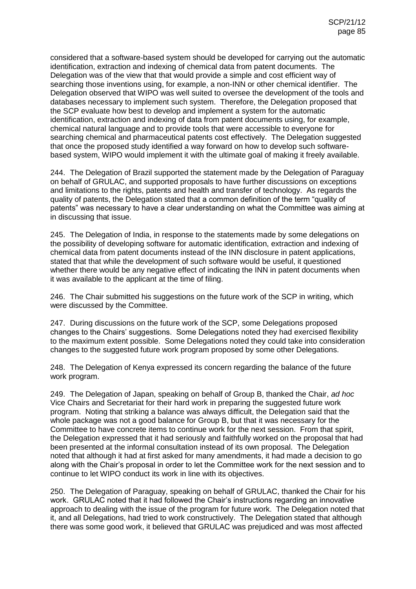considered that a software-based system should be developed for carrying out the automatic identification, extraction and indexing of chemical data from patent documents. The Delegation was of the view that that would provide a simple and cost efficient way of searching those inventions using, for example, a non-INN or other chemical identifier. The Delegation observed that WIPO was well suited to oversee the development of the tools and databases necessary to implement such system. Therefore, the Delegation proposed that the SCP evaluate how best to develop and implement a system for the automatic identification, extraction and indexing of data from patent documents using, for example, chemical natural language and to provide tools that were accessible to everyone for searching chemical and pharmaceutical patents cost effectively. The Delegation suggested that once the proposed study identified a way forward on how to develop such softwarebased system, WIPO would implement it with the ultimate goal of making it freely available.

244. The Delegation of Brazil supported the statement made by the Delegation of Paraguay on behalf of GRULAC, and supported proposals to have further discussions on exceptions and limitations to the rights, patents and health and transfer of technology. As regards the quality of patents, the Delegation stated that a common definition of the term "quality of patents" was necessary to have a clear understanding on what the Committee was aiming at in discussing that issue.

245. The Delegation of India, in response to the statements made by some delegations on the possibility of developing software for automatic identification, extraction and indexing of chemical data from patent documents instead of the INN disclosure in patent applications, stated that that while the development of such software would be useful, it questioned whether there would be any negative effect of indicating the INN in patent documents when it was available to the applicant at the time of filing.

246. The Chair submitted his suggestions on the future work of the SCP in writing, which were discussed by the Committee.

247. During discussions on the future work of the SCP, some Delegations proposed changes to the Chairs' suggestions. Some Delegations noted they had exercised flexibility to the maximum extent possible. Some Delegations noted they could take into consideration changes to the suggested future work program proposed by some other Delegations.

248. The Delegation of Kenya expressed its concern regarding the balance of the future work program.

249. The Delegation of Japan, speaking on behalf of Group B, thanked the Chair, *ad hoc* Vice Chairs and Secretariat for their hard work in preparing the suggested future work program. Noting that striking a balance was always difficult, the Delegation said that the whole package was not a good balance for Group B, but that it was necessary for the Committee to have concrete items to continue work for the next session. From that spirit, the Delegation expressed that it had seriously and faithfully worked on the proposal that had been presented at the informal consultation instead of its own proposal. The Delegation noted that although it had at first asked for many amendments, it had made a decision to go along with the Chair's proposal in order to let the Committee work for the next session and to continue to let WIPO conduct its work in line with its objectives.

250. The Delegation of Paraguay, speaking on behalf of GRULAC, thanked the Chair for his work. GRULAC noted that it had followed the Chair's instructions regarding an innovative approach to dealing with the issue of the program for future work. The Delegation noted that it, and all Delegations, had tried to work constructively. The Delegation stated that although there was some good work, it believed that GRULAC was prejudiced and was most affected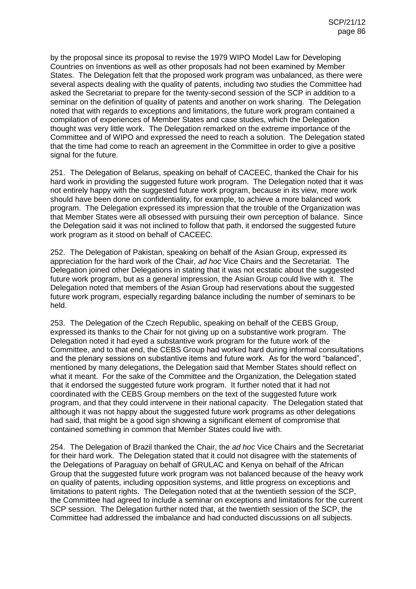by the proposal since its proposal to revise the 1979 WIPO Model Law for Developing Countries on Inventions as well as other proposals had not been examined by Member States. The Delegation felt that the proposed work program was unbalanced, as there were several aspects dealing with the quality of patents, including two studies the Committee had asked the Secretariat to prepare for the twenty-second session of the SCP in addition to a seminar on the definition of quality of patents and another on work sharing. The Delegation noted that with regards to exceptions and limitations, the future work program contained a compilation of experiences of Member States and case studies, which the Delegation thought was very little work. The Delegation remarked on the extreme importance of the Committee and of WIPO and expressed the need to reach a solution. The Delegation stated that the time had come to reach an agreement in the Committee in order to give a positive signal for the future.

251. The Delegation of Belarus, speaking on behalf of CACEEC, thanked the Chair for his hard work in providing the suggested future work program. The Delegation noted that it was not entirely happy with the suggested future work program, because in its view, more work should have been done on confidentiality, for example, to achieve a more balanced work program. The Delegation expressed its impression that the trouble of the Organization was that Member States were all obsessed with pursuing their own perception of balance. Since the Delegation said it was not inclined to follow that path, it endorsed the suggested future work program as it stood on behalf of CACEEC.

252. The Delegation of Pakistan, speaking on behalf of the Asian Group, expressed its appreciation for the hard work of the Chair, *ad hoc* Vice Chairs and the Secretariat. The Delegation joined other Delegations in stating that it was not ecstatic about the suggested future work program, but as a general impression, the Asian Group could live with it. The Delegation noted that members of the Asian Group had reservations about the suggested future work program, especially regarding balance including the number of seminars to be held.

253. The Delegation of the Czech Republic, speaking on behalf of the CEBS Group, expressed its thanks to the Chair for not giving up on a substantive work program. The Delegation noted it had eyed a substantive work program for the future work of the Committee, and to that end, the CEBS Group had worked hard during informal consultations and the plenary sessions on substantive items and future work. As for the word "balanced", mentioned by many delegations, the Delegation said that Member States should reflect on what it meant. For the sake of the Committee and the Organization, the Delegation stated that it endorsed the suggested future work program. It further noted that it had not coordinated with the CEBS Group members on the text of the suggested future work program, and that they could intervene in their national capacity. The Delegation stated that although it was not happy about the suggested future work programs as other delegations had said, that might be a good sign showing a significant element of compromise that contained something in common that Member States could live with.

254. The Delegation of Brazil thanked the Chair, the *ad hoc* Vice Chairs and the Secretariat for their hard work. The Delegation stated that it could not disagree with the statements of the Delegations of Paraguay on behalf of GRULAC and Kenya on behalf of the African Group that the suggested future work program was not balanced because of the heavy work on quality of patents, including opposition systems, and little progress on exceptions and limitations to patent rights. The Delegation noted that at the twentieth session of the SCP, the Committee had agreed to include a seminar on exceptions and limitations for the current SCP session. The Delegation further noted that, at the twentieth session of the SCP, the Committee had addressed the imbalance and had conducted discussions on all subjects.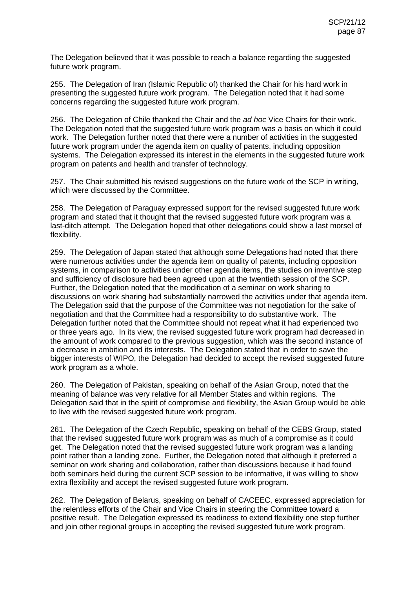The Delegation believed that it was possible to reach a balance regarding the suggested future work program.

255. The Delegation of Iran (Islamic Republic of) thanked the Chair for his hard work in presenting the suggested future work program. The Delegation noted that it had some concerns regarding the suggested future work program.

256. The Delegation of Chile thanked the Chair and the *ad hoc* Vice Chairs for their work. The Delegation noted that the suggested future work program was a basis on which it could work. The Delegation further noted that there were a number of activities in the suggested future work program under the agenda item on quality of patents, including opposition systems. The Delegation expressed its interest in the elements in the suggested future work program on patents and health and transfer of technology.

257. The Chair submitted his revised suggestions on the future work of the SCP in writing, which were discussed by the Committee.

258. The Delegation of Paraguay expressed support for the revised suggested future work program and stated that it thought that the revised suggested future work program was a last-ditch attempt. The Delegation hoped that other delegations could show a last morsel of flexibility.

259. The Delegation of Japan stated that although some Delegations had noted that there were numerous activities under the agenda item on quality of patents, including opposition systems, in comparison to activities under other agenda items, the studies on inventive step and sufficiency of disclosure had been agreed upon at the twentieth session of the SCP. Further, the Delegation noted that the modification of a seminar on work sharing to discussions on work sharing had substantially narrowed the activities under that agenda item. The Delegation said that the purpose of the Committee was not negotiation for the sake of negotiation and that the Committee had a responsibility to do substantive work. The Delegation further noted that the Committee should not repeat what it had experienced two or three years ago. In its view, the revised suggested future work program had decreased in the amount of work compared to the previous suggestion, which was the second instance of a decrease in ambition and its interests. The Delegation stated that in order to save the bigger interests of WIPO, the Delegation had decided to accept the revised suggested future work program as a whole.

260. The Delegation of Pakistan, speaking on behalf of the Asian Group, noted that the meaning of balance was very relative for all Member States and within regions. The Delegation said that in the spirit of compromise and flexibility, the Asian Group would be able to live with the revised suggested future work program.

261. The Delegation of the Czech Republic, speaking on behalf of the CEBS Group, stated that the revised suggested future work program was as much of a compromise as it could get. The Delegation noted that the revised suggested future work program was a landing point rather than a landing zone. Further, the Delegation noted that although it preferred a seminar on work sharing and collaboration, rather than discussions because it had found both seminars held during the current SCP session to be informative, it was willing to show extra flexibility and accept the revised suggested future work program.

262. The Delegation of Belarus, speaking on behalf of CACEEC, expressed appreciation for the relentless efforts of the Chair and Vice Chairs in steering the Committee toward a positive result. The Delegation expressed its readiness to extend flexibility one step further and join other regional groups in accepting the revised suggested future work program.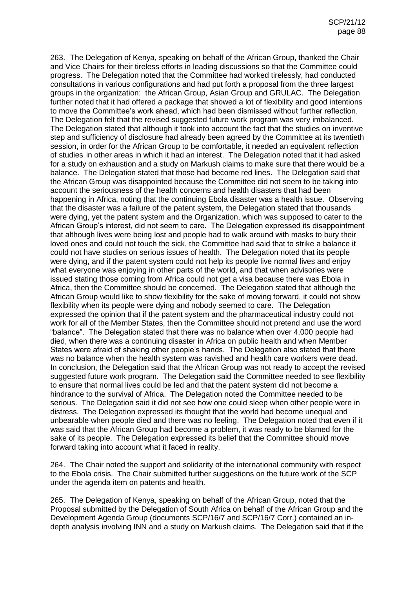263. The Delegation of Kenya, speaking on behalf of the African Group, thanked the Chair and Vice Chairs for their tireless efforts in leading discussions so that the Committee could progress. The Delegation noted that the Committee had worked tirelessly, had conducted consultations in various configurations and had put forth a proposal from the three largest groups in the organization: the African Group, Asian Group and GRULAC. The Delegation further noted that it had offered a package that showed a lot of flexibility and good intentions to move the Committee's work ahead, which had been dismissed without further reflection. The Delegation felt that the revised suggested future work program was very imbalanced. The Delegation stated that although it took into account the fact that the studies on inventive step and sufficiency of disclosure had already been agreed by the Committee at its twentieth session, in order for the African Group to be comfortable, it needed an equivalent reflection of studies in other areas in which it had an interest. The Delegation noted that it had asked for a study on exhaustion and a study on Markush claims to make sure that there would be a balance. The Delegation stated that those had become red lines. The Delegation said that the African Group was disappointed because the Committee did not seem to be taking into account the seriousness of the health concerns and health disasters that had been happening in Africa, noting that the continuing Ebola disaster was a health issue. Observing that the disaster was a failure of the patent system, the Delegation stated that thousands were dying, yet the patent system and the Organization, which was supposed to cater to the African Group's interest, did not seem to care. The Delegation expressed its disappointment that although lives were being lost and people had to walk around with masks to bury their loved ones and could not touch the sick, the Committee had said that to strike a balance it could not have studies on serious issues of health. The Delegation noted that its people were dying, and if the patent system could not help its people live normal lives and enjoy what everyone was enjoying in other parts of the world, and that when advisories were issued stating those coming from Africa could not get a visa because there was Ebola in Africa, then the Committee should be concerned. The Delegation stated that although the African Group would like to show flexibility for the sake of moving forward, it could not show flexibility when its people were dying and nobody seemed to care. The Delegation expressed the opinion that if the patent system and the pharmaceutical industry could not work for all of the Member States, then the Committee should not pretend and use the word "balance". The Delegation stated that there was no balance when over 4,000 people had died, when there was a continuing disaster in Africa on public health and when Member States were afraid of shaking other people's hands. The Delegation also stated that there was no balance when the health system was ravished and health care workers were dead. In conclusion, the Delegation said that the African Group was not ready to accept the revised suggested future work program. The Delegation said the Committee needed to see flexibility to ensure that normal lives could be led and that the patent system did not become a hindrance to the survival of Africa. The Delegation noted the Committee needed to be serious. The Delegation said it did not see how one could sleep when other people were in distress. The Delegation expressed its thought that the world had become unequal and unbearable when people died and there was no feeling. The Delegation noted that even if it was said that the African Group had become a problem, it was ready to be blamed for the sake of its people. The Delegation expressed its belief that the Committee should move forward taking into account what it faced in reality.

264. The Chair noted the support and solidarity of the international community with respect to the Ebola crisis. The Chair submitted further suggestions on the future work of the SCP under the agenda item on patents and health.

265. The Delegation of Kenya, speaking on behalf of the African Group, noted that the Proposal submitted by the Delegation of South Africa on behalf of the African Group and the Development Agenda Group (documents SCP/16/7 and SCP/16/7 Corr.) contained an indepth analysis involving INN and a study on Markush claims. The Delegation said that if the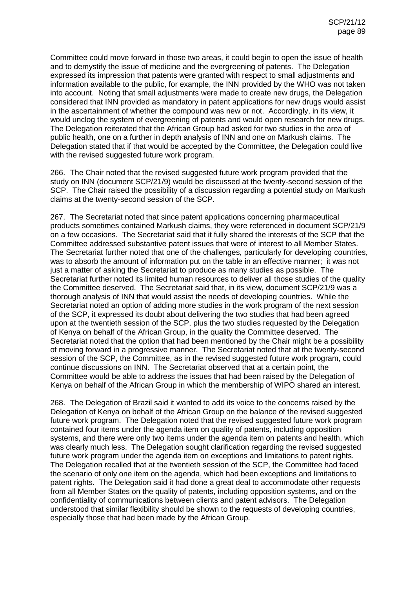Committee could move forward in those two areas, it could begin to open the issue of health and to demystify the issue of medicine and the evergreening of patents. The Delegation expressed its impression that patents were granted with respect to small adjustments and information available to the public, for example, the INN provided by the WHO was not taken into account. Noting that small adjustments were made to create new drugs, the Delegation considered that INN provided as mandatory in patent applications for new drugs would assist in the ascertainment of whether the compound was new or not. Accordingly, in its view, it would unclog the system of evergreening of patents and would open research for new drugs. The Delegation reiterated that the African Group had asked for two studies in the area of public health, one on a further in depth analysis of INN and one on Markush claims. The Delegation stated that if that would be accepted by the Committee, the Delegation could live with the revised suggested future work program.

266. The Chair noted that the revised suggested future work program provided that the study on INN (document SCP/21/9) would be discussed at the twenty-second session of the SCP. The Chair raised the possibility of a discussion regarding a potential study on Markush claims at the twenty-second session of the SCP.

267. The Secretariat noted that since patent applications concerning pharmaceutical products sometimes contained Markush claims, they were referenced in document SCP/21/9 on a few occasions. The Secretariat said that it fully shared the interests of the SCP that the Committee addressed substantive patent issues that were of interest to all Member States. The Secretariat further noted that one of the challenges, particularly for developing countries, was to absorb the amount of information put on the table in an effective manner; it was not just a matter of asking the Secretariat to produce as many studies as possible. The Secretariat further noted its limited human resources to deliver all those studies of the quality the Committee deserved. The Secretariat said that, in its view, document SCP/21/9 was a thorough analysis of INN that would assist the needs of developing countries. While the Secretariat noted an option of adding more studies in the work program of the next session of the SCP, it expressed its doubt about delivering the two studies that had been agreed upon at the twentieth session of the SCP, plus the two studies requested by the Delegation of Kenya on behalf of the African Group, in the quality the Committee deserved. The Secretariat noted that the option that had been mentioned by the Chair might be a possibility of moving forward in a progressive manner. The Secretariat noted that at the twenty-second session of the SCP, the Committee, as in the revised suggested future work program, could continue discussions on INN. The Secretariat observed that at a certain point, the Committee would be able to address the issues that had been raised by the Delegation of Kenya on behalf of the African Group in which the membership of WIPO shared an interest.

268. The Delegation of Brazil said it wanted to add its voice to the concerns raised by the Delegation of Kenya on behalf of the African Group on the balance of the revised suggested future work program. The Delegation noted that the revised suggested future work program contained four items under the agenda item on quality of patents, including opposition systems, and there were only two items under the agenda item on patents and health, which was clearly much less. The Delegation sought clarification regarding the revised suggested future work program under the agenda item on exceptions and limitations to patent rights. The Delegation recalled that at the twentieth session of the SCP, the Committee had faced the scenario of only one item on the agenda, which had been exceptions and limitations to patent rights. The Delegation said it had done a great deal to accommodate other requests from all Member States on the quality of patents, including opposition systems, and on the confidentiality of communications between clients and patent advisors. The Delegation understood that similar flexibility should be shown to the requests of developing countries, especially those that had been made by the African Group.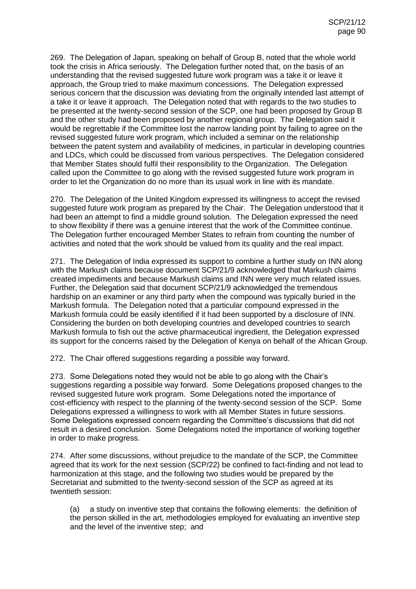269. The Delegation of Japan, speaking on behalf of Group B, noted that the whole world took the crisis in Africa seriously. The Delegation further noted that, on the basis of an understanding that the revised suggested future work program was a take it or leave it approach, the Group tried to make maximum concessions. The Delegation expressed serious concern that the discussion was deviating from the originally intended last attempt of a take it or leave it approach. The Delegation noted that with regards to the two studies to be presented at the twenty-second session of the SCP, one had been proposed by Group B and the other study had been proposed by another regional group. The Delegation said it would be regrettable if the Committee lost the narrow landing point by failing to agree on the revised suggested future work program, which included a seminar on the relationship between the patent system and availability of medicines, in particular in developing countries and LDCs, which could be discussed from various perspectives. The Delegation considered that Member States should fulfil their responsibility to the Organization. The Delegation called upon the Committee to go along with the revised suggested future work program in order to let the Organization do no more than its usual work in line with its mandate.

270. The Delegation of the United Kingdom expressed its willingness to accept the revised suggested future work program as prepared by the Chair. The Delegation understood that it had been an attempt to find a middle ground solution. The Delegation expressed the need to show flexibility if there was a genuine interest that the work of the Committee continue. The Delegation further encouraged Member States to refrain from counting the number of activities and noted that the work should be valued from its quality and the real impact.

271. The Delegation of India expressed its support to combine a further study on INN along with the Markush claims because document SCP/21/9 acknowledged that Markush claims created impediments and because Markush claims and INN were very much related issues. Further, the Delegation said that document SCP/21/9 acknowledged the tremendous hardship on an examiner or any third party when the compound was typically buried in the Markush formula. The Delegation noted that a particular compound expressed in the Markush formula could be easily identified if it had been supported by a disclosure of INN. Considering the burden on both developing countries and developed countries to search Markush formula to fish out the active pharmaceutical ingredient, the Delegation expressed its support for the concerns raised by the Delegation of Kenya on behalf of the African Group.

272. The Chair offered suggestions regarding a possible way forward.

273. Some Delegations noted they would not be able to go along with the Chair's suggestions regarding a possible way forward. Some Delegations proposed changes to the revised suggested future work program. Some Delegations noted the importance of cost-efficiency with respect to the planning of the twenty-second session of the SCP. Some Delegations expressed a willingness to work with all Member States in future sessions. Some Delegations expressed concern regarding the Committee's discussions that did not result in a desired conclusion. Some Delegations noted the importance of working together in order to make progress.

274. After some discussions, without prejudice to the mandate of the SCP, the Committee agreed that its work for the next session (SCP/22) be confined to fact-finding and not lead to harmonization at this stage, and the following two studies would be prepared by the Secretariat and submitted to the twenty-second session of the SCP as agreed at its twentieth session:

(a) a study on inventive step that contains the following elements: the definition of the person skilled in the art, methodologies employed for evaluating an inventive step and the level of the inventive step; and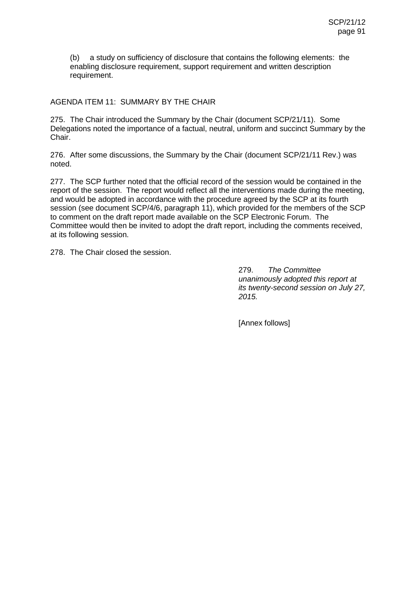(b) a study on sufficiency of disclosure that contains the following elements: the enabling disclosure requirement, support requirement and written description requirement.

## AGENDA ITEM 11: SUMMARY BY THE CHAIR

275. The Chair introduced the Summary by the Chair (document SCP/21/11). Some Delegations noted the importance of a factual, neutral, uniform and succinct Summary by the Chair.

276. After some discussions, the Summary by the Chair (document SCP/21/11 Rev.) was noted.

277. The SCP further noted that the official record of the session would be contained in the report of the session. The report would reflect all the interventions made during the meeting, and would be adopted in accordance with the procedure agreed by the SCP at its fourth session (see document SCP/4/6, paragraph 11), which provided for the members of the SCP to comment on the draft report made available on the SCP Electronic Forum. The Committee would then be invited to adopt the draft report, including the comments received, at its following session.

278. The Chair closed the session.

279. *The Committee unanimously adopted this report at its twenty-second session on July 27, 2015.*

[Annex follows]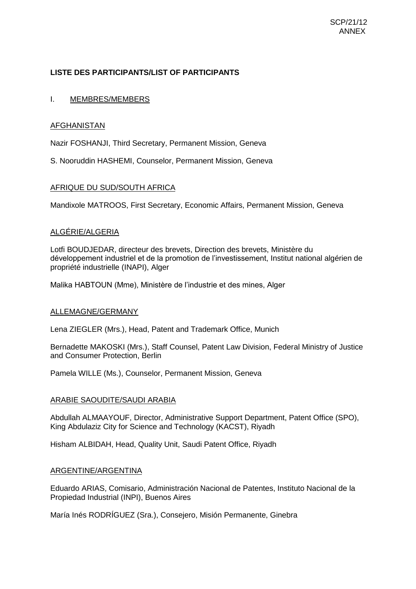# **LISTE DES PARTICIPANTS/LIST OF PARTICIPANTS**

## I. MEMBRES/MEMBERS

## **AFGHANISTAN**

Nazir FOSHANJI, Third Secretary, Permanent Mission, Geneva

S. Nooruddin HASHEMI, Counselor, Permanent Mission, Geneva

# AFRIQUE DU SUD/SOUTH AFRICA

Mandixole MATROOS, First Secretary, Economic Affairs, Permanent Mission, Geneva

## ALGÉRIE/ALGERIA

Lotfi BOUDJEDAR, directeur des brevets, Direction des brevets, Ministère du développement industriel et de la promotion de l'investissement, Institut national algérien de propriété industrielle (INAPI), Alger

Malika HABTOUN (Mme), Ministère de l'industrie et des mines, Alger

## ALLEMAGNE/GERMANY

Lena ZIEGLER (Mrs.), Head, Patent and Trademark Office, Munich

Bernadette MAKOSKI (Mrs.), Staff Counsel, Patent Law Division, Federal Ministry of Justice and Consumer Protection, Berlin

Pamela WILLE (Ms.), Counselor, Permanent Mission, Geneva

## ARABIE SAOUDITE/SAUDI ARABIA

Abdullah ALMAAYOUF, Director, Administrative Support Department, Patent Office (SPO), King Abdulaziz City for Science and Technology (KACST), Riyadh

Hisham ALBIDAH, Head, Quality Unit, Saudi Patent Office, Riyadh

#### ARGENTINE/ARGENTINA

Eduardo ARIAS, Comisario, Administración Nacional de Patentes, Instituto Nacional de la Propiedad Industrial (INPI), Buenos Aires

María Inés RODRÍGUEZ (Sra.), Consejero, Misión Permanente, Ginebra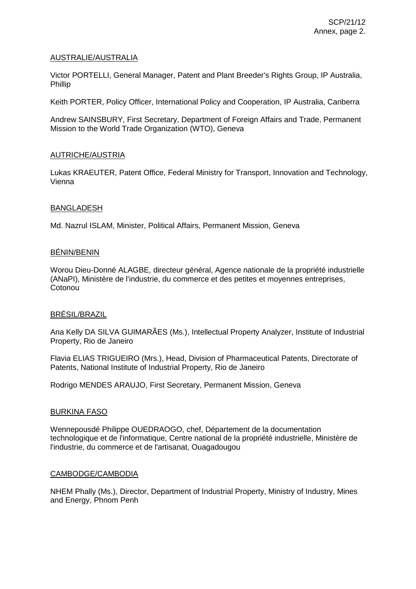### AUSTRALIE/AUSTRALIA

Victor PORTELLI, General Manager, Patent and Plant Breeder's Rights Group, IP Australia, Phillip

Keith PORTER, Policy Officer, International Policy and Cooperation, IP Australia, Canberra

Andrew SAINSBURY, First Secretary, Department of Foreign Affairs and Trade, Permanent Mission to the World Trade Organization (WTO), Geneva

### AUTRICHE/AUSTRIA

Lukas KRAEUTER, Patent Office, Federal Ministry for Transport, Innovation and Technology, Vienna

### BANGLADESH

Md. Nazrul ISLAM, Minister, Political Affairs, Permanent Mission, Geneva

### BÉNIN/BENIN

Worou Dieu-Donné ALAGBE, directeur général, Agence nationale de la propriété industrielle (ANaPI), Ministère de l'industrie, du commerce et des petites et moyennes entreprises, **Cotonou** 

#### BRÉSIL/BRAZIL

Ana Kelly DA SILVA GUIMARÃES (Ms.), Intellectual Property Analyzer, Institute of Industrial Property, Rio de Janeiro

Flavia ELIAS TRIGUEIRO (Mrs.), Head, Division of Pharmaceutical Patents, Directorate of Patents, National Institute of Industrial Property, Rio de Janeiro

Rodrigo MENDES ARAUJO, First Secretary, Permanent Mission, Geneva

#### BURKINA FASO

Wennepousdé Philippe OUEDRAOGO, chef, Département de la documentation technologique et de l'informatique, Centre national de la propriété industrielle, Ministère de l'industrie, du commerce et de l'artisanat, Ouagadougou

#### CAMBODGE/CAMBODIA

NHEM Phally (Ms.), Director, Department of Industrial Property, Ministry of Industry, Mines and Energy, Phnom Penh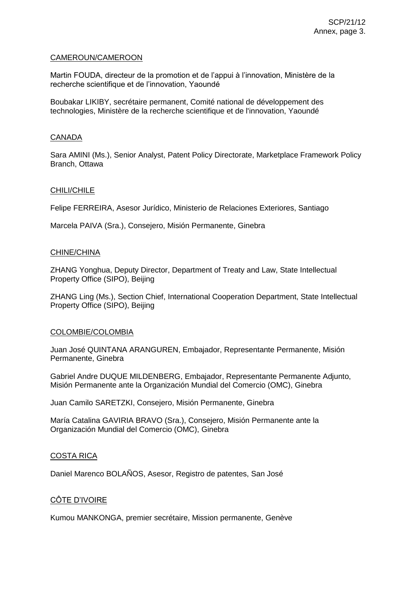### CAMEROUN/CAMEROON

Martin FOUDA, directeur de la promotion et de l'appui à l'innovation, Ministère de la recherche scientifique et de l'innovation, Yaoundé

Boubakar LIKIBY, secrétaire permanent, Comité national de développement des technologies, Ministère de la recherche scientifique et de l'innovation, Yaoundé

## **CANADA**

Sara AMINI (Ms.), Senior Analyst, Patent Policy Directorate, Marketplace Framework Policy Branch, Ottawa

### CHILI/CHILE

Felipe FERREIRA, Asesor Jurídico, Ministerio de Relaciones Exteriores, Santiago

Marcela PAIVA (Sra.), Consejero, Misión Permanente, Ginebra

### CHINE/CHINA

ZHANG Yonghua, Deputy Director, Department of Treaty and Law, State Intellectual Property Office (SIPO), Beijing

ZHANG Ling (Ms.), Section Chief, International Cooperation Department, State Intellectual Property Office (SIPO), Beijing

#### COLOMBIE/COLOMBIA

Juan José QUINTANA ARANGUREN, Embajador, Representante Permanente, Misión Permanente, Ginebra

Gabriel Andre DUQUE MILDENBERG, Embajador, Representante Permanente Adjunto, Misión Permanente ante la Organización Mundial del Comercio (OMC), Ginebra

Juan Camilo SARETZKI, Consejero, Misión Permanente, Ginebra

María Catalina GAVIRIA BRAVO (Sra.), Consejero, Misión Permanente ante la Organización Mundial del Comercio (OMC), Ginebra

## COSTA RICA

Daniel Marenco BOLAÑOS, Asesor, Registro de patentes, San José

## CÔTE D'IVOIRE

Kumou MANKONGA, premier secrétaire, Mission permanente, Genève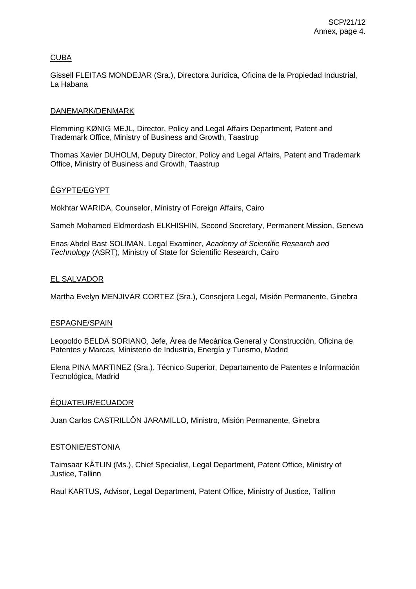# **CUBA**

Gissell FLEITAS MONDEJAR (Sra.), Directora Jurídica, Oficina de la Propiedad Industrial, La Habana

### DANEMARK/DENMARK

Flemming KØNIG MEJL, Director, Policy and Legal Affairs Department, Patent and Trademark Office, Ministry of Business and Growth, Taastrup

Thomas Xavier DUHOLM, Deputy Director, Policy and Legal Affairs, Patent and Trademark Office, Ministry of Business and Growth, Taastrup

## ÉGYPTE/EGYPT

Mokhtar WARIDA, Counselor, Ministry of Foreign Affairs, Cairo

Sameh Mohamed Eldmerdash ELKHISHIN, Second Secretary, Permanent Mission, Geneva

Enas Abdel Bast SOLIMAN, Legal Examiner*, Academy of Scientific Research and Technology* (ASRT), Ministry of State for Scientific Research, Cairo

## EL SALVADOR

Martha Evelyn MENJIVAR CORTEZ (Sra.), Consejera Legal, Misión Permanente, Ginebra

## ESPAGNE/SPAIN

Leopoldo BELDA SORIANO, Jefe, Área de Mecánica General y Construcción, Oficina de Patentes y Marcas, Ministerio de Industria, Energía y Turismo, Madrid

Elena PINA MARTINEZ (Sra.), Técnico Superior, Departamento de Patentes e Información Tecnológica, Madrid

## ÉQUATEUR/ECUADOR

Juan Carlos CASTRILLÔN JARAMILLO, Ministro, Misión Permanente, Ginebra

## ESTONIE/ESTONIA

Taimsaar KÄTLIN (Ms.), Chief Specialist, Legal Department, Patent Office, Ministry of Justice, Tallinn

Raul KARTUS, Advisor, Legal Department, Patent Office, Ministry of Justice, Tallinn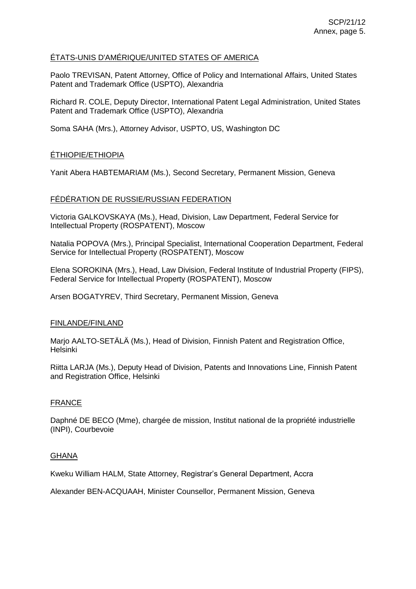# ÉTATS-UNIS D'AMÉRIQUE/UNITED STATES OF AMERICA

Paolo TREVISAN, Patent Attorney, Office of Policy and International Affairs, United States Patent and Trademark Office (USPTO), Alexandria

Richard R. COLE, Deputy Director, International Patent Legal Administration, United States Patent and Trademark Office (USPTO), Alexandria

Soma SAHA (Mrs.), Attorney Advisor, USPTO, US, Washington DC

# ÉTHIOPIE/ETHIOPIA

Yanit Abera HABTEMARIAM (Ms.), Second Secretary, Permanent Mission, Geneva

# FÉDÉRATION DE RUSSIE/RUSSIAN FEDERATION

Victoria GALKOVSKAYA (Ms.), Head, Division, Law Department, Federal Service for Intellectual Property (ROSPATENT), Moscow

Natalia POPOVA (Mrs.), Principal Specialist, International Cooperation Department, Federal Service for Intellectual Property (ROSPATENT), Moscow

Elena SOROKINA (Mrs.), Head, Law Division, Federal Institute of Industrial Property (FIPS), Federal Service for Intellectual Property (ROSPATENT), Moscow

Arsen BOGATYREV, Third Secretary, Permanent Mission, Geneva

## FINLANDE/FINLAND

Marjo AALTO-SETÄLÄ (Ms.), Head of Division, Finnish Patent and Registration Office, Helsinki

Riitta LARJA (Ms.), Deputy Head of Division, Patents and Innovations Line, Finnish Patent and Registration Office, Helsinki

## FRANCE

Daphné DE BECO (Mme), chargée de mission, Institut national de la propriété industrielle (INPI), Courbevoie

#### **GHANA**

Kweku William HALM, State Attorney, Registrar's General Department, Accra

Alexander BEN-ACQUAAH, Minister Counsellor, Permanent Mission, Geneva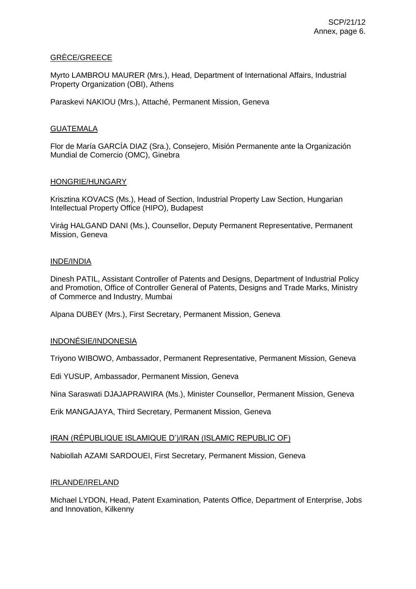## GRÈCE/GREECE

Myrto LAMBROU MAURER (Mrs.), Head, Department of International Affairs, Industrial Property Organization (OBI), Athens

Paraskevi NAKIOU (Mrs.), Attaché, Permanent Mission, Geneva

## **GUATEMALA**

Flor de María GARCÍA DIAZ (Sra.), Consejero, Misión Permanente ante la Organización Mundial de Comercio (OMC), Ginebra

### HONGRIE/HUNGARY

Krisztina KOVACS (Ms.), Head of Section, Industrial Property Law Section, Hungarian Intellectual Property Office (HIPO), Budapest

Virág HALGAND DANI (Ms.), Counsellor, Deputy Permanent Representative, Permanent Mission, Geneva

### INDE/INDIA

Dinesh PATIL, Assistant Controller of Patents and Designs, Department of Industrial Policy and Promotion, Office of Controller General of Patents, Designs and Trade Marks, Ministry of Commerce and Industry, Mumbai

Alpana DUBEY (Mrs.), First Secretary, Permanent Mission, Geneva

## INDONÉSIE/INDONESIA

Triyono WIBOWO, Ambassador, Permanent Representative, Permanent Mission, Geneva

Edi YUSUP, Ambassador, Permanent Mission, Geneva

Nina Saraswati DJAJAPRAWIRA (Ms.), Minister Counsellor, Permanent Mission, Geneva

Erik MANGAJAYA, Third Secretary, Permanent Mission, Geneva

#### IRAN (RÉPUBLIQUE ISLAMIQUE D')/IRAN (ISLAMIC REPUBLIC OF)

Nabiollah AZAMI SARDOUEI, First Secretary, Permanent Mission, Geneva

#### IRLANDE/IRELAND

Michael LYDON, Head, Patent Examination, Patents Office, Department of Enterprise, Jobs and Innovation, Kilkenny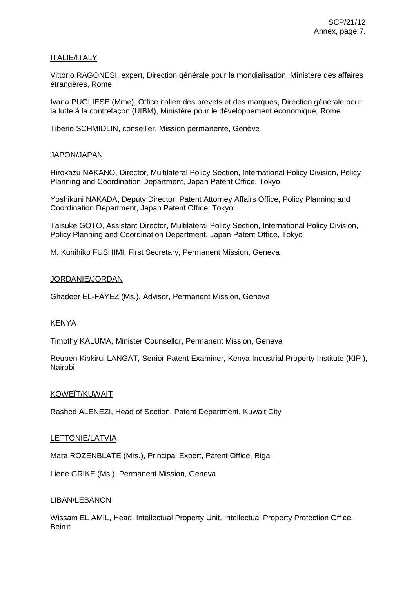# ITALIE/ITALY

Vittorio RAGONESI, expert, Direction générale pour la mondialisation, Ministère des affaires étrangères, Rome

Ivana PUGLIESE (Mme), Office italien des brevets et des marques, Direction générale pour la lutte à la contrefaçon (UIBM), Ministère pour le développement économique, Rome

Tiberio SCHMIDLIN, conseiller, Mission permanente, Genève

## JAPON/JAPAN

Hirokazu NAKANO, Director, Multilateral Policy Section, International Policy Division, Policy Planning and Coordination Department, Japan Patent Office, Tokyo

Yoshikuni NAKADA, Deputy Director, Patent Attorney Affairs Office, Policy Planning and Coordination Department, Japan Patent Office, Tokyo

Taisuke GOTO, Assistant Director, Multilateral Policy Section, International Policy Division, Policy Planning and Coordination Department, Japan Patent Office, Tokyo

M. Kunihiko FUSHIMI, First Secretary, Permanent Mission, Geneva

### JORDANIE/JORDAN

Ghadeer EL-FAYEZ (Ms.), Advisor, Permanent Mission, Geneva

## KENYA

Timothy KALUMA, Minister Counsellor, Permanent Mission, Geneva

Reuben Kipkirui LANGAT, Senior Patent Examiner, Kenya Industrial Property Institute (KIPI), Nairobi

#### KOWEÏT/KUWAIT

Rashed ALENEZI, Head of Section, Patent Department, Kuwait City

#### LETTONIE/LATVIA

Mara ROZENBLATE (Mrs.), Principal Expert, Patent Office, Riga

Liene GRIKE (Ms.), Permanent Mission, Geneva

#### LIBAN/LEBANON

Wissam EL AMIL, Head, Intellectual Property Unit, Intellectual Property Protection Office, Beirut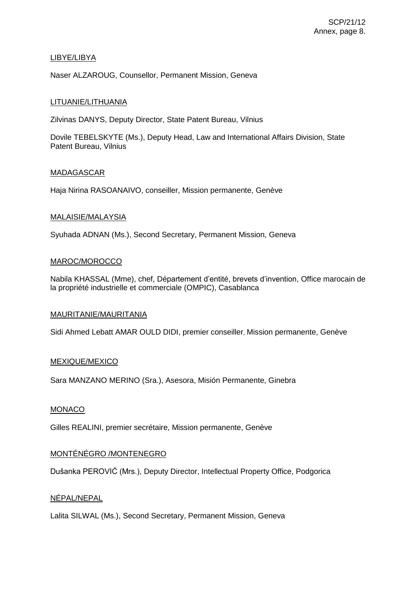# LIBYE/LIBYA

Naser ALZAROUG, Counsellor, Permanent Mission, Geneva

# LITUANIE/LITHUANIA

Zilvinas DANYS, Deputy Director, State Patent Bureau, Vilnius

Dovile TEBELSKYTE (Ms.), Deputy Head, Law and International Affairs Division, State Patent Bureau, Vilnius

## MADAGASCAR

Haja Nirina RASOANAIVO, conseiller, Mission permanente, Genève

## MALAISIE/MALAYSIA

Syuhada ADNAN (Ms.), Second Secretary, Permanent Mission, Geneva

## MAROC/MOROCCO

Nabila KHASSAL (Mme), chef, Département d'entité, brevets d'invention, Office marocain de la propriété industrielle et commerciale (OMPIC), Casablanca

#### MAURITANIE/MAURITANIA

Sidi Ahmed Lebatt AMAR OULD DIDI, premier conseiller, Mission permanente, Genève

## MEXIQUE/MEXICO

Sara MANZANO MERINO (Sra.), Asesora, Misión Permanente, Ginebra

#### MONACO

Gilles REALINI, premier secrétaire, Mission permanente, Genève

# MONTÉNÉGRO /MONTENEGRO

Dušanka PEROVIĆ (Mrs.), Deputy Director, Intellectual Property Office, Podgorica

## NÉPAL/NEPAL

Lalita SILWAL (Ms.), Second Secretary, Permanent Mission, Geneva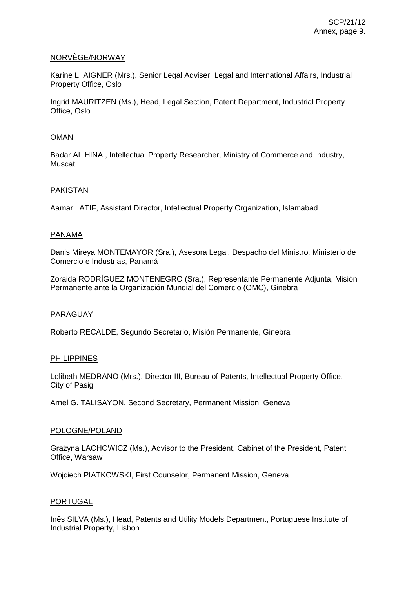### NORVÈGE/NORWAY

Karine L. AIGNER (Mrs.), Senior Legal Adviser, Legal and International Affairs, Industrial Property Office, Oslo

Ingrid MAURITZEN (Ms.), Head, Legal Section, Patent Department, Industrial Property Office, Oslo

## OMAN

Badar AL HINAI, Intellectual Property Researcher, Ministry of Commerce and Industry, Muscat

## PAKISTAN

Aamar LATIF, Assistant Director, Intellectual Property Organization, Islamabad

### PANAMA

Danis Mireya MONTEMAYOR (Sra.), Asesora Legal, Despacho del Ministro, Ministerio de Comercio e Industrias, Panamá

Zoraida RODRÍGUEZ MONTENEGRO (Sra.), Representante Permanente Adjunta, Misión Permanente ante la Organización Mundial del Comercio (OMC), Ginebra

#### PARAGUAY

Roberto RECALDE, Segundo Secretario, Misión Permanente, Ginebra

#### PHILIPPINES

Lolibeth MEDRANO (Mrs.), Director III, Bureau of Patents, Intellectual Property Office, City of Pasig

Arnel G. TALISAYON, Second Secretary, Permanent Mission, Geneva

#### POLOGNE/POLAND

Grażyna LACHOWICZ (Ms.), Advisor to the President, Cabinet of the President, Patent Office, Warsaw

Wojciech PIATKOWSKI, First Counselor, Permanent Mission, Geneva

#### PORTUGAL

Inês SILVA (Ms.), Head, Patents and Utility Models Department, Portuguese Institute of Industrial Property, Lisbon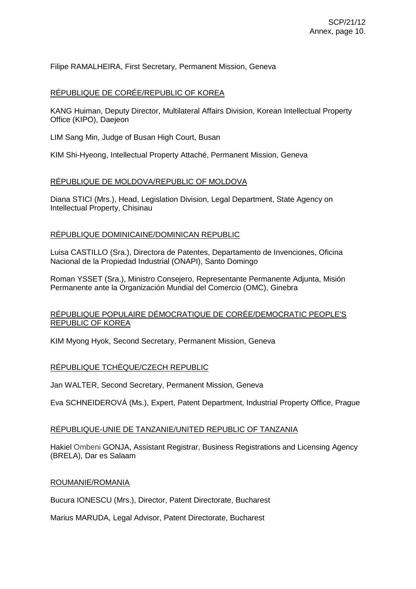Filipe RAMALHEIRA, First Secretary, Permanent Mission, Geneva

### RÉPUBLIQUE DE CORÉE/REPUBLIC OF KOREA

KANG Huiman, Deputy Director, Multilateral Affairs Division, Korean Intellectual Property Office (KIPO), Daejeon

LIM Sang Min, Judge of Busan High Court, Busan

KIM Shi-Hyeong, Intellectual Property Attaché, Permanent Mission, Geneva

## RÉPUBLIQUE DE MOLDOVA/REPUBLIC OF MOLDOVA

Diana STICI (Mrs.), Head, Legislation Division, Legal Department, State Agency on Intellectual Property, Chisinau

### RÉPUBLIQUE DOMINICAINE/DOMINICAN REPUBLIC

Luisa CASTILLO (Sra.), Directora de Patentes, Departamento de Invenciones, Oficina Nacional de la Propiedad Industrial (ONAPI), Santo Domingo

Roman YSSET (Sra.), Ministro Consejero, Representante Permanente Adjunta, Misión Permanente ante la Organización Mundial del Comercio (OMC), Ginebra

## RÉPUBLIQUE POPULAIRE DÉMOCRATIQUE DE CORÉE/DEMOCRATIC PEOPLE'S REPUBLIC OF KOREA

KIM Myong Hyok, Second Secretary, Permanent Mission, Geneva

#### RÉPUBLIQUE TCHÈQUE/CZECH REPUBLIC

Jan WALTER, Second Secretary, Permanent Mission, Geneva

Eva SCHNEIDEROVÁ (Ms.), Expert, Patent Department, Industrial Property Office, Prague

#### RÉPUBLIQUE-UNIE DE TANZANIE/UNITED REPUBLIC OF TANZANIA

Hakiel Ombeni GONJA, Assistant Registrar, Business Registrations and Licensing Agency (BRELA), Dar es Salaam

#### ROUMANIE/ROMANIA

Bucura IONESCU (Mrs.), Director, Patent Directorate, Bucharest

Marius MARUDA, Legal Advisor, Patent Directorate, Bucharest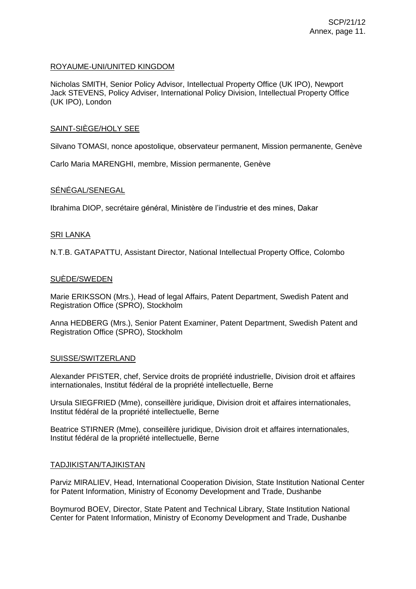### ROYAUME-UNI/UNITED KINGDOM

Nicholas SMITH, Senior Policy Advisor, Intellectual Property Office (UK IPO), Newport Jack STEVENS, Policy Adviser, International Policy Division, Intellectual Property Office (UK IPO), London

### SAINT-SIÈGE/HOLY SEE

Silvano TOMASI, nonce apostolique, observateur permanent, Mission permanente, Genève

Carlo Maria MARENGHI, membre, Mission permanente, Genève

## SÉNÉGAL/SENEGAL

Ibrahima DIOP, secrétaire général, Ministère de l'industrie et des mines, Dakar

#### SRI LANKA

N.T.B. GATAPATTU, Assistant Director, National Intellectual Property Office, Colombo

### SUÈDE/SWEDEN

Marie ERIKSSON (Mrs.), Head of legal Affairs, Patent Department, Swedish Patent and Registration Office (SPRO), Stockholm

Anna HEDBERG (Mrs.), Senior Patent Examiner, Patent Department, Swedish Patent and Registration Office (SPRO), Stockholm

#### SUISSE/SWITZERLAND

Alexander PFISTER, chef, Service droits de propriété industrielle, Division droit et affaires internationales, Institut fédéral de la propriété intellectuelle, Berne

Ursula SIEGFRIED (Mme), conseillère juridique, Division droit et affaires internationales, Institut fédéral de la propriété intellectuelle, Berne

Beatrice STIRNER (Mme), conseillère juridique, Division droit et affaires internationales, Institut fédéral de la propriété intellectuelle, Berne

#### TADJIKISTAN/TAJIKISTAN

Parviz MIRALIEV, Head, International Cooperation Division, State Institution National Center for Patent Information, Ministry of Economy Development and Trade, Dushanbe

Boymurod BOEV, Director, State Patent and Technical Library, State Institution National Center for Patent Information, Ministry of Economy Development and Trade, Dushanbe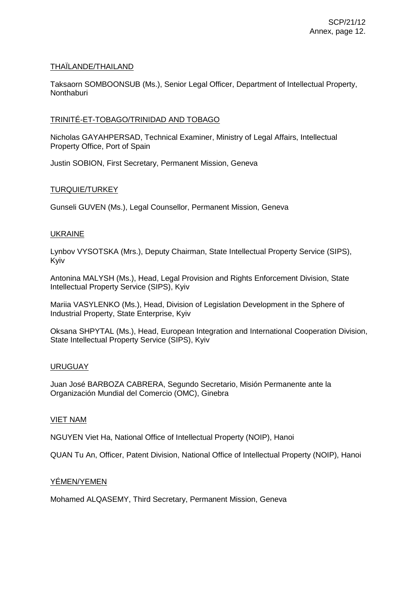## THAÏLANDE/THAILAND

Taksaorn SOMBOONSUB (Ms.), Senior Legal Officer, Department of Intellectual Property, **Nonthaburi** 

# TRINITÉ-ET-TOBAGO/TRINIDAD AND TOBAGO

Nicholas GAYAHPERSAD, Technical Examiner, Ministry of Legal Affairs, Intellectual Property Office, Port of Spain

Justin SOBION, First Secretary, Permanent Mission, Geneva

# TURQUIE/TURKEY

Gunseli GUVEN (Ms.), Legal Counsellor, Permanent Mission, Geneva

# UKRAINE

Lynbov VYSOTSKA (Mrs.), Deputy Chairman, State Intellectual Property Service (SIPS), Kyiv

Antonina MALYSH (Ms.), Head, Legal Provision and Rights Enforcement Division, State Intellectual Property Service (SIPS), Kyiv

Mariia VASYLENKO (Ms.), Head, Division of Legislation Development in the Sphere of Industrial Property, State Enterprise, Kyiv

Oksana SHPYTAL (Ms.), Head, European Integration and International Cooperation Division, State Intellectual Property Service (SIPS), Kyiv

## URUGUAY

Juan José BARBOZA CABRERA, Segundo Secretario, Misión Permanente ante la Organización Mundial del Comercio (OMC), Ginebra

## VIET NAM

NGUYEN Viet Ha, National Office of Intellectual Property (NOIP), Hanoi

QUAN Tu An, Officer, Patent Division, National Office of Intellectual Property (NOIP), Hanoi

# YÉMEN/YEMEN

Mohamed ALQASEMY, Third Secretary, Permanent Mission, Geneva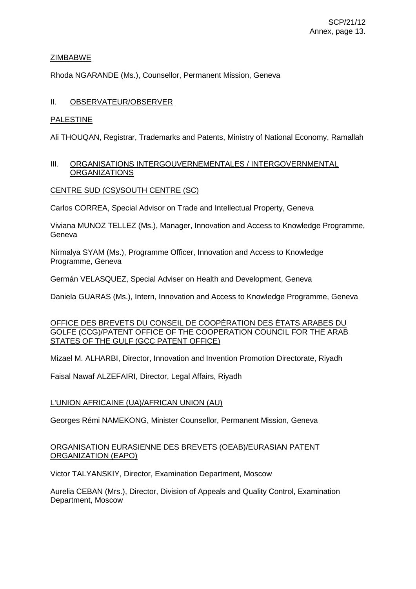## ZIMBABWE

Rhoda NGARANDE (Ms.), Counsellor, Permanent Mission, Geneva

# II. OBSERVATEUR/OBSERVER

## PALESTINE

Ali THOUQAN, Registrar, Trademarks and Patents, Ministry of National Economy, Ramallah

### III. ORGANISATIONS INTERGOUVERNEMENTALES / INTERGOVERNMENTAL ORGANIZATIONS

## CENTRE SUD (CS)/SOUTH CENTRE (SC)

Carlos CORREA, Special Advisor on Trade and Intellectual Property, Geneva

Viviana MUNOZ TELLEZ (Ms.), Manager, Innovation and Access to Knowledge Programme, Geneva

Nirmalya SYAM (Ms.), Programme Officer, Innovation and Access to Knowledge Programme, Geneva

Germán VELASQUEZ, Special Adviser on Health and Development, Geneva

Daniela GUARAS (Ms.), Intern, Innovation and Access to Knowledge Programme, Geneva

### OFFICE DES BREVETS DU CONSEIL DE COOPÉRATION DES ÉTATS ARABES DU GOLFE (CCG)/PATENT OFFICE OF THE COOPERATION COUNCIL FOR THE ARAB STATES OF THE GULF (GCC PATENT OFFICE)

Mizael M. ALHARBI, Director, Innovation and Invention Promotion Directorate, Riyadh

Faisal Nawaf ALZEFAIRI, Director, Legal Affairs, Riyadh

## L'UNION AFRICAINE (UA)/AFRICAN UNION (AU)

Georges Rémi NAMEKONG, Minister Counsellor, Permanent Mission, Geneva

## ORGANISATION EURASIENNE DES BREVETS (OEAB)/EURASIAN PATENT ORGANIZATION (EAPO)

Victor TALYANSKIY, Director, Examination Department, Moscow

Aurelia CEBAN (Mrs.), Director, Division of Appeals and Quality Control, Examination Department, Moscow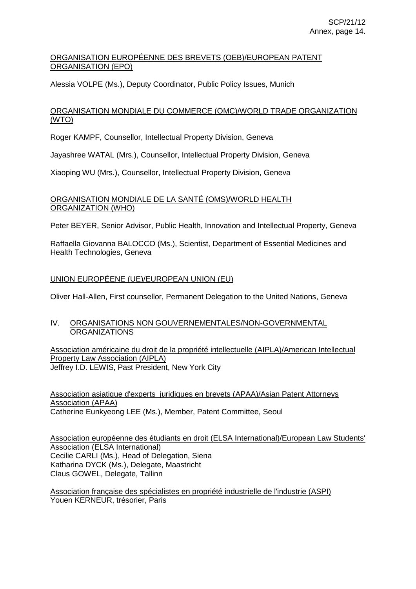# ORGANISATION EUROPÉENNE DES BREVETS (OEB)/EUROPEAN PATENT ORGANISATION (EPO)

Alessia VOLPE (Ms.), Deputy Coordinator, Public Policy Issues, Munich

# ORGANISATION MONDIALE DU COMMERCE (OMC)/WORLD TRADE ORGANIZATION (WTO)

Roger KAMPF, Counsellor, Intellectual Property Division, Geneva

Jayashree WATAL (Mrs.), Counsellor, Intellectual Property Division, Geneva

Xiaoping WU (Mrs.), Counsellor, Intellectual Property Division, Geneva

# ORGANISATION MONDIALE DE LA SANTÉ (OMS)/WORLD HEALTH ORGANIZATION (WHO)

Peter BEYER, Senior Advisor, Public Health, Innovation and Intellectual Property, Geneva

Raffaella Giovanna BALOCCO (Ms.), Scientist, Department of Essential Medicines and Health Technologies, Geneva

# UNION EUROPÉENE (UE)/EUROPEAN UNION (EU)

Oliver Hall-Allen, First counsellor, Permanent Delegation to the United Nations, Geneva

## IV. ORGANISATIONS NON GOUVERNEMENTALES/NON-GOVERNMENTAL ORGANIZATIONS

Association américaine du droit de la propriété intellectuelle (AIPLA)/American Intellectual Property Law Association (AIPLA) Jeffrey I.D. LEWIS, Past President, New York City

Association asiatique d'experts juridiques en brevets (APAA)/Asian Patent Attorneys Association (APAA) Catherine Eunkyeong LEE (Ms.), Member, Patent Committee, Seoul

Association européenne des étudiants en droit (ELSA International)/European Law Students' Association (ELSA International) Cecilie CARLI (Ms.), Head of Delegation, Siena Katharina DYCK (Ms.), Delegate, Maastricht Claus GOWEL, Delegate, Tallinn

Association française des spécialistes en propriété industrielle de l'industrie (ASPI) Youen KERNEUR, trésorier, Paris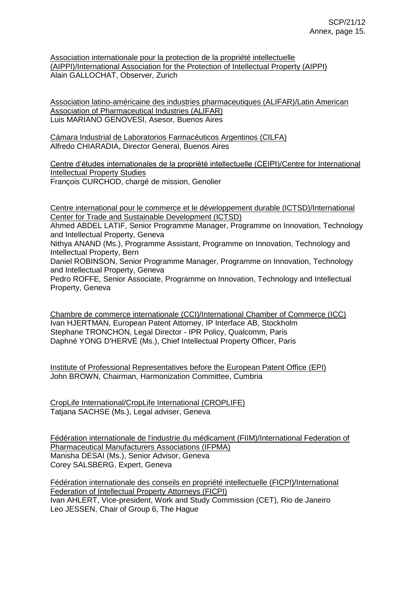Association internationale pour la protection de la propriété intellectuelle (AIPPI)/International Association for the Protection of Intellectual Property (AIPPI) Alain GALLOCHAT, Observer, Zurich

Association latino-américaine des industries pharmaceutiques (ALIFAR)/Latin American Association of Pharmaceutical Industries (ALIFAR) Luis MARIANO GENOVESI, Asesor, Buenos Aires

Cámara Industrial de Laboratorios Farmacéuticos Argentinos (CILFA) Alfredo CHIARADIA, Director General, Buenos Aires

Centre d'études internationales de la propriété intellectuelle (CEIPI)/Centre for International Intellectual Property Studies François CURCHOD, chargé de mission, Genolier

Centre international pour le commerce et le développement durable (ICTSD)/International Center for Trade and Sustainable Development (ICTSD)

Ahmed ABDEL LATIF, Senior Programme Manager, Programme on Innovation, Technology and Intellectual Property, Geneva

Nithya ANAND (Ms.), Programme Assistant, Programme on Innovation, Technology and Intellectual Property, Bern

Daniel ROBINSON, Senior Programme Manager, Programme on Innovation, Technology and Intellectual Property, Geneva

Pedro ROFFE, Senior Associate, Programme on Innovation, Technology and Intellectual Property, Geneva

Chambre de commerce internationale (CCI)/International Chamber of Commerce (ICC) Ivan HJERTMAN, European Patent Attorney, IP Interface AB, Stockholm Stephane TRONCHON, Legal Director - IPR Policy, Qualcomm, Paris Daphné YONG D'HERVÉ (Ms.), Chief Intellectual Property Officer, Paris

Institute of Professional Representatives before the European Patent Office (EPI) John BROWN, Chairman, Harmonization Committee, Cumbria

CropLife International/CropLife International (CROPLIFE) Tatjana SACHSE (Ms.), Legal adviser, Geneva

Fédération internationale de l'industrie du médicament (FIIM)/International Federation of Pharmaceutical Manufacturers Associations (IFPMA) Manisha DESAI (Ms.), Senior Advisor, Geneva Corey SALSBERG, Expert, Geneva

Fédération internationale des conseils en propriété intellectuelle (FICPI)/International Federation of Intellectual Property Attorneys (FICPI) Ivan AHLERT, Vice-president, Work and Study Commission (CET), Rio de Janeiro Leo JESSEN, Chair of Group 6, The Hague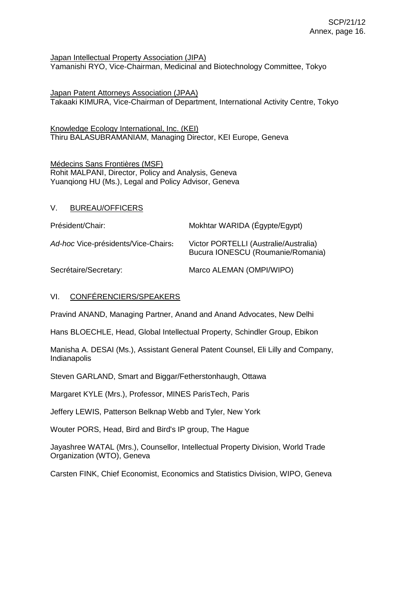Japan Intellectual Property Association (JIPA) Yamanishi RYO, Vice-Chairman, Medicinal and Biotechnology Committee, Tokyo

Japan Patent Attorneys Association (JPAA) Takaaki KIMURA, Vice-Chairman of Department, International Activity Centre, Tokyo

Knowledge Ecology International, Inc. (KEI) Thiru BALASUBRAMANIAM, Managing Director, KEI Europe, Geneva

Médecins Sans Frontières (MSF) Rohit MALPANI, Director, Policy and Analysis, Geneva Yuanqiong HU (Ms.), Legal and Policy Advisor, Geneva

# V. BUREAU/OFFICERS

| Président/Chair:                    | Mokhtar WARIDA (Égypte/Egypt)                                              |
|-------------------------------------|----------------------------------------------------------------------------|
| Ad-hoc Vice-présidents/Vice-Chairs: | Victor PORTELLI (Australie/Australia)<br>Bucura IONESCU (Roumanie/Romania) |
| Secrétaire/Secretary:               | Marco ALEMAN (OMPI/WIPO)                                                   |

## VI. CONFÉRENCIERS/SPEAKERS

Pravind ANAND, Managing Partner, Anand and Anand Advocates, New Delhi

Hans BLOECHLE, Head, Global Intellectual Property, Schindler Group, Ebikon

Manisha A. DESAI (Ms.), Assistant General Patent Counsel, Eli Lilly and Company, Indianapolis

Steven GARLAND, Smart and Biggar/Fetherstonhaugh, Ottawa

Margaret KYLE (Mrs.), Professor, MINES ParisTech, Paris

Jeffery LEWIS, Patterson Belknap Webb and Tyler, New York

Wouter PORS, Head, Bird and Bird's IP group, The Hague

Jayashree WATAL (Mrs.), Counsellor, Intellectual Property Division, World Trade Organization (WTO), Geneva

Carsten FINK, Chief Economist, Economics and Statistics Division, WIPO, Geneva